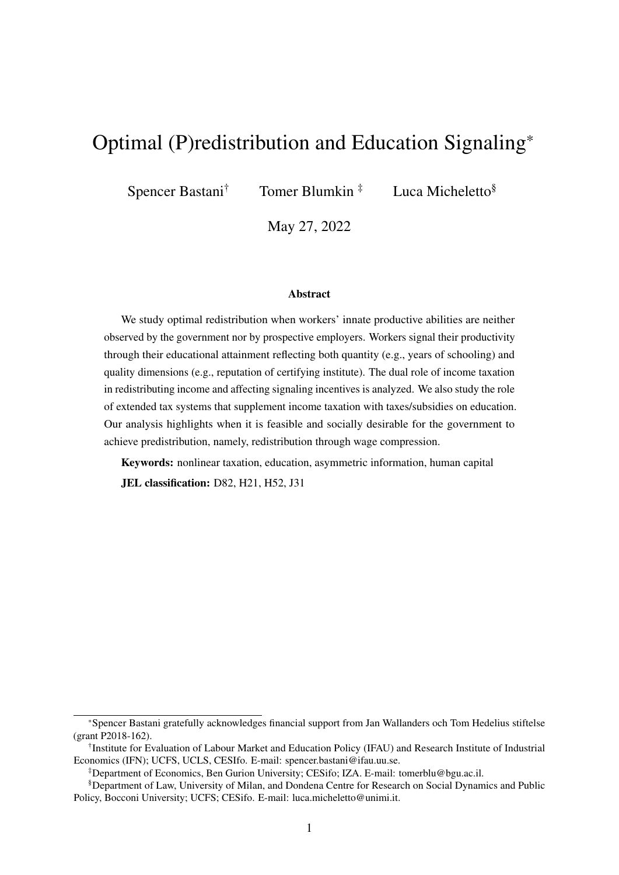# Optimal (P)redistribution and Education Signaling\*

Spencer Bastani<sup>†</sup> Tomer Blumkin<sup> $\ddagger$ </sup> Luca Micheletto<sup>§</sup>

May 27, 2022

#### Abstract

We study optimal redistribution when workers' innate productive abilities are neither observed by the government nor by prospective employers. Workers signal their productivity through their educational attainment reflecting both quantity (e.g., years of schooling) and quality dimensions (e.g., reputation of certifying institute). The dual role of income taxation in redistributing income and affecting signaling incentives is analyzed. We also study the role of extended tax systems that supplement income taxation with taxes/subsidies on education. Our analysis highlights when it is feasible and socially desirable for the government to achieve predistribution, namely, redistribution through wage compression.

Keywords: nonlinear taxation, education, asymmetric information, human capital JEL classification: D82, H21, H52, J31

<sup>\*</sup>Spencer Bastani gratefully acknowledges financial support from Jan Wallanders och Tom Hedelius stiftelse (grant P2018-162).

<sup>†</sup> Institute for Evaluation of Labour Market and Education Policy (IFAU) and Research Institute of Industrial Economics (IFN); UCFS, UCLS, CESIfo. E-mail: spencer.bastani@ifau.uu.se.

<sup>‡</sup>Department of Economics, Ben Gurion University; CESifo; IZA. E-mail: tomerblu@bgu.ac.il.

<sup>§</sup>Department of Law, University of Milan, and Dondena Centre for Research on Social Dynamics and Public Policy, Bocconi University; UCFS; CESifo. E-mail: luca.micheletto@unimi.it.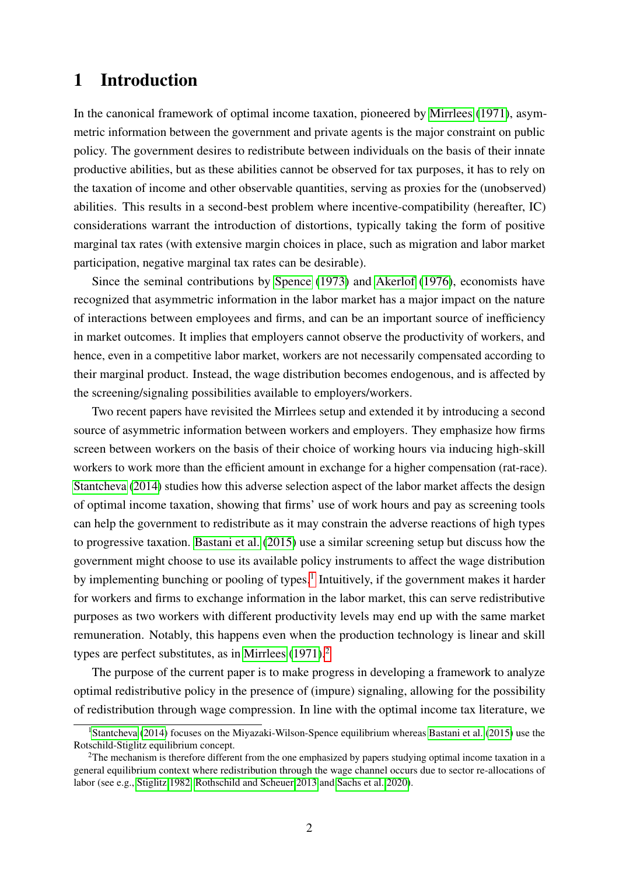## 1 Introduction

In the canonical framework of optimal income taxation, pioneered by [Mirrlees](#page-37-0) [\(1971\)](#page-37-0), asymmetric information between the government and private agents is the major constraint on public policy. The government desires to redistribute between individuals on the basis of their innate productive abilities, but as these abilities cannot be observed for tax purposes, it has to rely on the taxation of income and other observable quantities, serving as proxies for the (unobserved) abilities. This results in a second-best problem where incentive-compatibility (hereafter, IC) considerations warrant the introduction of distortions, typically taking the form of positive marginal tax rates (with extensive margin choices in place, such as migration and labor market participation, negative marginal tax rates can be desirable).

Since the seminal contributions by [Spence](#page-37-1) [\(1973\)](#page-37-1) and [Akerlof](#page-35-0) [\(1976\)](#page-35-0), economists have recognized that asymmetric information in the labor market has a major impact on the nature of interactions between employees and firms, and can be an important source of inefficiency in market outcomes. It implies that employers cannot observe the productivity of workers, and hence, even in a competitive labor market, workers are not necessarily compensated according to their marginal product. Instead, the wage distribution becomes endogenous, and is affected by the screening/signaling possibilities available to employers/workers.

Two recent papers have revisited the Mirrlees setup and extended it by introducing a second source of asymmetric information between workers and employers. They emphasize how firms screen between workers on the basis of their choice of working hours via inducing high-skill workers to work more than the efficient amount in exchange for a higher compensation (rat-race). [Stantcheva](#page-37-2) [\(2014\)](#page-37-2) studies how this adverse selection aspect of the labor market affects the design of optimal income taxation, showing that firms' use of work hours and pay as screening tools can help the government to redistribute as it may constrain the adverse reactions of high types to progressive taxation. [Bastani et al.](#page-36-0) [\(2015\)](#page-36-0) use a similar screening setup but discuss how the government might choose to use its available policy instruments to affect the wage distribution by implementing bunching or pooling of types.<sup>[1](#page-1-0)</sup> Intuitively, if the government makes it harder for workers and firms to exchange information in the labor market, this can serve redistributive purposes as two workers with different productivity levels may end up with the same market remuneration. Notably, this happens even when the production technology is linear and skill types are perfect substitutes, as in [Mirrlees](#page-37-0)  $(1971)^2$  $(1971)^2$  $(1971)^2$ .

The purpose of the current paper is to make progress in developing a framework to analyze optimal redistributive policy in the presence of (impure) signaling, allowing for the possibility of redistribution through wage compression. In line with the optimal income tax literature, we

<span id="page-1-0"></span><sup>&</sup>lt;sup>1</sup>[Stantcheva](#page-37-2) [\(2014\)](#page-37-2) focuses on the Miyazaki-Wilson-Spence equilibrium whereas [Bastani et al.](#page-36-0) [\(2015\)](#page-36-0) use the Rotschild-Stiglitz equilibrium concept.

<span id="page-1-1"></span> $2$ The mechanism is therefore different from the one emphasized by papers studying optimal income taxation in a general equilibrium context where redistribution through the wage channel occurs due to sector re-allocations of labor (see e.g., [Stiglitz 1982,](#page-37-3) [Rothschild and Scheuer 2013](#page-37-4) and [Sachs et al. 2020\)](#page-37-5).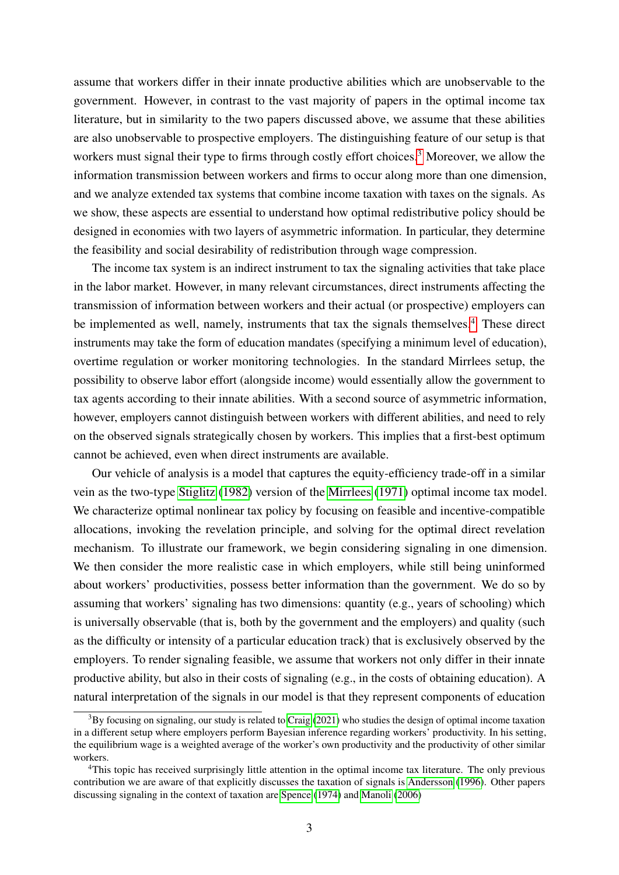assume that workers differ in their innate productive abilities which are unobservable to the government. However, in contrast to the vast majority of papers in the optimal income tax literature, but in similarity to the two papers discussed above, we assume that these abilities are also unobservable to prospective employers. The distinguishing feature of our setup is that workers must signal their type to firms through costly effort choices.<sup>[3](#page-2-0)</sup> Moreover, we allow the information transmission between workers and firms to occur along more than one dimension, and we analyze extended tax systems that combine income taxation with taxes on the signals. As we show, these aspects are essential to understand how optimal redistributive policy should be designed in economies with two layers of asymmetric information. In particular, they determine the feasibility and social desirability of redistribution through wage compression.

The income tax system is an indirect instrument to tax the signaling activities that take place in the labor market. However, in many relevant circumstances, direct instruments affecting the transmission of information between workers and their actual (or prospective) employers can be implemented as well, namely, instruments that tax the signals themselves.<sup>[4](#page-2-1)</sup> These direct instruments may take the form of education mandates (specifying a minimum level of education), overtime regulation or worker monitoring technologies. In the standard Mirrlees setup, the possibility to observe labor effort (alongside income) would essentially allow the government to tax agents according to their innate abilities. With a second source of asymmetric information, however, employers cannot distinguish between workers with different abilities, and need to rely on the observed signals strategically chosen by workers. This implies that a first-best optimum cannot be achieved, even when direct instruments are available.

Our vehicle of analysis is a model that captures the equity-efficiency trade-off in a similar vein as the two-type [Stiglitz](#page-37-3) [\(1982\)](#page-37-3) version of the [Mirrlees](#page-37-0) [\(1971\)](#page-37-0) optimal income tax model. We characterize optimal nonlinear tax policy by focusing on feasible and incentive-compatible allocations, invoking the revelation principle, and solving for the optimal direct revelation mechanism. To illustrate our framework, we begin considering signaling in one dimension. We then consider the more realistic case in which employers, while still being uninformed about workers' productivities, possess better information than the government. We do so by assuming that workers' signaling has two dimensions: quantity (e.g., years of schooling) which is universally observable (that is, both by the government and the employers) and quality (such as the difficulty or intensity of a particular education track) that is exclusively observed by the employers. To render signaling feasible, we assume that workers not only differ in their innate productive ability, but also in their costs of signaling (e.g., in the costs of obtaining education). A natural interpretation of the signals in our model is that they represent components of education

<span id="page-2-0"></span> $3By$  focusing on signaling, our study is related to [Craig](#page-36-1) [\(2021\)](#page-36-1) who studies the design of optimal income taxation in a different setup where employers perform Bayesian inference regarding workers' productivity. In his setting, the equilibrium wage is a weighted average of the worker's own productivity and the productivity of other similar workers.

<span id="page-2-1"></span><sup>&</sup>lt;sup>4</sup>This topic has received surprisingly little attention in the optimal income tax literature. The only previous contribution we are aware of that explicitly discusses the taxation of signals is [Andersson](#page-36-2) [\(1996\)](#page-36-2). Other papers discussing signaling in the context of taxation are [Spence](#page-37-6) [\(1974\)](#page-37-6) and [Manoli](#page-37-7) [\(2006\)](#page-37-7)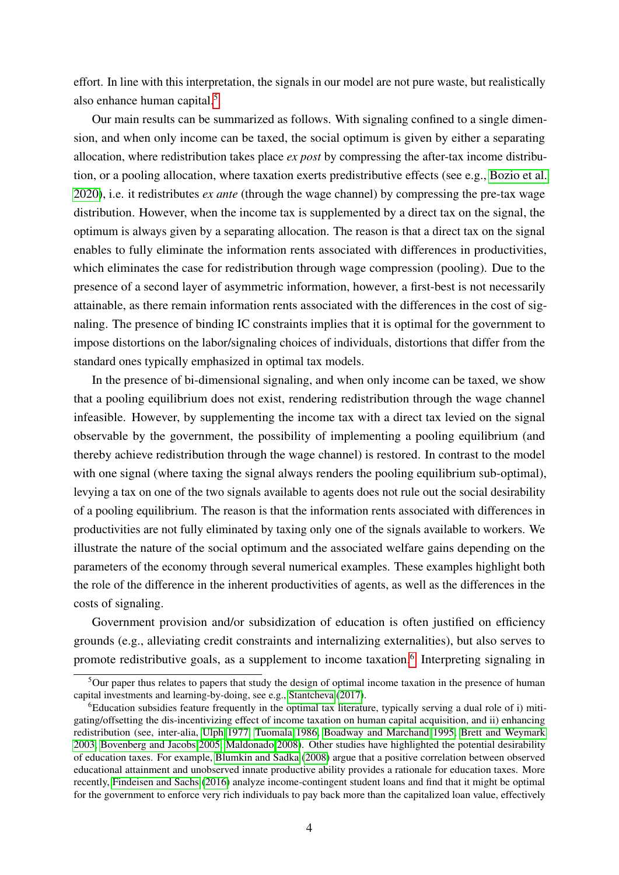effort. In line with this interpretation, the signals in our model are not pure waste, but realistically also enhance human capital.[5](#page-3-0)

Our main results can be summarized as follows. With signaling confined to a single dimension, and when only income can be taxed, the social optimum is given by either a separating allocation, where redistribution takes place *ex post* by compressing the after-tax income distribution, or a pooling allocation, where taxation exerts predistributive effects (see e.g., [Bozio et al.](#page-36-3) [2020\)](#page-36-3), i.e. it redistributes *ex ante* (through the wage channel) by compressing the pre-tax wage distribution. However, when the income tax is supplemented by a direct tax on the signal, the optimum is always given by a separating allocation. The reason is that a direct tax on the signal enables to fully eliminate the information rents associated with differences in productivities, which eliminates the case for redistribution through wage compression (pooling). Due to the presence of a second layer of asymmetric information, however, a first-best is not necessarily attainable, as there remain information rents associated with the differences in the cost of signaling. The presence of binding IC constraints implies that it is optimal for the government to impose distortions on the labor/signaling choices of individuals, distortions that differ from the standard ones typically emphasized in optimal tax models.

In the presence of bi-dimensional signaling, and when only income can be taxed, we show that a pooling equilibrium does not exist, rendering redistribution through the wage channel infeasible. However, by supplementing the income tax with a direct tax levied on the signal observable by the government, the possibility of implementing a pooling equilibrium (and thereby achieve redistribution through the wage channel) is restored. In contrast to the model with one signal (where taxing the signal always renders the pooling equilibrium sub-optimal), levying a tax on one of the two signals available to agents does not rule out the social desirability of a pooling equilibrium. The reason is that the information rents associated with differences in productivities are not fully eliminated by taxing only one of the signals available to workers. We illustrate the nature of the social optimum and the associated welfare gains depending on the parameters of the economy through several numerical examples. These examples highlight both the role of the difference in the inherent productivities of agents, as well as the differences in the costs of signaling.

Government provision and/or subsidization of education is often justified on efficiency grounds (e.g., alleviating credit constraints and internalizing externalities), but also serves to promote redistributive goals, as a supplement to income taxation.<sup>[6](#page-3-1)</sup> Interpreting signaling in

<span id="page-3-0"></span> $5$ Our paper thus relates to papers that study the design of optimal income taxation in the presence of human capital investments and learning-by-doing, see e.g., [Stantcheva](#page-37-8) [\(2017\)](#page-37-8).

<span id="page-3-1"></span><sup>6</sup>Education subsidies feature frequently in the optimal tax literature, typically serving a dual role of i) mitigating/offsetting the dis-incentivizing effect of income taxation on human capital acquisition, and ii) enhancing redistribution (see, inter-alia, [Ulph 1977,](#page-38-0) [Tuomala 1986,](#page-37-9) [Boadway and Marchand 1995,](#page-36-4) [Brett and Weymark](#page-36-5) [2003,](#page-36-5) [Bovenberg and Jacobs 2005,](#page-36-6) [Maldonado 2008\)](#page-37-10). Other studies have highlighted the potential desirability of education taxes. For example, [Blumkin and Sadka](#page-36-7) [\(2008\)](#page-36-7) argue that a positive correlation between observed educational attainment and unobserved innate productive ability provides a rationale for education taxes. More recently, [Findeisen and Sachs](#page-36-8) [\(2016\)](#page-36-8) analyze income-contingent student loans and find that it might be optimal for the government to enforce very rich individuals to pay back more than the capitalized loan value, effectively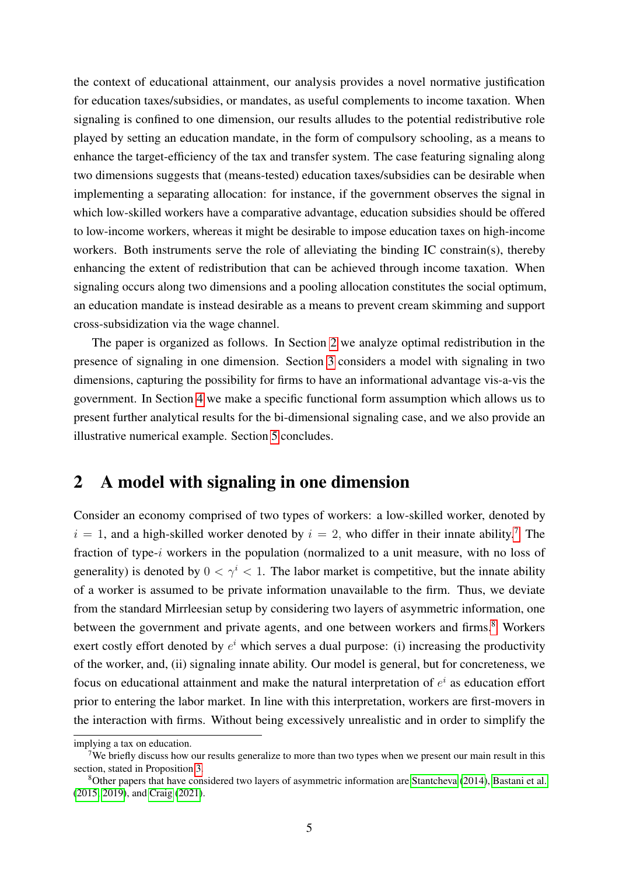the context of educational attainment, our analysis provides a novel normative justification for education taxes/subsidies, or mandates, as useful complements to income taxation. When signaling is confined to one dimension, our results alludes to the potential redistributive role played by setting an education mandate, in the form of compulsory schooling, as a means to enhance the target-efficiency of the tax and transfer system. The case featuring signaling along two dimensions suggests that (means-tested) education taxes/subsidies can be desirable when implementing a separating allocation: for instance, if the government observes the signal in which low-skilled workers have a comparative advantage, education subsidies should be offered to low-income workers, whereas it might be desirable to impose education taxes on high-income workers. Both instruments serve the role of alleviating the binding IC constrain(s), thereby enhancing the extent of redistribution that can be achieved through income taxation. When signaling occurs along two dimensions and a pooling allocation constitutes the social optimum, an education mandate is instead desirable as a means to prevent cream skimming and support cross-subsidization via the wage channel.

The paper is organized as follows. In Section [2](#page-4-0) we analyze optimal redistribution in the presence of signaling in one dimension. Section [3](#page-15-0) considers a model with signaling in two dimensions, capturing the possibility for firms to have an informational advantage vis-a-vis the government. In Section [4](#page-27-0) we make a specific functional form assumption which allows us to present further analytical results for the bi-dimensional signaling case, and we also provide an illustrative numerical example. Section [5](#page-34-0) concludes.

## <span id="page-4-0"></span>2 A model with signaling in one dimension

Consider an economy comprised of two types of workers: a low-skilled worker, denoted by  $i = 1$ , and a high-skilled worker denoted by  $i = 2$ , who differ in their innate ability.<sup>[7](#page-4-1)</sup> The fraction of type-i workers in the population (normalized to a unit measure, with no loss of generality) is denoted by  $0 < \gamma^i < 1$ . The labor market is competitive, but the innate ability of a worker is assumed to be private information unavailable to the firm. Thus, we deviate from the standard Mirrleesian setup by considering two layers of asymmetric information, one between the government and private agents, and one between workers and firms.<sup>[8](#page-4-2)</sup> Workers exert costly effort denoted by  $e^i$  which serves a dual purpose: (i) increasing the productivity of the worker, and, (ii) signaling innate ability. Our model is general, but for concreteness, we focus on educational attainment and make the natural interpretation of  $e^i$  as education effort prior to entering the labor market. In line with this interpretation, workers are first-movers in the interaction with firms. Without being excessively unrealistic and in order to simplify the

implying a tax on education.

<span id="page-4-1"></span><sup>&</sup>lt;sup>7</sup>We briefly discuss how our results generalize to more than two types when we present our main result in this section, stated in Proposition [3.](#page-13-0)

<span id="page-4-2"></span><sup>8</sup>Other papers that have considered two layers of asymmetric information are [Stantcheva](#page-37-2) [\(2014\)](#page-37-2), [Bastani et al.](#page-36-0) [\(2015,](#page-36-0) [2019\)](#page-36-9), and [Craig](#page-36-1) [\(2021\)](#page-36-1).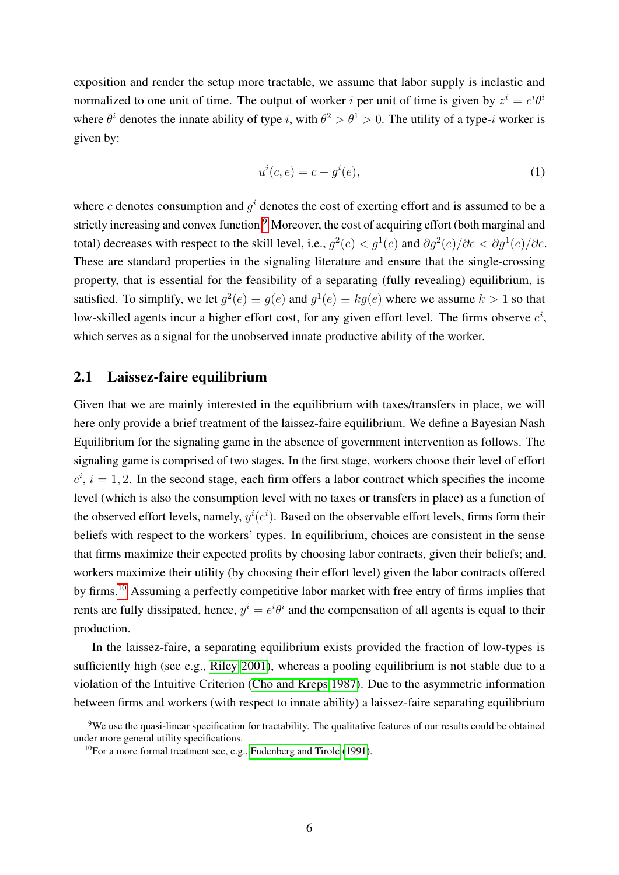exposition and render the setup more tractable, we assume that labor supply is inelastic and normalized to one unit of time. The output of worker *i* per unit of time is given by  $z^i = e^i \theta^i$ where  $\theta^i$  denotes the innate ability of type i, with  $\theta^2 > \theta^1 > 0$ . The utility of a type-i worker is given by:

<span id="page-5-2"></span>
$$
u^i(c,e) = c - g^i(e),\tag{1}
$$

where c denotes consumption and  $g^i$  denotes the cost of exerting effort and is assumed to be a strictly increasing and convex function.<sup>[9](#page-5-0)</sup> Moreover, the cost of acquiring effort (both marginal and total) decreases with respect to the skill level, i.e.,  $g^2(e) < g^1(e)$  and  $\partial g^2(e)/\partial e < \partial g^1(e)/\partial e$ . These are standard properties in the signaling literature and ensure that the single-crossing property, that is essential for the feasibility of a separating (fully revealing) equilibrium, is satisfied. To simplify, we let  $g^2(e) \equiv g(e)$  and  $g^1(e) \equiv kg(e)$  where we assume  $k > 1$  so that low-skilled agents incur a higher effort cost, for any given effort level. The firms observe  $e^{i}$ , which serves as a signal for the unobserved innate productive ability of the worker.

### <span id="page-5-3"></span>2.1 Laissez-faire equilibrium

Given that we are mainly interested in the equilibrium with taxes/transfers in place, we will here only provide a brief treatment of the laissez-faire equilibrium. We define a Bayesian Nash Equilibrium for the signaling game in the absence of government intervention as follows. The signaling game is comprised of two stages. In the first stage, workers choose their level of effort  $e^{i}$ ,  $i = 1, 2$ . In the second stage, each firm offers a labor contract which specifies the income level (which is also the consumption level with no taxes or transfers in place) as a function of the observed effort levels, namely,  $y^{i}(e^{i})$ . Based on the observable effort levels, firms form their beliefs with respect to the workers' types. In equilibrium, choices are consistent in the sense that firms maximize their expected profits by choosing labor contracts, given their beliefs; and, workers maximize their utility (by choosing their effort level) given the labor contracts offered by firms.<sup>[10](#page-5-1)</sup> Assuming a perfectly competitive labor market with free entry of firms implies that rents are fully dissipated, hence,  $y^i = e^{i\theta^i}$  and the compensation of all agents is equal to their production.

In the laissez-faire, a separating equilibrium exists provided the fraction of low-types is sufficiently high (see e.g., [Riley 2001\)](#page-37-11), whereas a pooling equilibrium is not stable due to a violation of the Intuitive Criterion [\(Cho and Kreps 1987\)](#page-36-10). Due to the asymmetric information between firms and workers (with respect to innate ability) a laissez-faire separating equilibrium

<span id="page-5-0"></span> $9$ We use the quasi-linear specification for tractability. The qualitative features of our results could be obtained under more general utility specifications.

<span id="page-5-1"></span><sup>&</sup>lt;sup>10</sup>For a more formal treatment see, e.g., [Fudenberg and Tirole](#page-36-11) [\(1991\)](#page-36-11).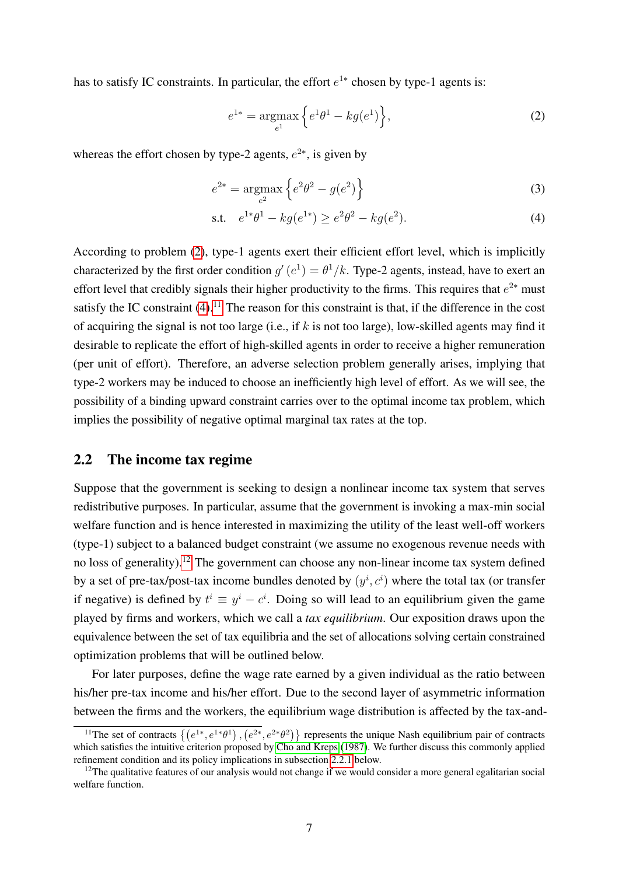has to satisfy IC constraints. In particular, the effort  $e^{1*}$  chosen by type-1 agents is:

<span id="page-6-1"></span><span id="page-6-0"></span>
$$
e^{1*} = \underset{e^1}{\text{argmax}} \left\{ e^1 \theta^1 - k g(e^1) \right\},\tag{2}
$$

whereas the effort chosen by type-2 agents,  $e^{2*}$ , is given by

$$
e^{2*} = \underset{e^2}{\text{argmax}} \left\{ e^2 \theta^2 - g(e^2) \right\} \tag{3}
$$

s.t. 
$$
e^{1*}\theta^1 - kg(e^{1*}) \ge e^2\theta^2 - kg(e^2)
$$
. (4)

According to problem [\(2\)](#page-6-0), type-1 agents exert their efficient effort level, which is implicitly characterized by the first order condition  $g'(e^1) = \theta^1/k$ . Type-2 agents, instead, have to exert an effort level that credibly signals their higher productivity to the firms. This requires that  $e^{2*}$  must satisfy the IC constraint  $(4)$ .<sup>[11](#page-6-2)</sup> The reason for this constraint is that, if the difference in the cost of acquiring the signal is not too large (i.e., if  $k$  is not too large), low-skilled agents may find it desirable to replicate the effort of high-skilled agents in order to receive a higher remuneration (per unit of effort). Therefore, an adverse selection problem generally arises, implying that type-2 workers may be induced to choose an inefficiently high level of effort. As we will see, the possibility of a binding upward constraint carries over to the optimal income tax problem, which implies the possibility of negative optimal marginal tax rates at the top.

### <span id="page-6-4"></span>2.2 The income tax regime

Suppose that the government is seeking to design a nonlinear income tax system that serves redistributive purposes. In particular, assume that the government is invoking a max-min social welfare function and is hence interested in maximizing the utility of the least well-off workers (type-1) subject to a balanced budget constraint (we assume no exogenous revenue needs with no loss of generality).<sup>[12](#page-6-3)</sup> The government can choose any non-linear income tax system defined by a set of pre-tax/post-tax income bundles denoted by  $(y^i, c^i)$  where the total tax (or transfer if negative) is defined by  $t^i \equiv y^i - c^i$ . Doing so will lead to an equilibrium given the game played by firms and workers, which we call a *tax equilibrium*. Our exposition draws upon the equivalence between the set of tax equilibria and the set of allocations solving certain constrained optimization problems that will be outlined below.

For later purposes, define the wage rate earned by a given individual as the ratio between his/her pre-tax income and his/her effort. Due to the second layer of asymmetric information between the firms and the workers, the equilibrium wage distribution is affected by the tax-and-

<span id="page-6-2"></span><sup>&</sup>lt;sup>11</sup>The set of contracts  $\{(e^{1*}, e^{1*}\theta^1), (e^{2*}, e^{2*}\theta^2)\}\$  represents the unique Nash equilibrium pair of contracts which satisfies the intuitive criterion proposed by [Cho and Kreps](#page-36-10) [\(1987\)](#page-36-10). We further discuss this commonly applied refinement condition and its policy implications in subsection [2.2.1](#page-7-0) below.

<span id="page-6-3"></span> $12$ The qualitative features of our analysis would not change if we would consider a more general egalitarian social welfare function.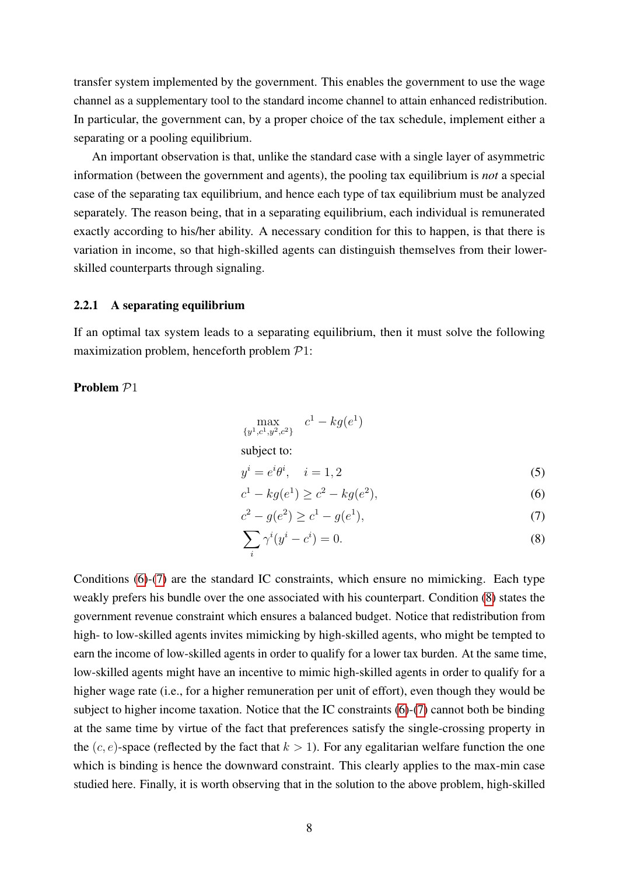transfer system implemented by the government. This enables the government to use the wage channel as a supplementary tool to the standard income channel to attain enhanced redistribution. In particular, the government can, by a proper choice of the tax schedule, implement either a separating or a pooling equilibrium.

An important observation is that, unlike the standard case with a single layer of asymmetric information (between the government and agents), the pooling tax equilibrium is *not* a special case of the separating tax equilibrium, and hence each type of tax equilibrium must be analyzed separately. The reason being, that in a separating equilibrium, each individual is remunerated exactly according to his/her ability. A necessary condition for this to happen, is that there is variation in income, so that high-skilled agents can distinguish themselves from their lowerskilled counterparts through signaling.

#### <span id="page-7-0"></span>2.2.1 A separating equilibrium

If an optimal tax system leads to a separating equilibrium, then it must solve the following maximization problem, henceforth problem P1:

### Problem  $P1$

$$
\max_{\{y^1, c^1, y^2, c^2\}} c^1 - k g(e^1)
$$
  
subject to:

<span id="page-7-4"></span><span id="page-7-1"></span>
$$
y^i = e^i \theta^i, \quad i = 1, 2 \tag{5}
$$

<span id="page-7-3"></span><span id="page-7-2"></span>
$$
c^1 - kg(e^1) \ge c^2 - kg(e^2),\tag{6}
$$

$$
c^2 - g(e^2) \ge c^1 - g(e^1),\tag{7}
$$

$$
\sum_{i} \gamma^{i} (y^{i} - c^{i}) = 0.
$$
 (8)

Conditions [\(6\)](#page-7-1)-[\(7\)](#page-7-2) are the standard IC constraints, which ensure no mimicking. Each type weakly prefers his bundle over the one associated with his counterpart. Condition [\(8\)](#page-7-3) states the government revenue constraint which ensures a balanced budget. Notice that redistribution from high- to low-skilled agents invites mimicking by high-skilled agents, who might be tempted to earn the income of low-skilled agents in order to qualify for a lower tax burden. At the same time, low-skilled agents might have an incentive to mimic high-skilled agents in order to qualify for a higher wage rate (i.e., for a higher remuneration per unit of effort), even though they would be subject to higher income taxation. Notice that the IC constraints [\(6\)](#page-7-1)-[\(7\)](#page-7-2) cannot both be binding at the same time by virtue of the fact that preferences satisfy the single-crossing property in the  $(c, e)$ -space (reflected by the fact that  $k > 1$ ). For any egalitarian welfare function the one which is binding is hence the downward constraint. This clearly applies to the max-min case studied here. Finally, it is worth observing that in the solution to the above problem, high-skilled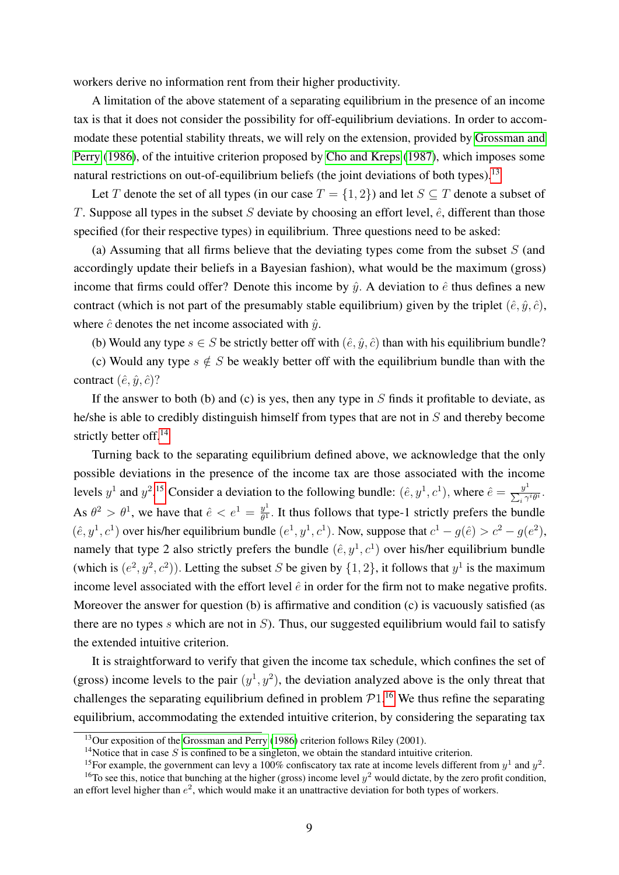workers derive no information rent from their higher productivity.

A limitation of the above statement of a separating equilibrium in the presence of an income tax is that it does not consider the possibility for off-equilibrium deviations. In order to accommodate these potential stability threats, we will rely on the extension, provided by [Grossman and](#page-37-12) [Perry](#page-37-12) [\(1986\)](#page-37-12), of the intuitive criterion proposed by [Cho and Kreps](#page-36-10) [\(1987\)](#page-36-10), which imposes some natural restrictions on out-of-equilibrium beliefs (the joint deviations of both types).<sup>[13](#page-8-0)</sup>

Let T denote the set of all types (in our case  $T = \{1, 2\}$ ) and let  $S \subseteq T$  denote a subset of T. Suppose all types in the subset S deviate by choosing an effort level,  $\hat{e}$ , different than those specified (for their respective types) in equilibrium. Three questions need to be asked:

(a) Assuming that all firms believe that the deviating types come from the subset  $S$  (and accordingly update their beliefs in a Bayesian fashion), what would be the maximum (gross) income that firms could offer? Denote this income by  $\hat{y}$ . A deviation to  $\hat{e}$  thus defines a new contract (which is not part of the presumably stable equilibrium) given by the triplet  $(\hat{e}, \hat{y}, \hat{c})$ , where  $\hat{c}$  denotes the net income associated with  $\hat{u}$ .

(b) Would any type  $s \in S$  be strictly better off with  $(\hat{e}, \hat{y}, \hat{c})$  than with his equilibrium bundle?

(c) Would any type  $s \notin S$  be weakly better off with the equilibrium bundle than with the contract  $(\hat{e}, \hat{y}, \hat{c})$ ?

If the answer to both (b) and (c) is yes, then any type in  $S$  finds it profitable to deviate, as he/she is able to credibly distinguish himself from types that are not in S and thereby become strictly better off.<sup>[14](#page-8-1)</sup>

Turning back to the separating equilibrium defined above, we acknowledge that the only possible deviations in the presence of the income tax are those associated with the income levels  $y^1$  and  $y^2$ .<sup>[15](#page-8-2)</sup> Consider a deviation to the following bundle:  $(\hat{e}, y^1, c^1)$ , where  $\hat{e} = \frac{y^1}{\sum x_i}$  $\frac{y^{\mu}}{\sum_i \gamma^i \theta^i}$ . As  $\theta^2 > \theta^1$ , we have that  $\hat{e} < e^1 = \frac{y^1}{\theta^1}$  $\frac{y}{\theta^1}$ . It thus follows that type-1 strictly prefers the bundle  $(\hat{e}, y^1, c^1)$  over his/her equilibrium bundle  $(e^1, y^1, c^1)$ . Now, suppose that  $c^1 - g(\hat{e}) > c^2 - g(e^2)$ , namely that type 2 also strictly prefers the bundle  $(\hat{e}, y^1, c^1)$  over his/her equilibrium bundle (which is  $(e^2, y^2, c^2)$ ). Letting the subset S be given by  $\{1, 2\}$ , it follows that  $y^1$  is the maximum income level associated with the effort level  $\hat{e}$  in order for the firm not to make negative profits. Moreover the answer for question (b) is affirmative and condition (c) is vacuously satisfied (as there are no types s which are not in  $S$ ). Thus, our suggested equilibrium would fail to satisfy the extended intuitive criterion.

It is straightforward to verify that given the income tax schedule, which confines the set of (gross) income levels to the pair  $(y^1, y^2)$ , the deviation analyzed above is the only threat that challenges the separating equilibrium defined in problem  $P1$ .<sup>[16](#page-8-3)</sup> We thus refine the separating equilibrium, accommodating the extended intuitive criterion, by considering the separating tax

<span id="page-8-0"></span><sup>13</sup>Our exposition of the [Grossman and Perry](#page-37-12) [\(1986\)](#page-37-12) criterion follows Riley (2001).

<span id="page-8-1"></span><sup>&</sup>lt;sup>14</sup>Notice that in case  $S$  is confined to be a singleton, we obtain the standard intuitive criterion.

<span id="page-8-3"></span><span id="page-8-2"></span><sup>&</sup>lt;sup>15</sup>For example, the government can levy a 100% confiscatory tax rate at income levels different from  $y^1$  and  $y^2$ .

<sup>&</sup>lt;sup>16</sup>To see this, notice that bunching at the higher (gross) income level  $y^2$  would dictate, by the zero profit condition, an effort level higher than  $e^2$ , which would make it an unattractive deviation for both types of workers.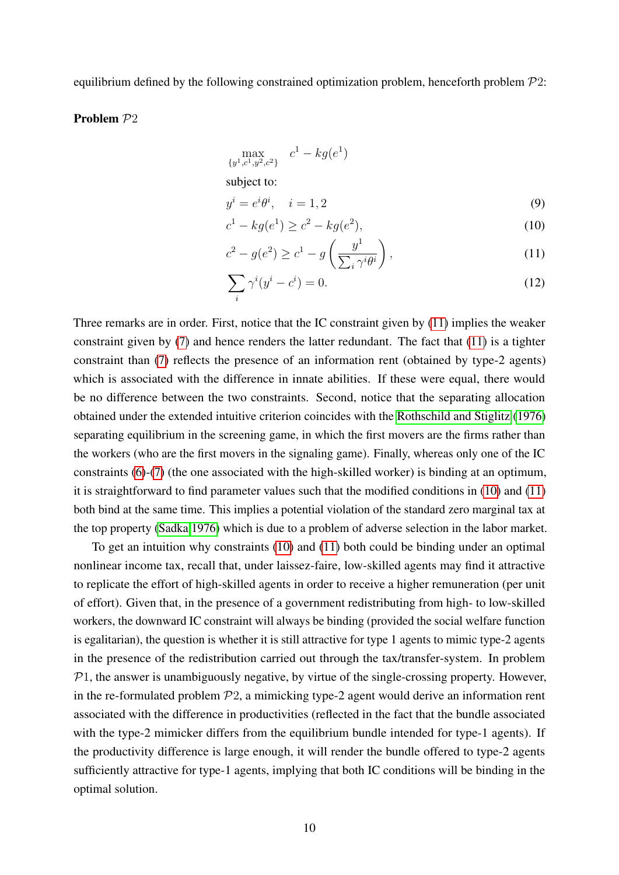equilibrium defined by the following constrained optimization problem, henceforth problem  $\mathcal{P}2$ :

### Problem P2

$$
\max_{\{y^1, c^1, y^2, c^2\}} c^1 - k g(e^1)
$$
\nsubject to:  
\n
$$
y^i = e^i \theta^i, \quad i = 1, 2
$$
\n
$$
c^1 - k g(e^1) > c^2 - k g(e^2)
$$
\n(10)

<span id="page-9-3"></span><span id="page-9-1"></span><span id="page-9-0"></span>
$$
c^{1} - kg(e^{1}) \ge c^{2} - kg(e^{2}),
$$
\n<sup>(10)</sup>

$$
c^2 - g(e^2) \ge c^1 - g\left(\frac{y^1}{\sum_i \gamma^i \theta^i}\right),\tag{11}
$$

<span id="page-9-2"></span>
$$
\sum_{i} \gamma^{i} (y^{i} - c^{i}) = 0. \tag{12}
$$

Three remarks are in order. First, notice that the IC constraint given by [\(11\)](#page-9-0) implies the weaker constraint given by [\(7\)](#page-7-2) and hence renders the latter redundant. The fact that [\(11\)](#page-9-0) is a tighter constraint than [\(7\)](#page-7-2) reflects the presence of an information rent (obtained by type-2 agents) which is associated with the difference in innate abilities. If these were equal, there would be no difference between the two constraints. Second, notice that the separating allocation obtained under the extended intuitive criterion coincides with the [Rothschild and Stiglitz](#page-37-13) [\(1976\)](#page-37-13) separating equilibrium in the screening game, in which the first movers are the firms rather than the workers (who are the first movers in the signaling game). Finally, whereas only one of the IC constraints [\(6\)](#page-7-1)-[\(7\)](#page-7-2) (the one associated with the high-skilled worker) is binding at an optimum, it is straightforward to find parameter values such that the modified conditions in [\(10\)](#page-9-1) and [\(11\)](#page-9-0) both bind at the same time. This implies a potential violation of the standard zero marginal tax at the top property [\(Sadka 1976\)](#page-37-14) which is due to a problem of adverse selection in the labor market.

To get an intuition why constraints [\(10\)](#page-9-1) and [\(11\)](#page-9-0) both could be binding under an optimal nonlinear income tax, recall that, under laissez-faire, low-skilled agents may find it attractive to replicate the effort of high-skilled agents in order to receive a higher remuneration (per unit of effort). Given that, in the presence of a government redistributing from high- to low-skilled workers, the downward IC constraint will always be binding (provided the social welfare function is egalitarian), the question is whether it is still attractive for type 1 agents to mimic type-2 agents in the presence of the redistribution carried out through the tax/transfer-system. In problem  $P1$ , the answer is unambiguously negative, by virtue of the single-crossing property. However, in the re-formulated problem  $P_2$ , a mimicking type-2 agent would derive an information rent associated with the difference in productivities (reflected in the fact that the bundle associated with the type-2 mimicker differs from the equilibrium bundle intended for type-1 agents). If the productivity difference is large enough, it will render the bundle offered to type-2 agents sufficiently attractive for type-1 agents, implying that both IC conditions will be binding in the optimal solution.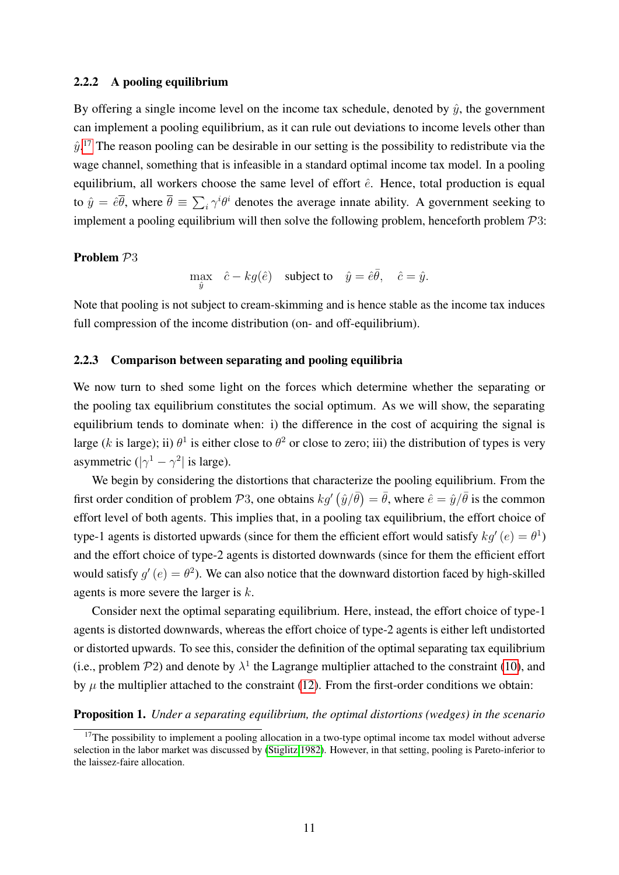#### 2.2.2 A pooling equilibrium

By offering a single income level on the income tax schedule, denoted by  $\hat{y}$ , the government can implement a pooling equilibrium, as it can rule out deviations to income levels other than  $\hat{y}$ .<sup>[17](#page-10-0)</sup> The reason pooling can be desirable in our setting is the possibility to redistribute via the wage channel, something that is infeasible in a standard optimal income tax model. In a pooling equilibrium, all workers choose the same level of effort  $\hat{e}$ . Hence, total production is equal to  $\hat{y} = \hat{e}\overline{\theta}$ , where  $\overline{\theta} \equiv \sum_i \gamma^i \theta^i$  denotes the average innate ability. A government seeking to implement a pooling equilibrium will then solve the following problem, henceforth problem  $P3$ :

### Problem P3

max  $\hat{c} - kg(\hat{e})$  subject to  $\hat{y} = \hat{e}\overline{\theta}$ ,  $\hat{c} = \hat{y}$ .

Note that pooling is not subject to cream-skimming and is hence stable as the income tax induces full compression of the income distribution (on- and off-equilibrium).

#### <span id="page-10-1"></span>2.2.3 Comparison between separating and pooling equilibria

We now turn to shed some light on the forces which determine whether the separating or the pooling tax equilibrium constitutes the social optimum. As we will show, the separating equilibrium tends to dominate when: i) the difference in the cost of acquiring the signal is large (k is large); ii)  $\theta^1$  is either close to  $\theta^2$  or close to zero; iii) the distribution of types is very asymmetric  $(|\gamma^1 - \gamma^2|)$  is large).

We begin by considering the distortions that characterize the pooling equilibrium. From the first order condition of problem  $\mathcal{P}3$ , one obtains  $kg'(\hat{y}/\bar{\theta}) = \bar{\theta}$ , where  $\hat{e} = \hat{y}/\bar{\theta}$  is the common effort level of both agents. This implies that, in a pooling tax equilibrium, the effort choice of type-1 agents is distorted upwards (since for them the efficient effort would satisfy  $kg'(e) = \theta^1$ ) and the effort choice of type-2 agents is distorted downwards (since for them the efficient effort would satisfy  $g'(e) = \theta^2$ ). We can also notice that the downward distortion faced by high-skilled agents is more severe the larger is  $k$ .

Consider next the optimal separating equilibrium. Here, instead, the effort choice of type-1 agents is distorted downwards, whereas the effort choice of type-2 agents is either left undistorted or distorted upwards. To see this, consider the definition of the optimal separating tax equilibrium (i.e., problem  $P2$ ) and denote by  $\lambda^1$  the Lagrange multiplier attached to the constraint [\(10\)](#page-9-1), and by  $\mu$  the multiplier attached to the constraint [\(12\)](#page-9-2). From the first-order conditions we obtain:

### <span id="page-10-2"></span>Proposition 1. *Under a separating equilibrium, the optimal distortions (wedges) in the scenario*

<span id="page-10-0"></span> $17$ The possibility to implement a pooling allocation in a two-type optimal income tax model without adverse selection in the labor market was discussed by [\(Stiglitz 1982\)](#page-37-3). However, in that setting, pooling is Pareto-inferior to the laissez-faire allocation.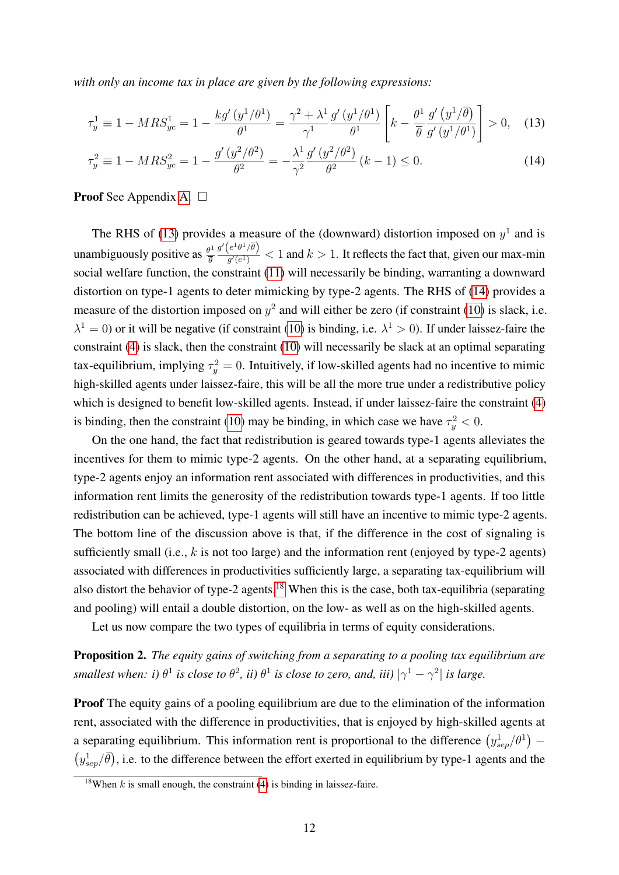*with only an income tax in place are given by the following expressions:*

<span id="page-11-0"></span>
$$
\tau_y^1 \equiv 1 - MRS_{yc}^1 = 1 - \frac{kg'(y^1/\theta^1)}{\theta^1} = \frac{\gamma^2 + \lambda^1}{\gamma^1} \frac{g'(y^1/\theta^1)}{\theta^1} \left[ k - \frac{\theta^1}{\overline{\theta}} \frac{g'(y^1/\overline{\theta})}{g'(y^1/\theta^1)} \right] > 0, \quad (13)
$$

<span id="page-11-1"></span>
$$
\tau_y^2 \equiv 1 - MRS_{yc}^2 = 1 - \frac{g'(y^2/\theta^2)}{\theta^2} = -\frac{\lambda^1}{\gamma^2} \frac{g'(y^2/\theta^2)}{\theta^2} (k-1) \le 0.
$$
 (14)

**Proof** See Appendix [A.](#page-38-1)  $\Box$ 

The RHS of [\(13\)](#page-11-0) provides a measure of the (downward) distortion imposed on  $y<sup>1</sup>$  and is unambiguously positive as  $\frac{\theta^1}{\overline{a}}$ θ  $g'\!\left(e^1\theta^1/\overline{\theta}\right)$  $\frac{e^{(-b^2/\theta)}}{g'(e^1)}$  < 1 and  $k > 1$ . It reflects the fact that, given our max-min social welfare function, the constraint [\(11\)](#page-9-0) will necessarily be binding, warranting a downward distortion on type-1 agents to deter mimicking by type-2 agents. The RHS of [\(14\)](#page-11-1) provides a measure of the distortion imposed on  $y^2$  and will either be zero (if constraint [\(10\)](#page-9-1) is slack, i.e.  $\lambda^1 = 0$ ) or it will be negative (if constraint [\(10\)](#page-9-1) is binding, i.e.  $\lambda^1 > 0$ ). If under laissez-faire the constraint [\(4\)](#page-6-1) is slack, then the constraint [\(10\)](#page-9-1) will necessarily be slack at an optimal separating tax-equilibrium, implying  $\tau_y^2 = 0$ . Intuitively, if low-skilled agents had no incentive to mimic high-skilled agents under laissez-faire, this will be all the more true under a redistributive policy which is designed to benefit low-skilled agents. Instead, if under laissez-faire the constraint [\(4\)](#page-6-1) is binding, then the constraint [\(10\)](#page-9-1) may be binding, in which case we have  $\tau_y^2 < 0$ .

On the one hand, the fact that redistribution is geared towards type-1 agents alleviates the incentives for them to mimic type-2 agents. On the other hand, at a separating equilibrium, type-2 agents enjoy an information rent associated with differences in productivities, and this information rent limits the generosity of the redistribution towards type-1 agents. If too little redistribution can be achieved, type-1 agents will still have an incentive to mimic type-2 agents. The bottom line of the discussion above is that, if the difference in the cost of signaling is sufficiently small (i.e.,  $k$  is not too large) and the information rent (enjoyed by type-2 agents) associated with differences in productivities sufficiently large, a separating tax-equilibrium will also distort the behavior of type-2 agents.[18](#page-11-2) When this is the case, both tax-equilibria (separating and pooling) will entail a double distortion, on the low- as well as on the high-skilled agents.

Let us now compare the two types of equilibria in terms of equity considerations.

Proposition 2. *The equity gains of switching from a separating to a pooling tax equilibrium are smallest when: i)*  $\theta^1$  *is close to*  $\theta^2$ *, ii)*  $\theta^1$  *is close to zero, and, iii)*  $|\gamma^1 - \gamma^2|$  *is large.* 

**Proof** The equity gains of a pooling equilibrium are due to the elimination of the information rent, associated with the difference in productivities, that is enjoyed by high-skilled agents at a separating equilibrium. This information rent is proportional to the difference  $(y_{sep}^1/\theta^1)$  –  $(y_{sep}^1/\bar{\theta})$ , i.e. to the difference between the effort exerted in equilibrium by type-1 agents and the

<span id="page-11-2"></span><sup>&</sup>lt;sup>18</sup>When k is small enough, the constraint [\(4\)](#page-6-1) is binding in laissez-faire.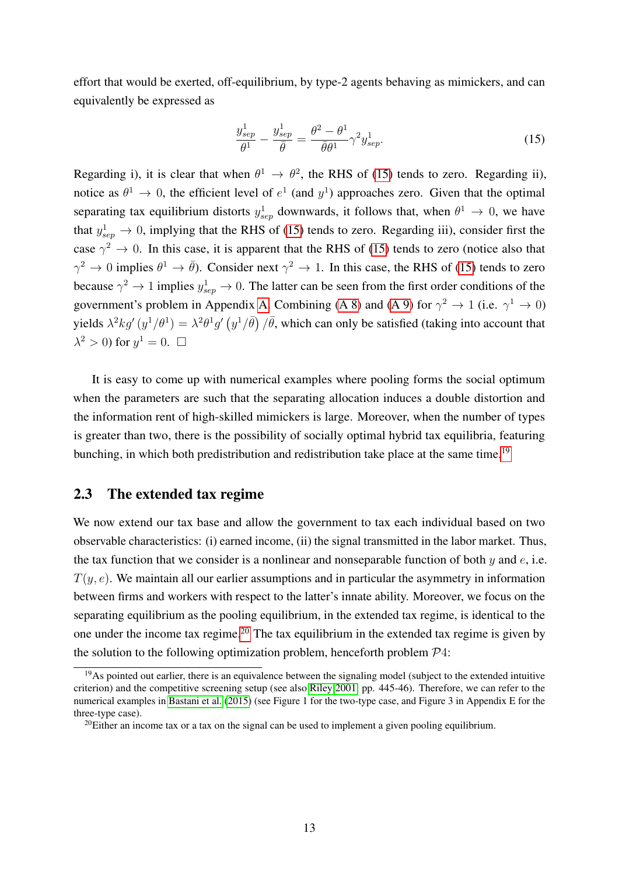effort that would be exerted, off-equilibrium, by type-2 agents behaving as mimickers, and can equivalently be expressed as

<span id="page-12-0"></span>
$$
\frac{y_{sep}^1}{\theta^1} - \frac{y_{sep}^1}{\bar{\theta}} = \frac{\theta^2 - \theta^1}{\bar{\theta}\theta^1} \gamma^2 y_{sep}^1.
$$
 (15)

Regarding i), it is clear that when  $\theta^1 \to \theta^2$ , the RHS of [\(15\)](#page-12-0) tends to zero. Regarding ii), notice as  $\theta^1 \to 0$ , the efficient level of  $e^1$  (and  $y^1$ ) approaches zero. Given that the optimal separating tax equilibrium distorts  $y_{sep}^1$  downwards, it follows that, when  $\theta^1 \to 0$ , we have that  $y_{sep}^1 \rightarrow 0$ , implying that the RHS of [\(15\)](#page-12-0) tends to zero. Regarding iii), consider first the case  $\gamma^2 \to 0$ . In this case, it is apparent that the RHS of [\(15\)](#page-12-0) tends to zero (notice also that  $\gamma^2 \to 0$  implies  $\theta^1 \to \bar{\theta}$ ). Consider next  $\gamma^2 \to 1$ . In this case, the RHS of [\(15\)](#page-12-0) tends to zero because  $\gamma^2 \to 1$  implies  $y_{sep}^1 \to 0$ . The latter can be seen from the first order conditions of the government's problem in Appendix [A.](#page-38-1) Combining [\(A 8\)](#page-39-0) and [\(A 9\)](#page-39-1) for  $\gamma^2 \to 1$  (i.e.  $\gamma^1 \to 0$ ) yields  $\lambda^2 k g'(y^1/\theta) = \lambda^2 \theta^1 g'(y^1/\theta) / \theta$ , which can only be satisfied (taking into account that  $\lambda^2 > 0$ ) for  $y^1 = 0$ .  $\Box$ 

It is easy to come up with numerical examples where pooling forms the social optimum when the parameters are such that the separating allocation induces a double distortion and the information rent of high-skilled mimickers is large. Moreover, when the number of types is greater than two, there is the possibility of socially optimal hybrid tax equilibria, featuring bunching, in which both predistribution and redistribution take place at the same time.<sup>[19](#page-12-1)</sup>

## 2.3 The extended tax regime

We now extend our tax base and allow the government to tax each individual based on two observable characteristics: (i) earned income, (ii) the signal transmitted in the labor market. Thus, the tax function that we consider is a nonlinear and nonseparable function of both  $y$  and  $e$ , i.e.  $T(y, e)$ . We maintain all our earlier assumptions and in particular the asymmetry in information between firms and workers with respect to the latter's innate ability. Moreover, we focus on the separating equilibrium as the pooling equilibrium, in the extended tax regime, is identical to the one under the income tax regime.<sup>[20](#page-12-2)</sup> The tax equilibrium in the extended tax regime is given by the solution to the following optimization problem, henceforth problem  $\mathcal{P}4$ :

<span id="page-12-1"></span> $19$ As pointed out earlier, there is an equivalence between the signaling model (subject to the extended intuitive criterion) and the competitive screening setup (see also [Riley 2001,](#page-37-11) pp. 445-46). Therefore, we can refer to the numerical examples in [Bastani et al.](#page-36-0) [\(2015\)](#page-36-0) (see Figure 1 for the two-type case, and Figure 3 in Appendix E for the three-type case).

<span id="page-12-2"></span> $^{20}$ Either an income tax or a tax on the signal can be used to implement a given pooling equilibrium.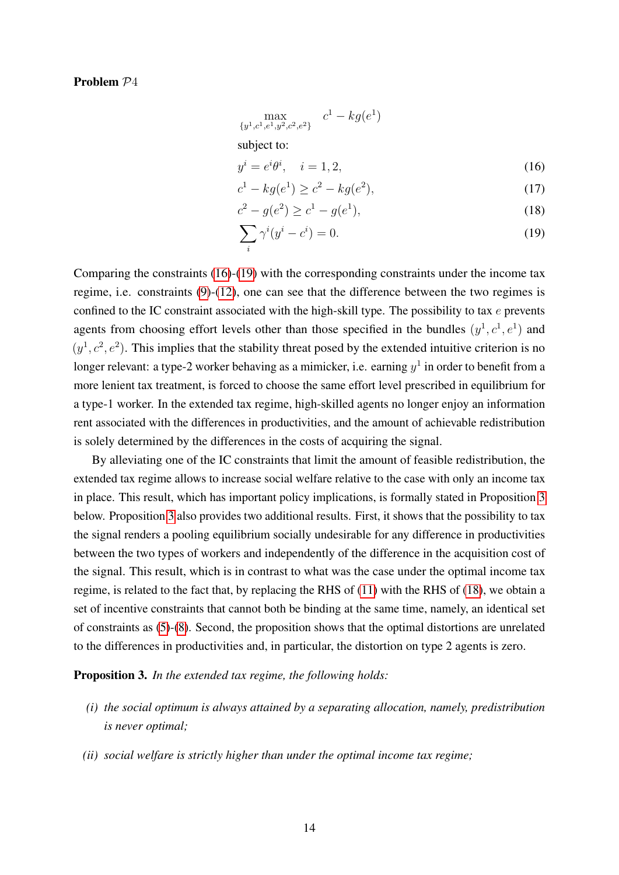#### Problem P4

<span id="page-13-1"></span>
$$
\max_{\{y^1, c^1, e^1, y^2, c^2, e^2\}} c^1 - kg(e^1)
$$
\nsubject to:  
\n
$$
y^i = e^i \theta^i, \quad i = 1, 2,
$$
\n
$$
c^1 - kg(e^1) \ge c^2 - kg(e^2),
$$
\n(17)

<span id="page-13-4"></span><span id="page-13-3"></span><span id="page-13-2"></span>
$$
c^2 - g(e^2) \ge c^1 - g(e^1),\tag{18}
$$

$$
\sum_{i} \gamma^{i} (y^{i} - c^{i}) = 0.
$$
 (19)

Comparing the constraints [\(16\)](#page-13-1)-[\(19\)](#page-13-2) with the corresponding constraints under the income tax regime, i.e. constraints [\(9\)](#page-9-3)-[\(12\)](#page-9-2), one can see that the difference between the two regimes is confined to the IC constraint associated with the high-skill type. The possibility to tax  $e$  prevents agents from choosing effort levels other than those specified in the bundles  $(y^1, c^1, e^1)$  and  $(y<sup>1</sup>, c<sup>2</sup>, e<sup>2</sup>)$ . This implies that the stability threat posed by the extended intuitive criterion is no longer relevant: a type-2 worker behaving as a mimicker, i.e. earning  $y^1$  in order to benefit from a more lenient tax treatment, is forced to choose the same effort level prescribed in equilibrium for a type-1 worker. In the extended tax regime, high-skilled agents no longer enjoy an information rent associated with the differences in productivities, and the amount of achievable redistribution is solely determined by the differences in the costs of acquiring the signal.

By alleviating one of the IC constraints that limit the amount of feasible redistribution, the extended tax regime allows to increase social welfare relative to the case with only an income tax in place. This result, which has important policy implications, is formally stated in Proposition [3](#page-13-0) below. Proposition [3](#page-13-0) also provides two additional results. First, it shows that the possibility to tax the signal renders a pooling equilibrium socially undesirable for any difference in productivities between the two types of workers and independently of the difference in the acquisition cost of the signal. This result, which is in contrast to what was the case under the optimal income tax regime, is related to the fact that, by replacing the RHS of [\(11\)](#page-9-0) with the RHS of [\(18\)](#page-13-3), we obtain a set of incentive constraints that cannot both be binding at the same time, namely, an identical set of constraints as [\(5\)](#page-7-4)-[\(8\)](#page-7-3). Second, the proposition shows that the optimal distortions are unrelated to the differences in productivities and, in particular, the distortion on type 2 agents is zero.

<span id="page-13-0"></span>Proposition 3. *In the extended tax regime, the following holds:*

- *(i) the social optimum is always attained by a separating allocation, namely, predistribution is never optimal;*
- *(ii) social welfare is strictly higher than under the optimal income tax regime;*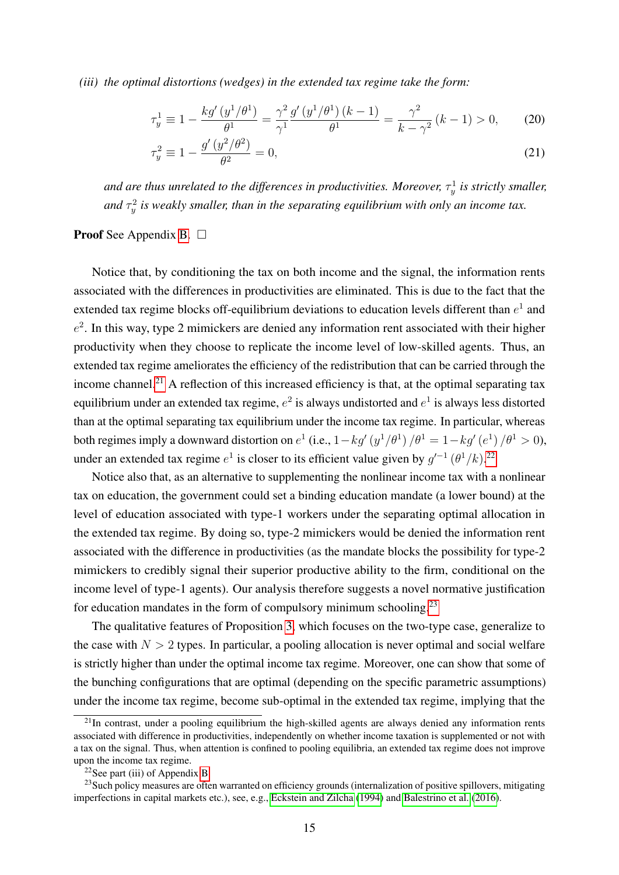*(iii) the optimal distortions (wedges) in the extended tax regime take the form:*

$$
\tau_y^1 \equiv 1 - \frac{k g'(y^1/\theta^1)}{\theta^1} = \frac{\gamma^2}{\gamma^1} \frac{g'(y^1/\theta^1)(k-1)}{\theta^1} = \frac{\gamma^2}{k - \gamma^2} (k-1) > 0, \qquad (20)
$$

<span id="page-14-4"></span><span id="page-14-3"></span>
$$
\tau_y^2 \equiv 1 - \frac{g'(y^2/\theta^2)}{\theta^2} = 0,\tag{21}
$$

and are thus unrelated to the differences in productivities. Moreover,  $\tau_y^1$  is strictly smaller, and  $\tau_y^2$  is weakly smaller, than in the separating equilibrium with only an income tax.

### **Proof** See Appendix [B.](#page-39-2)  $\Box$

Notice that, by conditioning the tax on both income and the signal, the information rents associated with the differences in productivities are eliminated. This is due to the fact that the extended tax regime blocks off-equilibrium deviations to education levels different than  $e^1$  and  $e<sup>2</sup>$ . In this way, type 2 mimickers are denied any information rent associated with their higher productivity when they choose to replicate the income level of low-skilled agents. Thus, an extended tax regime ameliorates the efficiency of the redistribution that can be carried through the income channel.<sup>[21](#page-14-0)</sup> A reflection of this increased efficiency is that, at the optimal separating tax equilibrium under an extended tax regime,  $e^2$  is always undistorted and  $e^1$  is always less distorted than at the optimal separating tax equilibrium under the income tax regime. In particular, whereas both regimes imply a downward distortion on  $e^1$  (i.e.,  $1 - kg'(y^1/\theta^1)/\theta^1 = 1 - kg'(e^1)/\theta^1 > 0$ ), under an extended tax regime  $e^1$  is closer to its efficient value given by  $g'^{-1}(\theta^1/k)$ .<sup>[22](#page-14-1)</sup>

Notice also that, as an alternative to supplementing the nonlinear income tax with a nonlinear tax on education, the government could set a binding education mandate (a lower bound) at the level of education associated with type-1 workers under the separating optimal allocation in the extended tax regime. By doing so, type-2 mimickers would be denied the information rent associated with the difference in productivities (as the mandate blocks the possibility for type-2 mimickers to credibly signal their superior productive ability to the firm, conditional on the income level of type-1 agents). Our analysis therefore suggests a novel normative justification for education mandates in the form of compulsory minimum schooling.<sup>[23](#page-14-2)</sup>

The qualitative features of Proposition [3,](#page-13-0) which focuses on the two-type case, generalize to the case with  $N > 2$  types. In particular, a pooling allocation is never optimal and social welfare is strictly higher than under the optimal income tax regime. Moreover, one can show that some of the bunching configurations that are optimal (depending on the specific parametric assumptions) under the income tax regime, become sub-optimal in the extended tax regime, implying that the

<span id="page-14-0"></span> $^{21}$ In contrast, under a pooling equilibrium the high-skilled agents are always denied any information rents associated with difference in productivities, independently on whether income taxation is supplemented or not with a tax on the signal. Thus, when attention is confined to pooling equilibria, an extended tax regime does not improve upon the income tax regime.

<span id="page-14-2"></span><span id="page-14-1"></span> $22$ See part (iii) of Appendix [B.](#page-39-2)

<sup>&</sup>lt;sup>23</sup>Such policy measures are often warranted on efficiency grounds (internalization of positive spillovers, mitigating imperfections in capital markets etc.), see, e.g., [Eckstein and Zilcha](#page-36-12) [\(1994\)](#page-36-12) and [Balestrino et al.](#page-36-13) [\(2016\)](#page-36-13).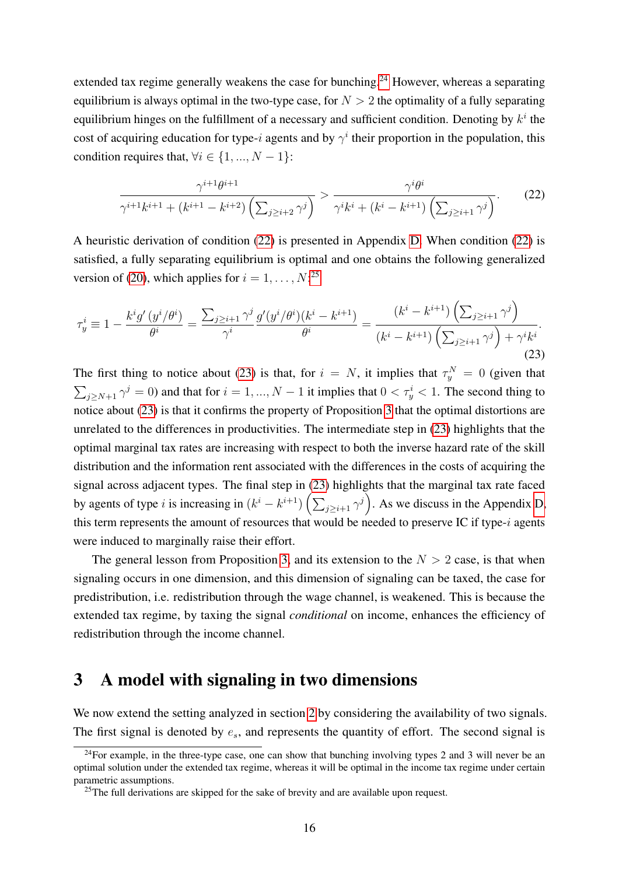extended tax regime generally weakens the case for bunching.<sup>[24](#page-15-1)</sup> However, whereas a separating equilibrium is always optimal in the two-type case, for  $N > 2$  the optimality of a fully separating equilibrium hinges on the fulfillment of a necessary and sufficient condition. Denoting by  $k^i$  the cost of acquiring education for type-i agents and by  $\gamma^i$  their proportion in the population, this condition requires that,  $\forall i \in \{1, ..., N - 1\}$ :

<span id="page-15-2"></span>
$$
\frac{\gamma^{i+1}\theta^{i+1}}{\gamma^{i+1}k^{i+1} + (k^{i+1} - k^{i+2})\left(\sum_{j\geq i+2} \gamma^j\right)} > \frac{\gamma^i \theta^i}{\gamma^i k^i + (k^i - k^{i+1})\left(\sum_{j\geq i+1} \gamma^j\right)}.\tag{22}
$$

A heuristic derivation of condition [\(22\)](#page-15-2) is presented in Appendix [D.](#page-46-0) When condition [\(22\)](#page-15-2) is satisfied, a fully separating equilibrium is optimal and one obtains the following generalized version of [\(20\)](#page-14-3), which applies for  $i = 1, \ldots, N$ :<sup>[25](#page-15-3)</sup>

<span id="page-15-4"></span>
$$
\tau_y^i \equiv 1 - \frac{k^i g'(y^i/\theta^i)}{\theta^i} = \frac{\sum_{j \ge i+1} \gamma^j g'(y^i/\theta^i)(k^i - k^{i+1})}{\gamma^i} = \frac{(k^i - k^{i+1}) \left(\sum_{j \ge i+1} \gamma^j\right)}{(k^i - k^{i+1}) \left(\sum_{j \ge i+1} \gamma^j\right) + \gamma^i k^i}.
$$
\n(23)

The first thing to notice about [\(23\)](#page-15-4) is that, for  $i = N$ , it implies that  $\tau_y^N = 0$  (given that  $\sum_{j \ge N+1} \gamma^j = 0$  and that for  $i = 1, ..., N-1$  it implies that  $0 < \tau_y^i < 1$ . The second thing to notice about [\(23\)](#page-15-4) is that it confirms the property of Proposition [3](#page-13-0) that the optimal distortions are unrelated to the differences in productivities. The intermediate step in [\(23\)](#page-15-4) highlights that the optimal marginal tax rates are increasing with respect to both the inverse hazard rate of the skill distribution and the information rent associated with the differences in the costs of acquiring the signal across adjacent types. The final step in [\(23\)](#page-15-4) highlights that the marginal tax rate faced by agents of type *i* is increasing in  $(k^{i} - k^{i+1}) \left( \sum_{j \geq i+1} \gamma^{j} \right)$ . As we discuss in the Appendix [D,](#page-46-0) this term represents the amount of resources that would be needed to preserve IC if type- $i$  agents were induced to marginally raise their effort.

The general lesson from Proposition [3,](#page-13-0) and its extension to the  $N > 2$  case, is that when signaling occurs in one dimension, and this dimension of signaling can be taxed, the case for predistribution, i.e. redistribution through the wage channel, is weakened. This is because the extended tax regime, by taxing the signal *conditional* on income, enhances the efficiency of redistribution through the income channel.

## <span id="page-15-0"></span>3 A model with signaling in two dimensions

We now extend the setting analyzed in section [2](#page-4-0) by considering the availability of two signals. The first signal is denoted by  $e_s$ , and represents the quantity of effort. The second signal is

<span id="page-15-1"></span><sup>&</sup>lt;sup>24</sup>For example, in the three-type case, one can show that bunching involving types 2 and 3 will never be an optimal solution under the extended tax regime, whereas it will be optimal in the income tax regime under certain parametric assumptions.

<span id="page-15-3"></span> $25$ The full derivations are skipped for the sake of brevity and are available upon request.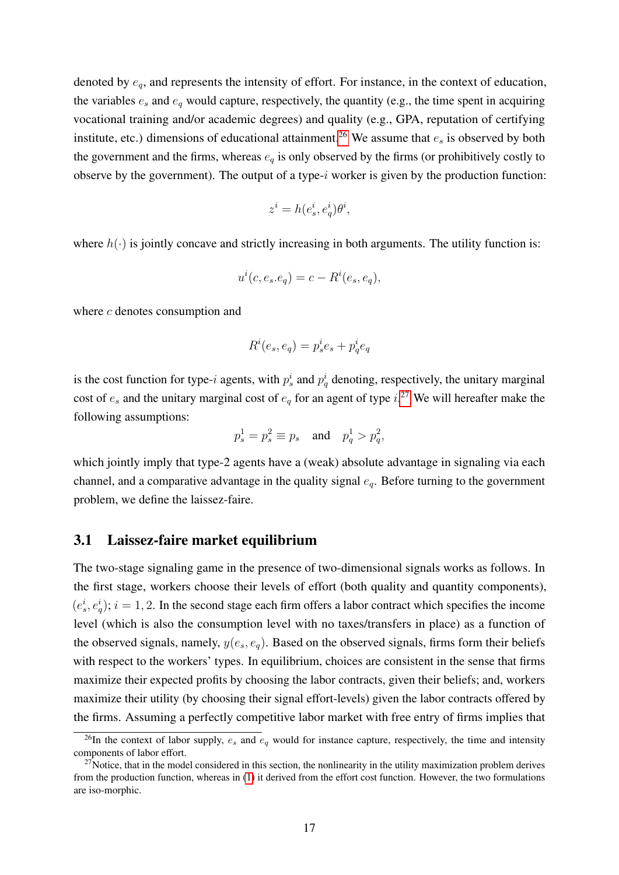denoted by  $e_q$ , and represents the intensity of effort. For instance, in the context of education, the variables  $e_s$  and  $e_q$  would capture, respectively, the quantity (e.g., the time spent in acquiring vocational training and/or academic degrees) and quality (e.g., GPA, reputation of certifying institute, etc.) dimensions of educational attainment.<sup>[26](#page-16-0)</sup> We assume that  $e_s$  is observed by both the government and the firms, whereas  $e_q$  is only observed by the firms (or prohibitively costly to observe by the government). The output of a type- $i$  worker is given by the production function:

$$
z^i = h(e^i_s, e^i_q)\theta^i,
$$

where  $h(\cdot)$  is jointly concave and strictly increasing in both arguments. The utility function is:

$$
u^{i}(c, e_s.e_q) = c - R^{i}(e_s, e_q),
$$

where c denotes consumption and

$$
R^i(e_s, e_q) = p_s^i e_s + p_q^i e_q
$$

is the cost function for type-i agents, with  $p_s^i$  and  $p_q^i$  denoting, respectively, the unitary marginal cost of  $e_s$  and the unitary marginal cost of  $e_q$  for an agent of type  $i^{27}$  $i^{27}$  $i^{27}$  We will hereafter make the following assumptions:

$$
p_s^1 = p_s^2 \equiv p_s
$$
 and  $p_q^1 > p_q^2$ ,

which jointly imply that type-2 agents have a (weak) absolute advantage in signaling via each channel, and a comparative advantage in the quality signal  $e_q$ . Before turning to the government problem, we define the laissez-faire.

### 3.1 Laissez-faire market equilibrium

The two-stage signaling game in the presence of two-dimensional signals works as follows. In the first stage, workers choose their levels of effort (both quality and quantity components),  $(e_s^i, e_q^i); i = 1, 2$ . In the second stage each firm offers a labor contract which specifies the income level (which is also the consumption level with no taxes/transfers in place) as a function of the observed signals, namely,  $y(e_s, e_q)$ . Based on the observed signals, firms form their beliefs with respect to the workers' types. In equilibrium, choices are consistent in the sense that firms maximize their expected profits by choosing the labor contracts, given their beliefs; and, workers maximize their utility (by choosing their signal effort-levels) given the labor contracts offered by the firms. Assuming a perfectly competitive labor market with free entry of firms implies that

<span id="page-16-0"></span><sup>&</sup>lt;sup>26</sup>In the context of labor supply,  $e_s$  and  $e_q$  would for instance capture, respectively, the time and intensity components of labor effort.

<span id="page-16-1"></span> $27$ Notice, that in the model considered in this section, the nonlinearity in the utility maximization problem derives from the production function, whereas in [\(1\)](#page-5-2) it derived from the effort cost function. However, the two formulations are iso-morphic.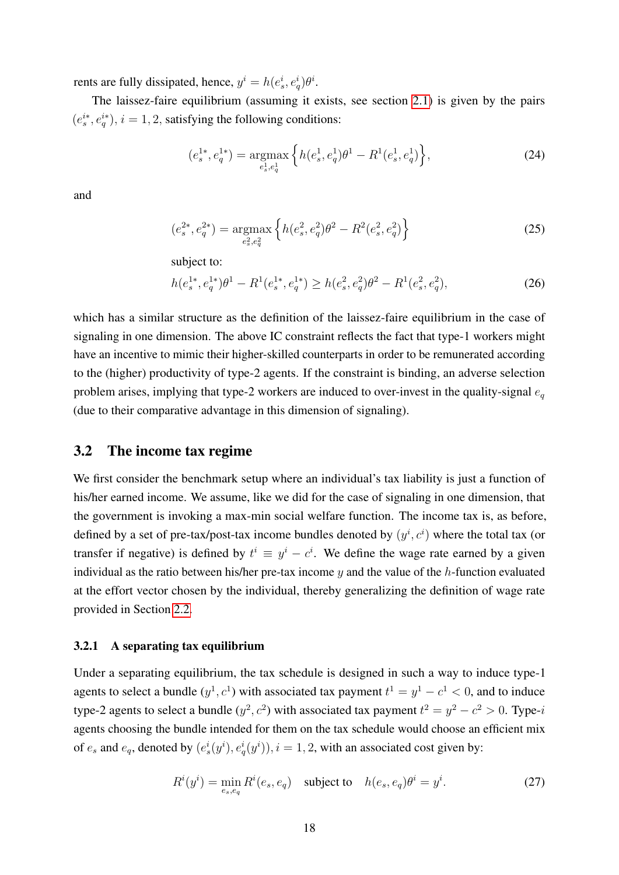rents are fully dissipated, hence,  $y^i = h(e^i_s, e^i_q)\theta^i$ .

The laissez-faire equilibrium (assuming it exists, see section [2.1\)](#page-5-3) is given by the pairs  $(e_s^{i*}, e_q^{i*}), i = 1, 2$ , satisfying the following conditions:

$$
(e_s^{1*}, e_q^{1*}) = \underset{e_s^1, e_q^1}{\text{argmax}} \left\{ h(e_s^1, e_q^1) \theta^1 - R^1(e_s^1, e_q^1) \right\},\tag{24}
$$

and

$$
(e_s^{2*}, e_q^{2*}) = \underset{e_s^2, e_q^2}{\text{argmax}} \left\{ h(e_s^2, e_q^2) \theta^2 - R^2(e_s^2, e_q^2) \right\}
$$
 (25)

subject to:

$$
h(e_s^{1*}, e_q^{1*})\theta^1 - R^1(e_s^{1*}, e_q^{1*}) \ge h(e_s^2, e_q^2)\theta^2 - R^1(e_s^2, e_q^2),\tag{26}
$$

which has a similar structure as the definition of the laissez-faire equilibrium in the case of signaling in one dimension. The above IC constraint reflects the fact that type-1 workers might have an incentive to mimic their higher-skilled counterparts in order to be remunerated according to the (higher) productivity of type-2 agents. If the constraint is binding, an adverse selection problem arises, implying that type-2 workers are induced to over-invest in the quality-signal  $e_q$ (due to their comparative advantage in this dimension of signaling).

### 3.2 The income tax regime

We first consider the benchmark setup where an individual's tax liability is just a function of his/her earned income. We assume, like we did for the case of signaling in one dimension, that the government is invoking a max-min social welfare function. The income tax is, as before, defined by a set of pre-tax/post-tax income bundles denoted by  $(y^i, c^i)$  where the total tax (or transfer if negative) is defined by  $t^i \equiv y^i - c^i$ . We define the wage rate earned by a given individual as the ratio between his/her pre-tax income  $y$  and the value of the  $h$ -function evaluated at the effort vector chosen by the individual, thereby generalizing the definition of wage rate provided in Section [2.2.](#page-6-4)

#### 3.2.1 A separating tax equilibrium

Under a separating equilibrium, the tax schedule is designed in such a way to induce type-1 agents to select a bundle  $(y<sup>1</sup>, c<sup>1</sup>)$  with associated tax payment  $t<sup>1</sup> = y<sup>1</sup> - c<sup>1</sup> < 0$ , and to induce type-2 agents to select a bundle  $(y^2, c^2)$  with associated tax payment  $t^2 = y^2 - c^2 > 0$ . Type-i agents choosing the bundle intended for them on the tax schedule would choose an efficient mix of  $e_s$  and  $e_q$ , denoted by  $(e_s^i(y^i), e_q^i(y^i)), i = 1, 2$ , with an associated cost given by:

<span id="page-17-0"></span>
$$
R^{i}(y^{i}) = \min_{e_s, e_q} R^{i}(e_s, e_q) \quad \text{subject to} \quad h(e_s, e_q)\theta^{i} = y^{i}.\tag{27}
$$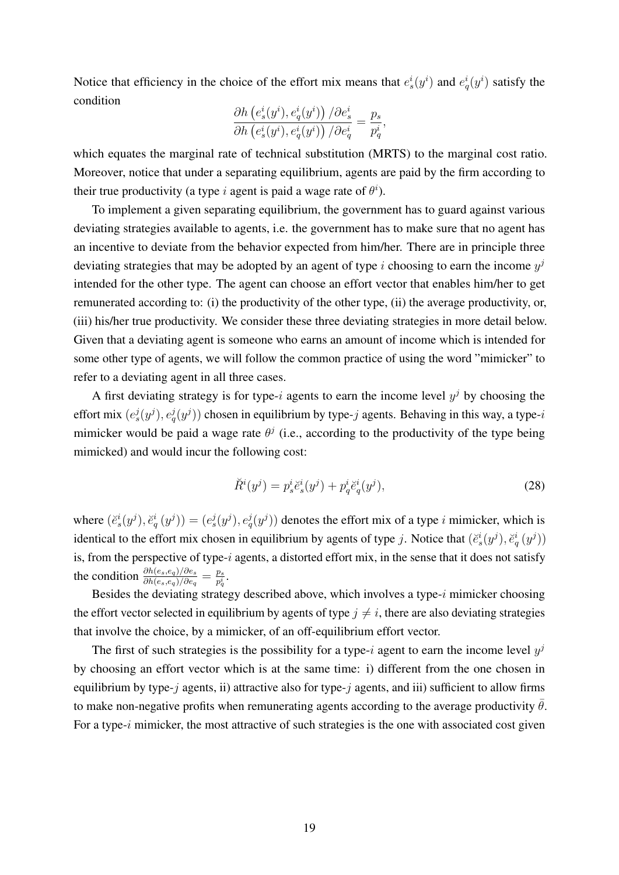Notice that efficiency in the choice of the effort mix means that  $e_s^i(y^i)$  and  $e_q^i(y^i)$  satisfy the condition

$$
\frac{\partial h\left(e_s^i(y^i), e_q^i(y^i)\right)/\partial e_s^i}{\partial h\left(e_s^i(y^i), e_q^i(y^i)\right)/\partial e_q^i} = \frac{p_s}{p_q^i},
$$

which equates the marginal rate of technical substitution (MRTS) to the marginal cost ratio. Moreover, notice that under a separating equilibrium, agents are paid by the firm according to their true productivity (a type i agent is paid a wage rate of  $\theta^i$ ).

To implement a given separating equilibrium, the government has to guard against various deviating strategies available to agents, i.e. the government has to make sure that no agent has an incentive to deviate from the behavior expected from him/her. There are in principle three deviating strategies that may be adopted by an agent of type i choosing to earn the income  $y^j$ intended for the other type. The agent can choose an effort vector that enables him/her to get remunerated according to: (i) the productivity of the other type, (ii) the average productivity, or, (iii) his/her true productivity. We consider these three deviating strategies in more detail below. Given that a deviating agent is someone who earns an amount of income which is intended for some other type of agents, we will follow the common practice of using the word "mimicker" to refer to a deviating agent in all three cases.

A first deviating strategy is for type-i agents to earn the income level  $y^j$  by choosing the effort mix  $(e_s^j(y^j), e_q^j(y^j))$  chosen in equilibrium by type-j agents. Behaving in this way, a type-i mimicker would be paid a wage rate  $\theta^j$  (i.e., according to the productivity of the type being mimicked) and would incur the following cost:

<span id="page-18-0"></span>
$$
\breve{R}^{i}(y^{j}) = p_{s}^{i}\breve{e}_{s}^{i}(y^{j}) + p_{q}^{i}\breve{e}_{q}^{i}(y^{j}),
$$
\n(28)

where  $(e_s^i(y^j), e_q^i(y^j)) = (e_s^j(y^j), e_q^j(y^j))$  denotes the effort mix of a type *i* mimicker, which is identical to the effort mix chosen in equilibrium by agents of type j. Notice that  $(\check{e}_s^i(y^j), \check{e}_q^i(y^j))$ is, from the perspective of type-i agents, a distorted effort mix, in the sense that it does not satisfy the condition  $\frac{\partial h(e_s, e_q)/\partial e_s}{\partial h(e_s, e_q)/\partial e_q} = \frac{p_s}{p_g^i}$  $\frac{p_s}{p_q^i}.$ 

Besides the deviating strategy described above, which involves a type- $i$  mimicker choosing the effort vector selected in equilibrium by agents of type  $j \neq i$ , there are also deviating strategies that involve the choice, by a mimicker, of an off-equilibrium effort vector.

The first of such strategies is the possibility for a type-i agent to earn the income level  $y^j$ by choosing an effort vector which is at the same time: i) different from the one chosen in equilibrium by type- $j$  agents, ii) attractive also for type- $j$  agents, and iii) sufficient to allow firms to make non-negative profits when remunerating agents according to the average productivity  $\bar{\theta}$ . For a type- $i$  mimicker, the most attractive of such strategies is the one with associated cost given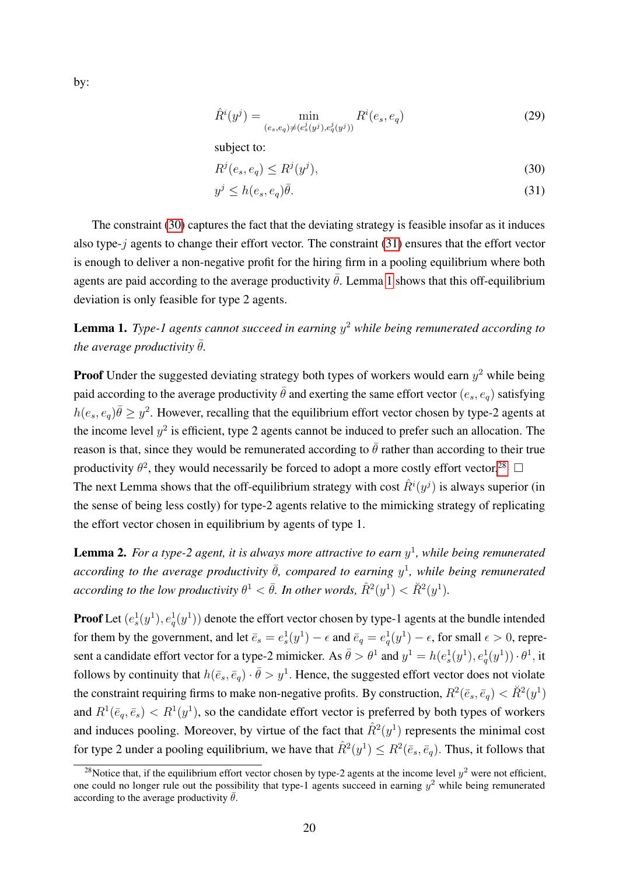<span id="page-19-5"></span> $\hat{R}^i(y^j) =$  min  $(e_s, e_q) \neq (e_s^j(y^j), e_q^j(y^j))$  $R^i(e_s, e_q)$  (29)

subject to:

<span id="page-19-1"></span><span id="page-19-0"></span>
$$
R^j(e_s, e_q) \le R^j(y^j),\tag{30}
$$

$$
y^j \le h(e_s, e_q)\bar{\theta}.\tag{31}
$$

The constraint [\(30\)](#page-19-0) captures the fact that the deviating strategy is feasible insofar as it induces also type-j agents to change their effort vector. The constraint [\(31\)](#page-19-1) ensures that the effort vector is enough to deliver a non-negative profit for the hiring firm in a pooling equilibrium where both agents are paid according to the average productivity  $\bar{\theta}$ . Lemma [1](#page-19-2) shows that this off-equilibrium deviation is only feasible for type 2 agents.

<span id="page-19-2"></span>Lemma 1. *Type-1 agents cannot succeed in earning* y <sup>2</sup> *while being remunerated according to the average productivity*  $\bar{\theta}$ *.* 

**Proof** Under the suggested deviating strategy both types of workers would earn  $y^2$  while being paid according to the average productivity  $\bar{\theta}$  and exerting the same effort vector  $(e_s, e_q)$  satisfying  $h(e_s, e_q)\bar{\theta} \geq y^2$ . However, recalling that the equilibrium effort vector chosen by type-2 agents at the income level  $y^2$  is efficient, type 2 agents cannot be induced to prefer such an allocation. The reason is that, since they would be remunerated according to  $\bar{\theta}$  rather than according to their true productivity  $\theta^2$ , they would necessarily be forced to adopt a more costly effort vector.<sup>[28](#page-19-3)</sup> The next Lemma shows that the off-equilibrium strategy with cost  $\hat{R}^i(y^j)$  is always superior (in the sense of being less costly) for type-2 agents relative to the mimicking strategy of replicating the effort vector chosen in equilibrium by agents of type 1.

<span id="page-19-4"></span>**Lemma 2.** For a type-2 agent, it is always more attractive to earn  $y<sup>1</sup>$ , while being remunerated  $according$  to the average productivity  $\bar{\theta}$ , compared to earning  $y^1$ , while being remunerated  $\emph{according to the low productivity } \theta^1 < \bar{\theta}.$  In other words,  $\hat{R}^2(y^1) < \breve{R}^2(y^1).$ 

**Proof** Let  $(e_s^1(y^1), e_q^1(y^1))$  denote the effort vector chosen by type-1 agents at the bundle intended for them by the government, and let  $\bar{e}_s = e_s^1(y^1) - \epsilon$  and  $\bar{e}_q = e_q^1(y^1) - \epsilon$ , for small  $\epsilon > 0$ , represent a candidate effort vector for a type-2 mimicker. As  $\bar{\theta} > \theta^1$  and  $y^1 = h(e_s^1(y^1), e_q^1(y^1)) \cdot \theta^1$ , it follows by continuity that  $h(\bar{e}_s, \bar{e}_q) \cdot \bar{\theta} > y^1$ . Hence, the suggested effort vector does not violate the constraint requiring firms to make non-negative profits. By construction,  $R^2(\bar{e}_s, \bar{e}_q) < \breve{R}^2(y^1)$ and  $R^1(\bar{e}_q, \bar{e}_s) < R^1(y^1)$ , so the candidate effort vector is preferred by both types of workers and induces pooling. Moreover, by virtue of the fact that  $\hat{R}^2(y^1)$  represents the minimal cost for type 2 under a pooling equilibrium, we have that  $\hat{R}^2(y^1) \leq R^2(\bar{e}_s, \bar{e}_q)$ . Thus, it follows that

by:

<span id="page-19-3"></span><sup>&</sup>lt;sup>28</sup>Notice that, if the equilibrium effort vector chosen by type-2 agents at the income level  $y^2$  were not efficient, one could no longer rule out the possibility that type-1 agents succeed in earning  $y^2$  while being remunerated according to the average productivity  $\bar{\theta}$ .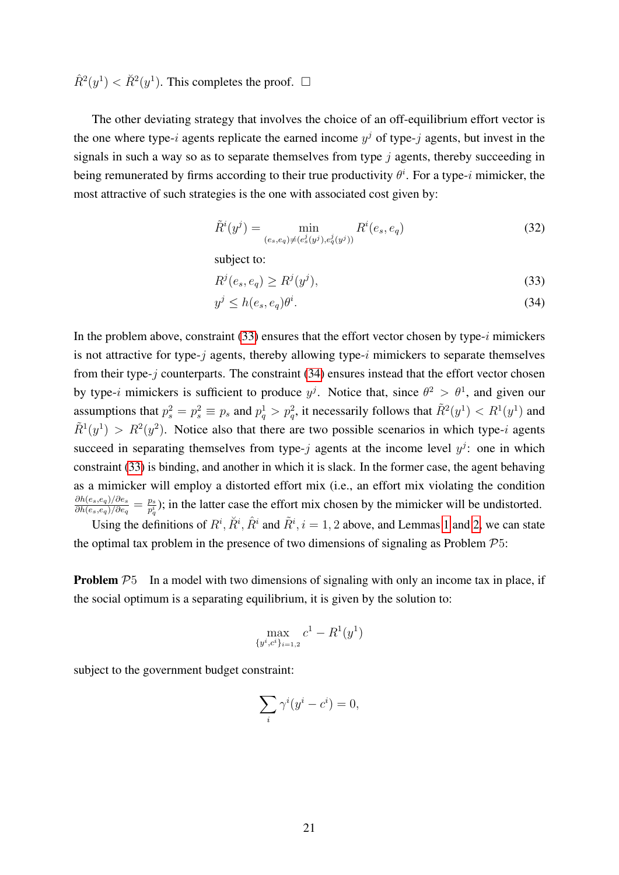$\hat{R}^2(y^1) < \check{R}^2(y^1)$ . This completes the proof.  $\Box$ 

The other deviating strategy that involves the choice of an off-equilibrium effort vector is the one where type-i agents replicate the earned income  $y<sup>j</sup>$  of type-j agents, but invest in the signals in such a way so as to separate themselves from type  $i$  agents, thereby succeeding in being remunerated by firms according to their true productivity  $\theta^i$ . For a type-i mimicker, the most attractive of such strategies is the one with associated cost given by:

<span id="page-20-2"></span>
$$
\tilde{R}^i(y^j) = \min_{(e_s, e_q) \neq (e_s^j(y^j), e_q^j(y^j))} R^i(e_s, e_q)
$$
\n(32)

subject to:

<span id="page-20-1"></span><span id="page-20-0"></span>
$$
R^j(e_s, e_q) \ge R^j(y^j),\tag{33}
$$

$$
y^j \le h(e_s, e_q)\theta^i. \tag{34}
$$

In the problem above, constraint  $(33)$  ensures that the effort vector chosen by type-i mimickers is not attractive for type- $j$  agents, thereby allowing type- $i$  mimickers to separate themselves from their type- $j$  counterparts. The constraint  $(34)$  ensures instead that the effort vector chosen by type-i mimickers is sufficient to produce  $y^j$ . Notice that, since  $\theta^2 > \theta^1$ , and given our assumptions that  $p_s^2 = p_s^2 \equiv p_s$  and  $p_q^1 > p_q^2$ , it necessarily follows that  $\tilde{R}^2(y^1) < R^1(y^1)$  and  $\tilde{R}^1(y^1) > R^2(y^2)$ . Notice also that there are two possible scenarios in which type-i agents succeed in separating themselves from type-j agents at the income level  $y^j$ : one in which constraint [\(33\)](#page-20-0) is binding, and another in which it is slack. In the former case, the agent behaving as a mimicker will employ a distorted effort mix (i.e., an effort mix violating the condition  $\partial h(e_s,e_q)/\partial e_s$  $\frac{\partial h(e_s, e_q)/\partial e_s}{\partial h(e_s, e_q)/\partial e_q} = \frac{p_s}{p_q^i}$  $\frac{p_s}{p_q^i}$ ); in the latter case the effort mix chosen by the mimicker will be undistorted.

Using the definitions of  $R^i$ ,  $\tilde{R}^i$ ,  $\hat{R}^i$  and  $\tilde{R}^i$ ,  $i = 1, 2$  $i = 1, 2$  $i = 1, 2$  above, and Lemmas 1 and [2,](#page-19-4) we can state the optimal tax problem in the presence of two dimensions of signaling as Problem  $\mathcal{P}5$ :

**Problem**  $P_5$  In a model with two dimensions of signaling with only an income tax in place, if the social optimum is a separating equilibrium, it is given by the solution to:

$$
\max_{\{y^i, c^i\}_{i=1,2}} c^1 - R^1(y^1)
$$

subject to the government budget constraint:

$$
\sum_{i} \gamma^{i}(y^{i} - c^{i}) = 0,
$$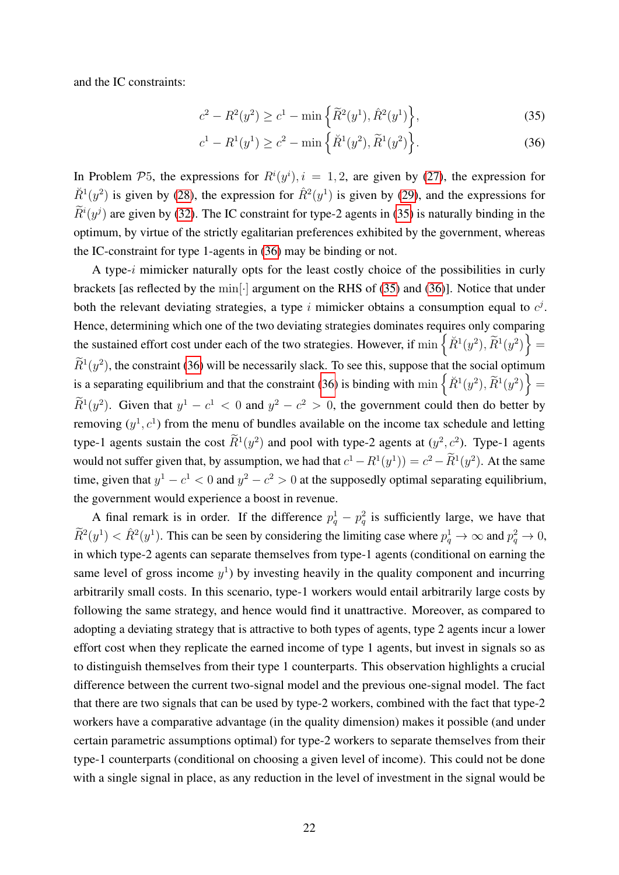and the IC constraints:

<span id="page-21-0"></span>
$$
c^{2} - R^{2}(y^{2}) \ge c^{1} - \min\left\{\widetilde{R}^{2}(y^{1}), \widehat{R}^{2}(y^{1})\right\},
$$
\n(35)

<span id="page-21-1"></span>
$$
c^{1} - R^{1}(y^{1}) \ge c^{2} - \min\left\{\ddot{R}^{1}(y^{2}), \tilde{R}^{1}(y^{2})\right\}.
$$
 (36)

In Problem P5, the expressions for  $R^{i}(y^{i}), i = 1, 2$ , are given by [\(27\)](#page-17-0), the expression for  $\check{R}^1(y^2)$  is given by [\(28\)](#page-18-0), the expression for  $\hat{R}^2(y^1)$  is given by [\(29\)](#page-19-5), and the expressions for  $\hat{R}^i(y^j)$  are given by [\(32\)](#page-20-2). The IC constraint for type-2 agents in [\(35\)](#page-21-0) is naturally binding in the optimum, by virtue of the strictly egalitarian preferences exhibited by the government, whereas the IC-constraint for type 1-agents in [\(36\)](#page-21-1) may be binding or not.

A type-i mimicker naturally opts for the least costly choice of the possibilities in curly brackets [as reflected by the min[·] argument on the RHS of [\(35\)](#page-21-0) and [\(36\)](#page-21-1)]. Notice that under both the relevant deviating strategies, a type i mimicker obtains a consumption equal to  $c<sup>j</sup>$ . Hence, determining which one of the two deviating strategies dominates requires only comparing the sustained effort cost under each of the two strategies. However, if  $\min \{ \check{R}^1(y^2), \tilde{R}^1(y^2) \}$  =  $\tilde{R}^1(y^2)$ , the constraint [\(36\)](#page-21-1) will be necessarily slack. To see this, suppose that the social optimum is a separating equilibrium and that the constraint [\(36\)](#page-21-1) is binding with  $\min \{ \check{R}^1(y^2), \tilde{R}^1(y^2) \} =$  $\overline{R}^1(y^2)$ . Given that  $y^1 - c^1 < 0$  and  $y^2 - c^2 > 0$ , the government could then do better by removing  $(y^1, c^1)$  from the menu of bundles available on the income tax schedule and letting type-1 agents sustain the cost  $\tilde{R}^1(y^2)$  and pool with type-2 agents at  $(y^2, c^2)$ . Type-1 agents would not suffer given that, by assumption, we had that  $c^1 - R^1(y^1) = c^2 - R^1(y^2)$ . At the same time, given that  $y^1 - c^1 < 0$  and  $y^2 - c^2 > 0$  at the supposedly optimal separating equilibrium, the government would experience a boost in revenue.

A final remark is in order. If the difference  $p_q^1 - p_q^2$  is sufficiently large, we have that  $\widetilde{R}^2(y^1) < \hat{R}^2(y^1)$ . This can be seen by considering the limiting case where  $p_q^1 \to \infty$  and  $p_q^2 \to 0$ , in which type-2 agents can separate themselves from type-1 agents (conditional on earning the same level of gross income  $y<sup>1</sup>$ ) by investing heavily in the quality component and incurring arbitrarily small costs. In this scenario, type-1 workers would entail arbitrarily large costs by following the same strategy, and hence would find it unattractive. Moreover, as compared to adopting a deviating strategy that is attractive to both types of agents, type 2 agents incur a lower effort cost when they replicate the earned income of type 1 agents, but invest in signals so as to distinguish themselves from their type 1 counterparts. This observation highlights a crucial difference between the current two-signal model and the previous one-signal model. The fact that there are two signals that can be used by type-2 workers, combined with the fact that type-2 workers have a comparative advantage (in the quality dimension) makes it possible (and under certain parametric assumptions optimal) for type-2 workers to separate themselves from their type-1 counterparts (conditional on choosing a given level of income). This could not be done with a single signal in place, as any reduction in the level of investment in the signal would be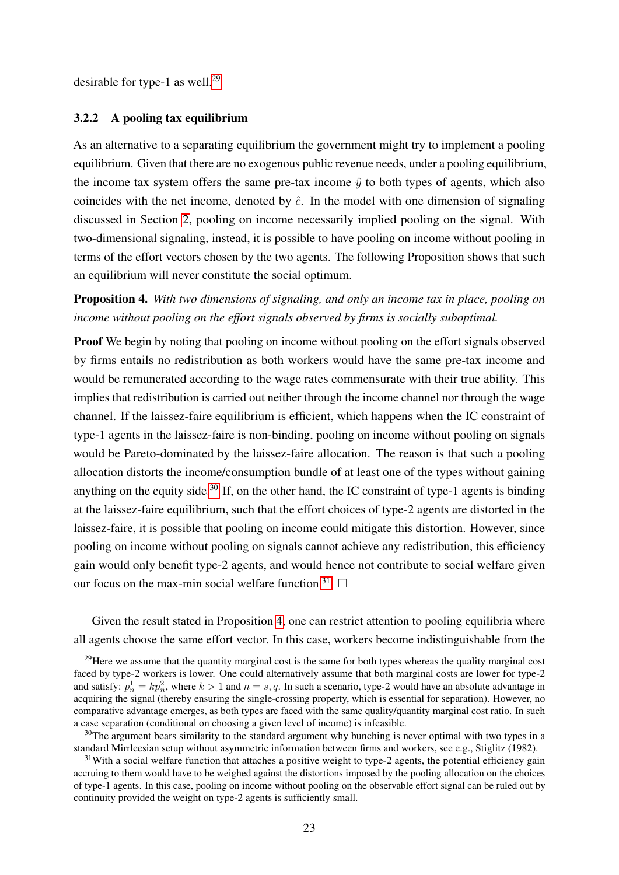desirable for type-1 as well.<sup>[29](#page-22-0)</sup>

#### 3.2.2 A pooling tax equilibrium

As an alternative to a separating equilibrium the government might try to implement a pooling equilibrium. Given that there are no exogenous public revenue needs, under a pooling equilibrium, the income tax system offers the same pre-tax income  $\hat{y}$  to both types of agents, which also coincides with the net income, denoted by  $\hat{c}$ . In the model with one dimension of signaling discussed in Section [2,](#page-4-0) pooling on income necessarily implied pooling on the signal. With two-dimensional signaling, instead, it is possible to have pooling on income without pooling in terms of the effort vectors chosen by the two agents. The following Proposition shows that such an equilibrium will never constitute the social optimum.

<span id="page-22-3"></span>Proposition 4. *With two dimensions of signaling, and only an income tax in place, pooling on income without pooling on the effort signals observed by firms is socially suboptimal.*

**Proof** We begin by noting that pooling on income without pooling on the effort signals observed by firms entails no redistribution as both workers would have the same pre-tax income and would be remunerated according to the wage rates commensurate with their true ability. This implies that redistribution is carried out neither through the income channel nor through the wage channel. If the laissez-faire equilibrium is efficient, which happens when the IC constraint of type-1 agents in the laissez-faire is non-binding, pooling on income without pooling on signals would be Pareto-dominated by the laissez-faire allocation. The reason is that such a pooling allocation distorts the income/consumption bundle of at least one of the types without gaining anything on the equity side.<sup>[30](#page-22-1)</sup> If, on the other hand, the IC constraint of type-1 agents is binding at the laissez-faire equilibrium, such that the effort choices of type-2 agents are distorted in the laissez-faire, it is possible that pooling on income could mitigate this distortion. However, since pooling on income without pooling on signals cannot achieve any redistribution, this efficiency gain would only benefit type-2 agents, and would hence not contribute to social welfare given our focus on the max-min social welfare function.<sup>[31](#page-22-2)</sup>  $\Box$ 

Given the result stated in Proposition [4,](#page-22-3) one can restrict attention to pooling equilibria where all agents choose the same effort vector. In this case, workers become indistinguishable from the

<span id="page-22-0"></span><sup>&</sup>lt;sup>29</sup>Here we assume that the quantity marginal cost is the same for both types whereas the quality marginal cost faced by type-2 workers is lower. One could alternatively assume that both marginal costs are lower for type-2 and satisfy:  $p_n^1 = kp_n^2$ , where  $k > 1$  and  $n = s, q$ . In such a scenario, type-2 would have an absolute advantage in acquiring the signal (thereby ensuring the single-crossing property, which is essential for separation). However, no comparative advantage emerges, as both types are faced with the same quality/quantity marginal cost ratio. In such a case separation (conditional on choosing a given level of income) is infeasible.

<span id="page-22-1"></span> $30$ The argument bears similarity to the standard argument why bunching is never optimal with two types in a standard Mirrleesian setup without asymmetric information between firms and workers, see e.g., Stiglitz (1982).

<span id="page-22-2"></span> $31$ With a social welfare function that attaches a positive weight to type-2 agents, the potential efficiency gain accruing to them would have to be weighed against the distortions imposed by the pooling allocation on the choices of type-1 agents. In this case, pooling on income without pooling on the observable effort signal can be ruled out by continuity provided the weight on type-2 agents is sufficiently small.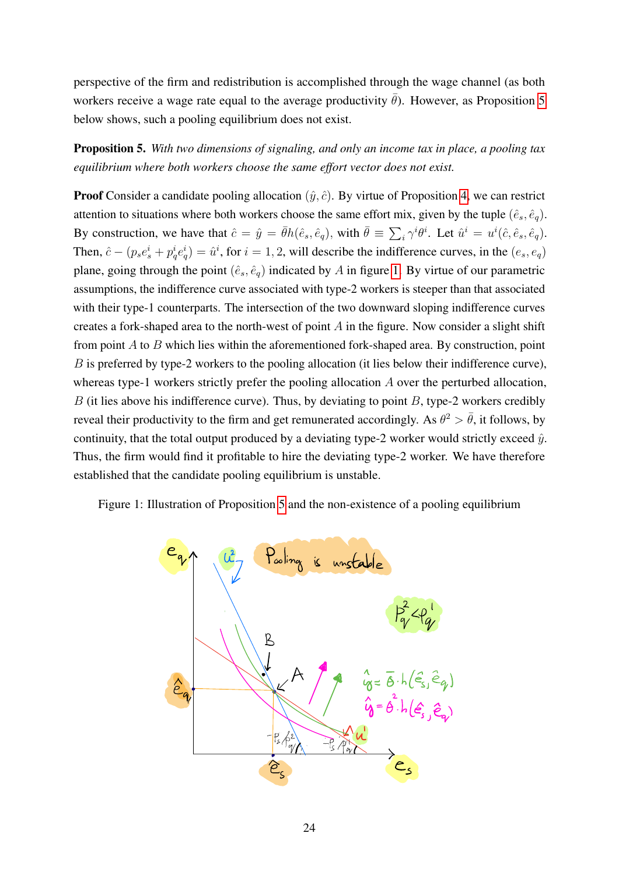perspective of the firm and redistribution is accomplished through the wage channel (as both workers receive a wage rate equal to the average productivity  $\bar{\theta}$ ). However, as Proposition [5](#page-23-0) below shows, such a pooling equilibrium does not exist.

<span id="page-23-0"></span>Proposition 5. *With two dimensions of signaling, and only an income tax in place, a pooling tax equilibrium where both workers choose the same effort vector does not exist.*

**Proof** Consider a candidate pooling allocation  $(\hat{y}, \hat{c})$ . By virtue of Proposition [4,](#page-22-3) we can restrict attention to situations where both workers choose the same effort mix, given by the tuple  $(\hat{e}_s, \hat{e}_q)$ . By construction, we have that  $\hat{c} = \hat{y} = \bar{\theta}h(\hat{e}_s, \hat{e}_q)$ , with  $\bar{\theta} \equiv \sum_i \gamma^i \theta^i$ . Let  $\hat{u}^i = u^i(\hat{c}, \hat{e}_s, \hat{e}_q)$ . Then,  $\hat{c} - (p_s e_s^i + p_q^i e_q^i) = \hat{u}^i$ , for  $i = 1, 2$ , will describe the indifference curves, in the  $(e_s, e_q)$ plane, going through the point  $(\hat{e}_s, \hat{e}_q)$  indicated by A in figure [1.](#page-23-1) By virtue of our parametric assumptions, the indifference curve associated with type-2 workers is steeper than that associated with their type-1 counterparts. The intersection of the two downward sloping indifference curves creates a fork-shaped area to the north-west of point A in the figure. Now consider a slight shift from point  $A$  to  $B$  which lies within the aforementioned fork-shaped area. By construction, point B is preferred by type-2 workers to the pooling allocation (it lies below their indifference curve), whereas type-1 workers strictly prefer the pooling allocation A over the perturbed allocation,  $B$  (it lies above his indifference curve). Thus, by deviating to point  $B$ , type-2 workers credibly reveal their productivity to the firm and get remunerated accordingly. As  $\theta^2 > \bar{\theta}$ , it follows, by continuity, that the total output produced by a deviating type-2 worker would strictly exceed  $\hat{y}$ . Thus, the firm would find it profitable to hire the deviating type-2 worker. We have therefore established that the candidate pooling equilibrium is unstable.

<span id="page-23-1"></span>Figure 1: Illustration of Proposition [5](#page-23-0) and the non-existence of a pooling equilibrium

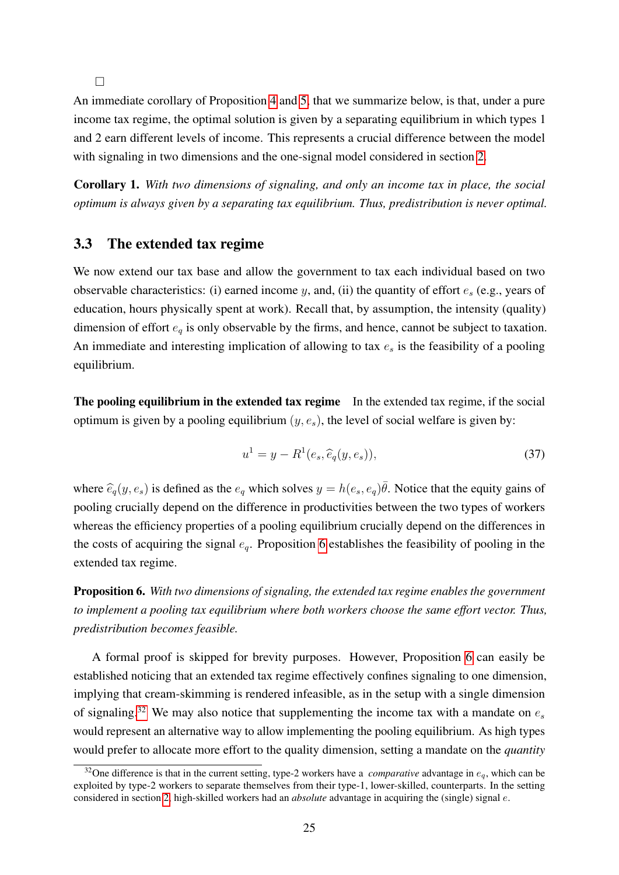$\Box$ 

An immediate corollary of Proposition [4](#page-22-3) and [5,](#page-23-0) that we summarize below, is that, under a pure income tax regime, the optimal solution is given by a separating equilibrium in which types 1 and 2 earn different levels of income. This represents a crucial difference between the model with signaling in two dimensions and the one-signal model considered in section [2.](#page-4-0)

Corollary 1. *With two dimensions of signaling, and only an income tax in place, the social optimum is always given by a separating tax equilibrium. Thus, predistribution is never optimal.*

### <span id="page-24-3"></span>3.3 The extended tax regime

We now extend our tax base and allow the government to tax each individual based on two observable characteristics: (i) earned income y, and, (ii) the quantity of effort  $e_s$  (e.g., years of education, hours physically spent at work). Recall that, by assumption, the intensity (quality) dimension of effort  $e_q$  is only observable by the firms, and hence, cannot be subject to taxation. An immediate and interesting implication of allowing to tax  $e_s$  is the feasibility of a pooling equilibrium.

The pooling equilibrium in the extended tax regime In the extended tax regime, if the social optimum is given by a pooling equilibrium  $(y, e_s)$ , the level of social welfare is given by:

<span id="page-24-2"></span>
$$
u^{1} = y - R^{1}(e_s, \hat{e}_q(y, e_s)),
$$
\n(37)

where  $\hat{e}_q(y, e_s)$  is defined as the  $e_q$  which solves  $y = h(e_s, e_q)\overline{\theta}$ . Notice that the equity gains of pooling crucially depend on the difference in productivities between the two types of workers whereas the efficiency properties of a pooling equilibrium crucially depend on the differences in the costs of acquiring the signal  $e_q$ . Proposition [6](#page-24-0) establishes the feasibility of pooling in the extended tax regime.

<span id="page-24-0"></span>Proposition 6. *With two dimensions of signaling, the extended tax regime enables the government to implement a pooling tax equilibrium where both workers choose the same effort vector. Thus, predistribution becomes feasible.*

A formal proof is skipped for brevity purposes. However, Proposition [6](#page-24-0) can easily be established noticing that an extended tax regime effectively confines signaling to one dimension, implying that cream-skimming is rendered infeasible, as in the setup with a single dimension of signaling.<sup>[32](#page-24-1)</sup> We may also notice that supplementing the income tax with a mandate on  $e_s$ would represent an alternative way to allow implementing the pooling equilibrium. As high types would prefer to allocate more effort to the quality dimension, setting a mandate on the *quantity*

<span id="page-24-1"></span><sup>&</sup>lt;sup>32</sup>One difference is that in the current setting, type-2 workers have a *comparative* advantage in  $e_q$ , which can be exploited by type-2 workers to separate themselves from their type-1, lower-skilled, counterparts. In the setting considered in section [2,](#page-4-0) high-skilled workers had an *absolute* advantage in acquiring the (single) signal e.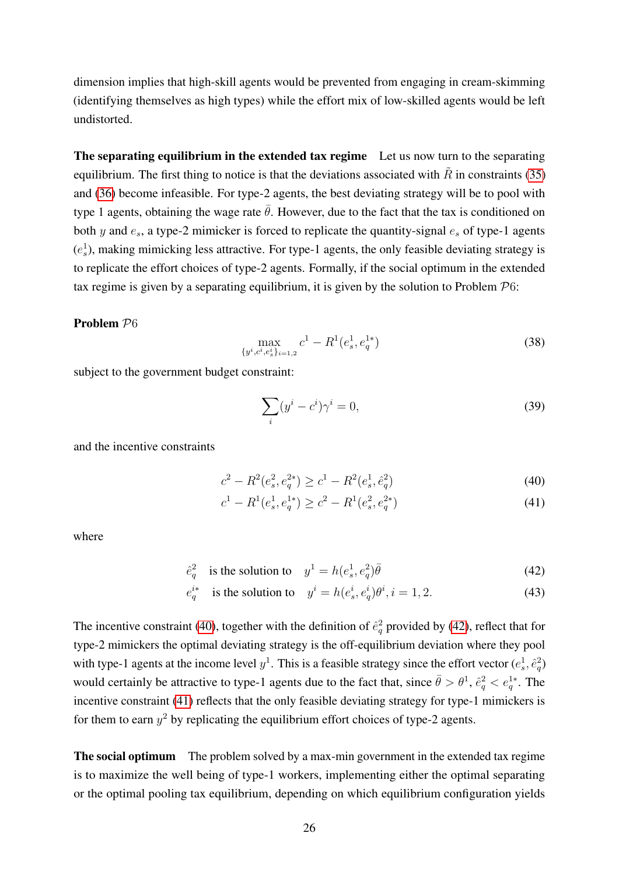dimension implies that high-skill agents would be prevented from engaging in cream-skimming (identifying themselves as high types) while the effort mix of low-skilled agents would be left undistorted.

The separating equilibrium in the extended tax regime Let us now turn to the separating equilibrium. The first thing to notice is that the deviations associated with  $\tilde{R}$  in constraints [\(35\)](#page-21-0) and [\(36\)](#page-21-1) become infeasible. For type-2 agents, the best deviating strategy will be to pool with type 1 agents, obtaining the wage rate  $\bar{\theta}$ . However, due to the fact that the tax is conditioned on both y and  $e_s$ , a type-2 mimicker is forced to replicate the quantity-signal  $e_s$  of type-1 agents  $(e_s^1)$ , making mimicking less attractive. For type-1 agents, the only feasible deviating strategy is to replicate the effort choices of type-2 agents. Formally, if the social optimum in the extended tax regime is given by a separating equilibrium, it is given by the solution to Problem  $\mathcal{P}6$ :

#### Problem P6

$$
\max_{\{y^i, c^i, e_s^i\}_{i=1,2}} c^1 - R^1(e_s^1, e_q^{1*})
$$
\n(38)

subject to the government budget constraint:

<span id="page-25-4"></span><span id="page-25-2"></span><span id="page-25-1"></span><span id="page-25-0"></span>
$$
\sum_{i} (y^i - c^i)\gamma^i = 0,\tag{39}
$$

and the incentive constraints

$$
c^2 - R^2(e_s^2, e_q^{2*}) \ge c^1 - R^2(e_s^1, \hat{e}_q^2)
$$
\n(40)

<span id="page-25-3"></span>
$$
c1 - R1(es1, eq1*) \ge c2 - R1(es2, eq2*)
$$
\n(41)

where

$$
\hat{e}_q^2 \quad \text{is the solution to} \quad y^1 = h(e_s^1, e_q^2)\bar{\theta} \tag{42}
$$

$$
e_q^{i*} \quad \text{is the solution to} \quad y^i = h(e_s^i, e_q^i)\theta^i, i = 1, 2. \tag{43}
$$

The incentive constraint [\(40\)](#page-25-0), together with the definition of  $\hat{e}_q^2$  provided by [\(42\)](#page-25-1), reflect that for type-2 mimickers the optimal deviating strategy is the off-equilibrium deviation where they pool with type-1 agents at the income level  $y^1$ . This is a feasible strategy since the effort vector  $(e_s^1, \hat{e}_q^2)$ would certainly be attractive to type-1 agents due to the fact that, since  $\bar{\theta} > \theta^1$ ,  $\hat{e}_q^2 < e_q^{1*}$ . The incentive constraint [\(41\)](#page-25-2) reflects that the only feasible deviating strategy for type-1 mimickers is for them to earn  $y^2$  by replicating the equilibrium effort choices of type-2 agents.

The social optimum The problem solved by a max-min government in the extended tax regime is to maximize the well being of type-1 workers, implementing either the optimal separating or the optimal pooling tax equilibrium, depending on which equilibrium configuration yields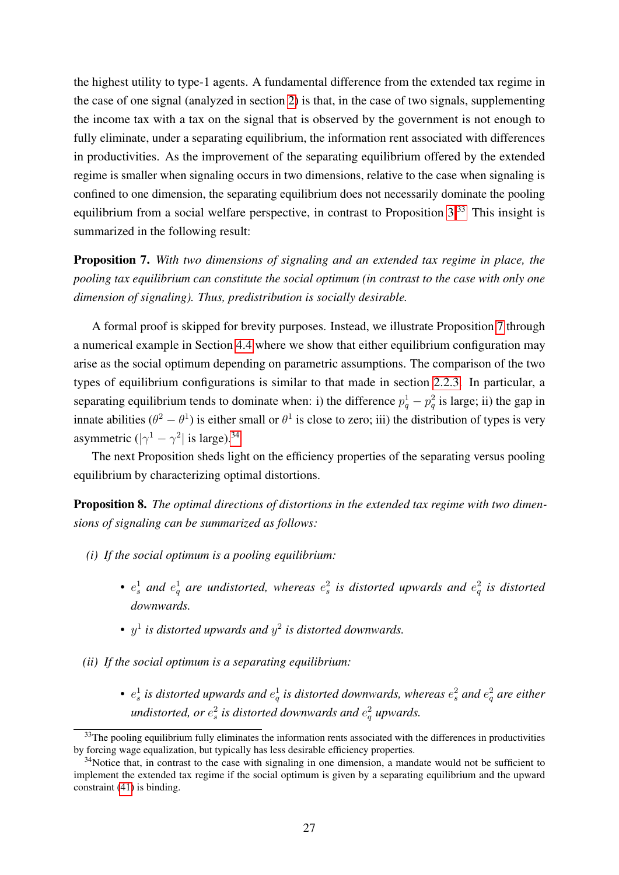the highest utility to type-1 agents. A fundamental difference from the extended tax regime in the case of one signal (analyzed in section [2\)](#page-4-0) is that, in the case of two signals, supplementing the income tax with a tax on the signal that is observed by the government is not enough to fully eliminate, under a separating equilibrium, the information rent associated with differences in productivities. As the improvement of the separating equilibrium offered by the extended regime is smaller when signaling occurs in two dimensions, relative to the case when signaling is confined to one dimension, the separating equilibrium does not necessarily dominate the pooling equilibrium from a social welfare perspective, in contrast to Proposition [3.](#page-13-0)<sup>[33](#page-26-0)</sup> This insight is summarized in the following result:

<span id="page-26-1"></span>Proposition 7. *With two dimensions of signaling and an extended tax regime in place, the pooling tax equilibrium can constitute the social optimum (in contrast to the case with only one dimension of signaling). Thus, predistribution is socially desirable.*

A formal proof is skipped for brevity purposes. Instead, we illustrate Proposition [7](#page-26-1) through a numerical example in Section [4.4](#page-31-0) where we show that either equilibrium configuration may arise as the social optimum depending on parametric assumptions. The comparison of the two types of equilibrium configurations is similar to that made in section [2.2.3.](#page-10-1) In particular, a separating equilibrium tends to dominate when: i) the difference  $p_q^1 - p_q^2$  is large; ii) the gap in innate abilities  $(\theta^2 - \theta^1)$  is either small or  $\theta^1$  is close to zero; iii) the distribution of types is very asymmetric  $(|\gamma^1 - \gamma^2|)$  is large).<sup>[34](#page-26-2)</sup>

The next Proposition sheds light on the efficiency properties of the separating versus pooling equilibrium by characterizing optimal distortions.

<span id="page-26-3"></span>Proposition 8. *The optimal directions of distortions in the extended tax regime with two dimensions of signaling can be summarized as follows:*

- *(i) If the social optimum is a pooling equilibrium:*
	- $e_s^1$  and  $e_q^1$  are undistorted, whereas  $e_s^2$  is distorted upwards and  $e_q^2$  is distorted *downwards.*
	- $y^1$  is distorted upwards and  $y^2$  is distorted downwards.
- *(ii) If the social optimum is a separating equilibrium:*
	- $e_s^1$  is distorted upwards and  $e_q^1$  is distorted downwards, whereas  $e_s^2$  and  $e_q^2$  are either *undistorted, or*  $e_s^2$  *is distorted downwards and*  $e_q^2$  *upwards.*

<span id="page-26-0"></span><sup>&</sup>lt;sup>33</sup>The pooling equilibrium fully eliminates the information rents associated with the differences in productivities by forcing wage equalization, but typically has less desirable efficiency properties.

<span id="page-26-2"></span><sup>&</sup>lt;sup>34</sup>Notice that, in contrast to the case with signaling in one dimension, a mandate would not be sufficient to implement the extended tax regime if the social optimum is given by a separating equilibrium and the upward constraint [\(41\)](#page-25-2) is binding.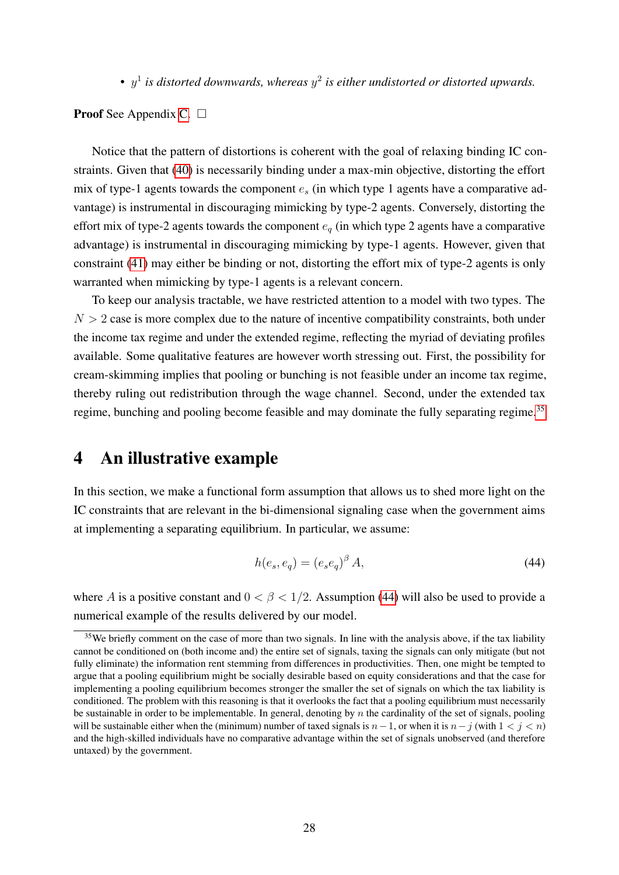•  $y^1$  is distorted downwards, whereas  $y^2$  is either undistorted or distorted upwards.

**Proof** See Appendix [C.](#page-42-0)  $\Box$ 

Notice that the pattern of distortions is coherent with the goal of relaxing binding IC constraints. Given that [\(40\)](#page-25-0) is necessarily binding under a max-min objective, distorting the effort mix of type-1 agents towards the component  $e_s$  (in which type 1 agents have a comparative advantage) is instrumental in discouraging mimicking by type-2 agents. Conversely, distorting the effort mix of type-2 agents towards the component  $e_q$  (in which type 2 agents have a comparative advantage) is instrumental in discouraging mimicking by type-1 agents. However, given that constraint [\(41\)](#page-25-2) may either be binding or not, distorting the effort mix of type-2 agents is only warranted when mimicking by type-1 agents is a relevant concern.

To keep our analysis tractable, we have restricted attention to a model with two types. The  $N > 2$  case is more complex due to the nature of incentive compatibility constraints, both under the income tax regime and under the extended regime, reflecting the myriad of deviating profiles available. Some qualitative features are however worth stressing out. First, the possibility for cream-skimming implies that pooling or bunching is not feasible under an income tax regime, thereby ruling out redistribution through the wage channel. Second, under the extended tax regime, bunching and pooling become feasible and may dominate the fully separating regime.<sup>[35](#page-27-1)</sup>

## <span id="page-27-0"></span>4 An illustrative example

In this section, we make a functional form assumption that allows us to shed more light on the IC constraints that are relevant in the bi-dimensional signaling case when the government aims at implementing a separating equilibrium. In particular, we assume:

<span id="page-27-2"></span>
$$
h(e_s, e_q) = (e_s e_q)^{\beta} A,\tag{44}
$$

where A is a positive constant and  $0 < \beta < 1/2$ . Assumption [\(44\)](#page-27-2) will also be used to provide a numerical example of the results delivered by our model.

<span id="page-27-1"></span><sup>&</sup>lt;sup>35</sup>We briefly comment on the case of more than two signals. In line with the analysis above, if the tax liability cannot be conditioned on (both income and) the entire set of signals, taxing the signals can only mitigate (but not fully eliminate) the information rent stemming from differences in productivities. Then, one might be tempted to argue that a pooling equilibrium might be socially desirable based on equity considerations and that the case for implementing a pooling equilibrium becomes stronger the smaller the set of signals on which the tax liability is conditioned. The problem with this reasoning is that it overlooks the fact that a pooling equilibrium must necessarily be sustainable in order to be implementable. In general, denoting by  $n$  the cardinality of the set of signals, pooling will be sustainable either when the (minimum) number of taxed signals is  $n-1$ , or when it is  $n-j$  (with  $1 < j < n$ ) and the high-skilled individuals have no comparative advantage within the set of signals unobserved (and therefore untaxed) by the government.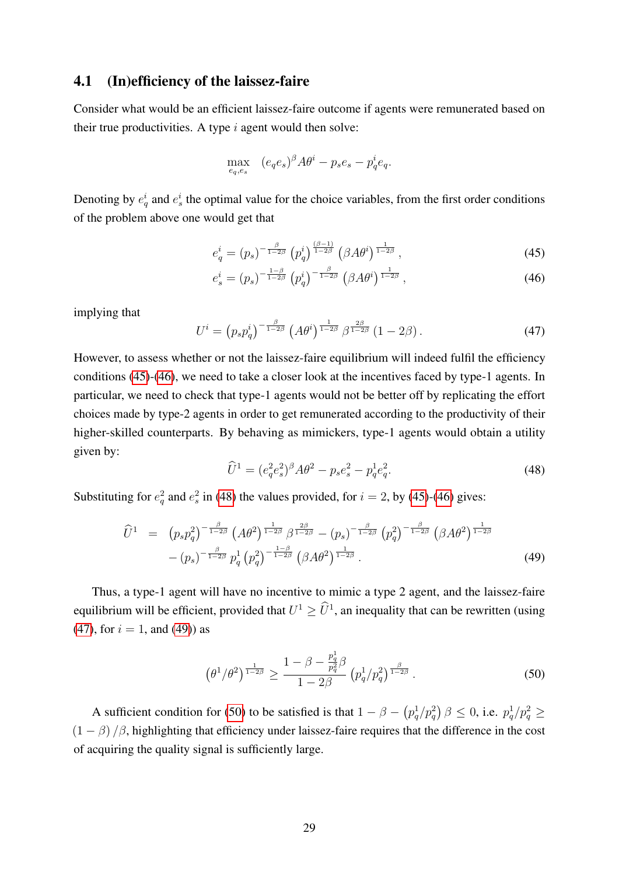### 4.1 (In)efficiency of the laissez-faire

Consider what would be an efficient laissez-faire outcome if agents were remunerated based on their true productivities. A type  $i$  agent would then solve:

<span id="page-28-0"></span>
$$
\max_{e_q,e_s} \quad (e_qe_s)^{\beta}A\theta^i - p_se_s - p_q^i e_q.
$$

Denoting by  $e_q^i$  and  $e_s^i$  the optimal value for the choice variables, from the first order conditions of the problem above one would get that

<span id="page-28-1"></span>
$$
e_q^i = (p_s)^{-\frac{\beta}{1-2\beta}} \left( p_q^i \right)^{\frac{(\beta-1)}{1-2\beta}} \left( \beta A \theta^i \right)^{\frac{1}{1-2\beta}}, \tag{45}
$$

$$
e_s^i = (p_s)^{-\frac{1-\beta}{1-2\beta}} \left( p_q^i \right)^{-\frac{\beta}{1-2\beta}} \left( \beta A \theta^i \right)^{\frac{1}{1-2\beta}}, \tag{46}
$$

implying that

<span id="page-28-3"></span>
$$
U^i = \left(p_s p_q^i\right)^{-\frac{\beta}{1-2\beta}} \left(A\theta^i\right)^{\frac{1}{1-2\beta}} \beta^{\frac{2\beta}{1-2\beta}} \left(1 - 2\beta\right). \tag{47}
$$

However, to assess whether or not the laissez-faire equilibrium will indeed fulfil the efficiency conditions [\(45\)](#page-28-0)-[\(46\)](#page-28-1), we need to take a closer look at the incentives faced by type-1 agents. In particular, we need to check that type-1 agents would not be better off by replicating the effort choices made by type-2 agents in order to get remunerated according to the productivity of their higher-skilled counterparts. By behaving as mimickers, type-1 agents would obtain a utility given by:

<span id="page-28-2"></span>
$$
\widehat{U}^1 = (e_q^2 e_s^2)^{\beta} A \theta^2 - p_s e_s^2 - p_q^1 e_q^2.
$$
\n(48)

Substituting for  $e_q^2$  and  $e_s^2$  in [\(48\)](#page-28-2) the values provided, for  $i = 2$ , by [\(45\)](#page-28-0)-[\(46\)](#page-28-1) gives:

<span id="page-28-4"></span>
$$
\widehat{U}^{1} = (p_{s}p_{q}^{2})^{-\frac{\beta}{1-2\beta}} (A\theta^{2})^{\frac{1}{1-2\beta}} \beta^{\frac{2\beta}{1-2\beta}} - (p_{s})^{-\frac{\beta}{1-2\beta}} (p_{q}^{2})^{-\frac{\beta}{1-2\beta}} (\beta A\theta^{2})^{\frac{1}{1-2\beta}} - (p_{s})^{-\frac{\beta}{1-2\beta}} p_{q}^{1} (p_{q}^{2})^{-\frac{1-\beta}{1-2\beta}} (\beta A\theta^{2})^{\frac{1}{1-2\beta}}.
$$
\n(49)

Thus, a type-1 agent will have no incentive to mimic a type 2 agent, and the laissez-faire equilibrium will be efficient, provided that  $U^1 \geq \hat{U}^1$ , an inequality that can be rewritten (using [\(47\)](#page-28-3), for  $i = 1$ , and [\(49\)](#page-28-4)) as

<span id="page-28-5"></span>
$$
\left(\theta^1/\theta^2\right)^{\frac{1}{1-2\beta}} \ge \frac{1-\beta - \frac{p_q^1}{p_q^2}\beta}{1-2\beta} \left(p_q^1/p_q^2\right)^{\frac{\beta}{1-2\beta}}.\tag{50}
$$

A sufficient condition for [\(50\)](#page-28-5) to be satisfied is that  $1 - \beta - (p_q^1/p_q^2) \beta \le 0$ , i.e.  $p_q^1/p_q^2 \ge 0$  $(1 - \beta)/\beta$ , highlighting that efficiency under laissez-faire requires that the difference in the cost of acquiring the quality signal is sufficiently large.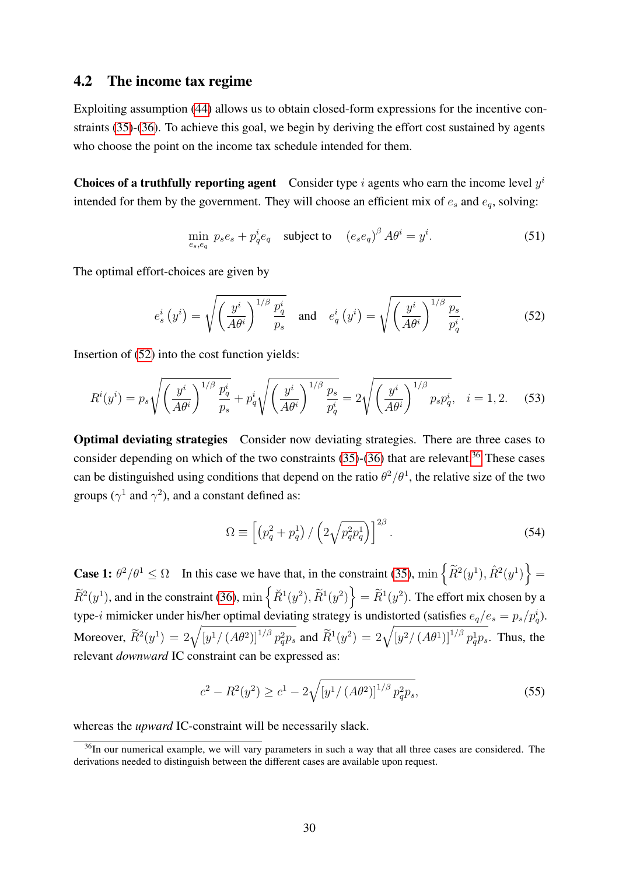### 4.2 The income tax regime

Exploiting assumption [\(44\)](#page-27-2) allows us to obtain closed-form expressions for the incentive constraints [\(35\)](#page-21-0)-[\(36\)](#page-21-1). To achieve this goal, we begin by deriving the effort cost sustained by agents who choose the point on the income tax schedule intended for them.

**Choices of a truthfully reporting agent** Consider type i agents who earn the income level  $y^i$ intended for them by the government. They will choose an efficient mix of  $e_s$  and  $e_q$ , solving:

$$
\min_{e_s, e_q} p_s e_s + p_q^i e_q \quad \text{subject to} \quad (e_s e_q)^\beta A \theta^i = y^i. \tag{51}
$$

The optimal effort-choices are given by

<span id="page-29-0"></span>
$$
e_s^i\left(y^i\right) = \sqrt{\left(\frac{y^i}{A\theta^i}\right)^{1/\beta} \frac{p_q^i}{p_s}} \quad \text{and} \quad e_q^i\left(y^i\right) = \sqrt{\left(\frac{y^i}{A\theta^i}\right)^{1/\beta} \frac{p_s}{p_q^i}}.\tag{52}
$$

Insertion of [\(52\)](#page-29-0) into the cost function yields:

$$
R^{i}(y^{i}) = p_{s} \sqrt{\left(\frac{y^{i}}{A\theta^{i}}\right)^{1/\beta} \frac{p_{q}^{i}}{p_{s}}} + p_{q}^{i} \sqrt{\left(\frac{y^{i}}{A\theta^{i}}\right)^{1/\beta} \frac{p_{s}}{p_{q}^{i}}} = 2\sqrt{\left(\frac{y^{i}}{A\theta^{i}}\right)^{1/\beta} p_{s} p_{q}^{i}}, \quad i = 1, 2.
$$
 (53)

Optimal deviating strategies Consider now deviating strategies. There are three cases to consider depending on which of the two constraints  $(35)-(36)$  $(35)-(36)$  $(35)-(36)$  that are relevant.<sup>[36](#page-29-1)</sup> These cases can be distinguished using conditions that depend on the ratio  $\theta^2/\theta^1$ , the relative size of the two groups ( $\gamma^1$  and  $\gamma^2$ ), and a constant defined as:

$$
\Omega \equiv \left[ \left( p_q^2 + p_q^1 \right) / \left( 2 \sqrt{p_q^2 p_q^1} \right) \right]^{2\beta} . \tag{54}
$$

**Case 1:**  $\theta^2/\theta^1 \leq \Omega$  In this case we have that, in the constraint [\(35\)](#page-21-0),  $\min\left\{\widetilde{R}^2(y^1), \widehat{R}^2(y^1)\right\} =$  $\widetilde{R}^2(y^1)$ , and in the constraint [\(36\)](#page-21-1),  $\min \{ \breve{R}^1(y^2), \widetilde{R}^1(y^2) \} = \widetilde{R}^1(y^2)$ . The effort mix chosen by a type-i mimicker under his/her optimal deviating strategy is undistorted (satisfies  $e_q/e_s = p_s/p_q^i$ ). Moreover,  $\widetilde{R}^2(y^1) = 2\sqrt{\left[y^1/(A\theta^2)\right]^{1/\beta}p_q^2p_s}$  and  $\widetilde{R}^1(y^2) = 2\sqrt{\left[y^2/(A\theta^1)\right]^{1/\beta}p_q^1p_s}$ . Thus, the relevant *downward* IC constraint can be expressed as:

$$
c^{2} - R^{2}(y^{2}) \geq c^{1} - 2\sqrt{\left[y^{1}/\left(A\theta^{2}\right)\right]^{1/\beta} p_{q}^{2} p_{s}},\tag{55}
$$

whereas the *upward* IC-constraint will be necessarily slack.

<span id="page-29-1"></span> $36$ In our numerical example, we will vary parameters in such a way that all three cases are considered. The derivations needed to distinguish between the different cases are available upon request.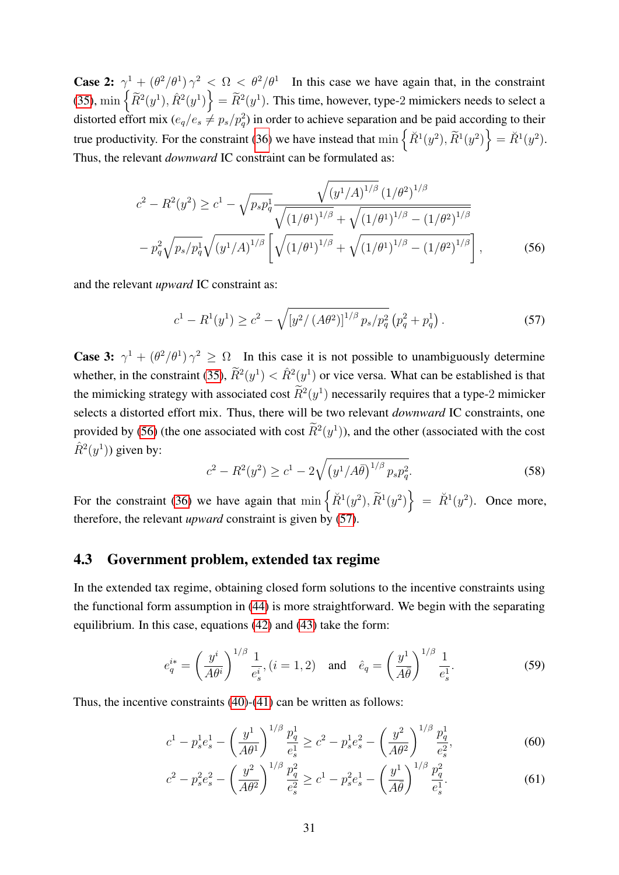**Case 2:**  $\gamma^1 + (\theta^2/\theta^1) \gamma^2 < \Omega < \theta^2/\theta^1$  In this case we have again that, in the constraint [\(35\)](#page-21-0),  $\min \{ \tilde{R}^2(y^1), \hat{R}^2(y^1) \} = \tilde{R}^2(y^1)$ . This time, however, type-2 mimickers needs to select a distorted effort mix  $(e_q/e_s \neq p_s/p_q^2)$  in order to achieve separation and be paid according to their true productivity. For the constraint [\(36\)](#page-21-1) we have instead that  $\min \{ \tilde{R}^1(y^2), \tilde{R}^1(y^2) \} = \tilde{R}^1(y^2)$ . Thus, the relevant *downward* IC constraint can be formulated as:

$$
c^{2} - R^{2}(y^{2}) \geq c^{1} - \sqrt{p_{s}p_{q}^{1}} \frac{\sqrt{(y^{1}/A)^{1/\beta}} (1/\theta^{2})^{1/\beta}}{\sqrt{(1/\theta^{1})^{1/\beta}} + \sqrt{(1/\theta^{1})^{1/\beta}} - (1/\theta^{2})^{1/\beta}}
$$

$$
- p_{q}^{2} \sqrt{p_{s}/p_{q}^{1}} \sqrt{(y^{1}/A)^{1/\beta}} \left[ \sqrt{(1/\theta^{1})^{1/\beta}} + \sqrt{(1/\theta^{1})^{1/\beta}} - (1/\theta^{2})^{1/\beta} \right],
$$
(56)

and the relevant *upward* IC constraint as:

<span id="page-30-1"></span><span id="page-30-0"></span>
$$
c^{1} - R^{1}(y^{1}) \geq c^{2} - \sqrt{\left[y^{2} / (A\theta^{2})\right]^{1/\beta} p_{s} / p_{q}^{2}} \left(p_{q}^{2} + p_{q}^{1}\right). \tag{57}
$$

**Case 3:**  $\gamma^1 + (\theta^2/\theta^1)\gamma^2 \geq \Omega$  In this case it is not possible to unambiguously determine whether, in the constraint [\(35\)](#page-21-0),  $\tilde{R}^2(y^1) < \hat{R}^2(y^1)$  or vice versa. What can be established is that the mimicking strategy with associated cost  $\tilde{R}^2(y^1)$  necessarily requires that a type-2 mimicker selects a distorted effort mix. Thus, there will be two relevant *downward* IC constraints, one provided by [\(56\)](#page-30-0) (the one associated with cost  $\overline{R}^2(y^1)$ ), and the other (associated with the cost  $\hat{R}^2(y^1)$ ) given by:

$$
c^{2} - R^{2}(y^{2}) \geq c^{1} - 2\sqrt{\left(y^{1}/A\bar{\theta}\right)^{1/\beta} p_{s} p_{q}^{2}}.
$$
\n(58)

For the constraint [\(36\)](#page-21-1) we have again that  $\min \left\{ \tilde{R}^1(y^2), \tilde{R}^1(y^2) \right\} = \tilde{R}^1(y^2)$ . Once more, therefore, the relevant *upward* constraint is given by [\(57\)](#page-30-1).

### 4.3 Government problem, extended tax regime

In the extended tax regime, obtaining closed form solutions to the incentive constraints using the functional form assumption in [\(44\)](#page-27-2) is more straightforward. We begin with the separating equilibrium. In this case, equations [\(42\)](#page-25-1) and [\(43\)](#page-25-3) take the form:

$$
e_q^{i*} = \left(\frac{y^i}{A\theta^i}\right)^{1/\beta} \frac{1}{e_s^i}, (i = 1, 2) \text{ and } \hat{e}_q = \left(\frac{y^1}{A\bar{\theta}}\right)^{1/\beta} \frac{1}{e_s^1}.
$$
 (59)

Thus, the incentive constraints [\(40\)](#page-25-0)-[\(41\)](#page-25-2) can be written as follows:

$$
c^{1} - p_{s}^{1}e_{s}^{1} - \left(\frac{y^{1}}{A\theta^{1}}\right)^{1/\beta} \frac{p_{q}^{1}}{e_{s}^{1}} \ge c^{2} - p_{s}^{1}e_{s}^{2} - \left(\frac{y^{2}}{A\theta^{2}}\right)^{1/\beta} \frac{p_{q}^{1}}{e_{s}^{2}},
$$
(60)

$$
c^{2} - p_{s}^{2}e_{s}^{2} - \left(\frac{y^{2}}{A\theta^{2}}\right)^{1/\beta} \frac{p_{q}^{2}}{e_{s}^{2}} \geq c^{1} - p_{s}^{2}e_{s}^{1} - \left(\frac{y^{1}}{A\theta}\right)^{1/\beta} \frac{p_{q}^{2}}{e_{s}^{1}}.
$$
 (61)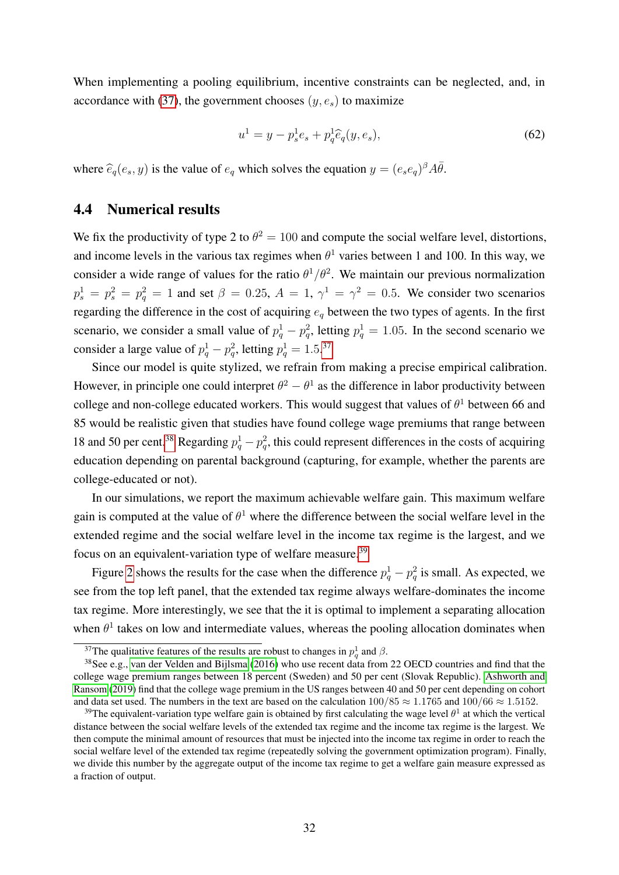When implementing a pooling equilibrium, incentive constraints can be neglected, and, in accordance with [\(37\)](#page-24-2), the government chooses  $(y, e_s)$  to maximize

$$
u^{1} = y - p_{s}^{1} e_{s} + p_{q}^{1} \hat{e}_{q}(y, e_{s}),
$$
\n(62)

where  $\hat{e}_q(e_s, y)$  is the value of  $e_q$  which solves the equation  $y = (e_s e_q)^{\beta} A \overline{\theta}$ .

### <span id="page-31-0"></span>4.4 Numerical results

We fix the productivity of type 2 to  $\theta^2 = 100$  and compute the social welfare level, distortions, and income levels in the various tax regimes when  $\theta^1$  varies between 1 and 100. In this way, we consider a wide range of values for the ratio  $\theta^1/\theta^2$ . We maintain our previous normalization  $p_s^1 = p_s^2 = p_q^2 = 1$  and set  $\beta = 0.25$ ,  $A = 1$ ,  $\gamma^1 = \gamma^2 = 0.5$ . We consider two scenarios regarding the difference in the cost of acquiring  $e_q$  between the two types of agents. In the first scenario, we consider a small value of  $p_q^1 - p_q^2$ , letting  $p_q^1 = 1.05$ . In the second scenario we consider a large value of  $p_q^1 - p_q^2$ , letting  $p_q^1 = 1.5^{37}$  $p_q^1 = 1.5^{37}$  $p_q^1 = 1.5^{37}$ 

Since our model is quite stylized, we refrain from making a precise empirical calibration. However, in principle one could interpret  $\theta^2 - \theta^1$  as the difference in labor productivity between college and non-college educated workers. This would suggest that values of  $\theta^1$  between 66 and 85 would be realistic given that studies have found college wage premiums that range between 18 and 50 per cent.<sup>[38](#page-31-2)</sup> Regarding  $p_q^1 - p_q^2$ , this could represent differences in the costs of acquiring education depending on parental background (capturing, for example, whether the parents are college-educated or not).

In our simulations, we report the maximum achievable welfare gain. This maximum welfare gain is computed at the value of  $\theta^1$  where the difference between the social welfare level in the extended regime and the social welfare level in the income tax regime is the largest, and we focus on an equivalent-variation type of welfare measure.<sup>[39](#page-31-3)</sup>

Figure [2](#page-32-0) shows the results for the case when the difference  $p_q^1 - p_q^2$  is small. As expected, we see from the top left panel, that the extended tax regime always welfare-dominates the income tax regime. More interestingly, we see that the it is optimal to implement a separating allocation when  $\theta$ <sup>1</sup> takes on low and intermediate values, whereas the pooling allocation dominates when

<span id="page-31-2"></span><span id="page-31-1"></span><sup>&</sup>lt;sup>37</sup>The qualitative features of the results are robust to changes in  $p_q^1$  and  $\beta$ .

<sup>38</sup>See e.g., [van der Velden and Bijlsma](#page-38-2) [\(2016\)](#page-38-2) who use recent data from 22 OECD countries and find that the college wage premium ranges between 18 percent (Sweden) and 50 per cent (Slovak Republic). [Ashworth and](#page-36-14) [Ransom](#page-36-14) [\(2019\)](#page-36-14) find that the college wage premium in the US ranges between 40 and 50 per cent depending on cohort and data set used. The numbers in the text are based on the calculation  $100/85 \approx 1.1765$  and  $100/66 \approx 1.5152$ .

<span id="page-31-3"></span><sup>&</sup>lt;sup>39</sup>The equivalent-variation type welfare gain is obtained by first calculating the wage level  $\theta^1$  at which the vertical distance between the social welfare levels of the extended tax regime and the income tax regime is the largest. We then compute the minimal amount of resources that must be injected into the income tax regime in order to reach the social welfare level of the extended tax regime (repeatedly solving the government optimization program). Finally, we divide this number by the aggregate output of the income tax regime to get a welfare gain measure expressed as a fraction of output.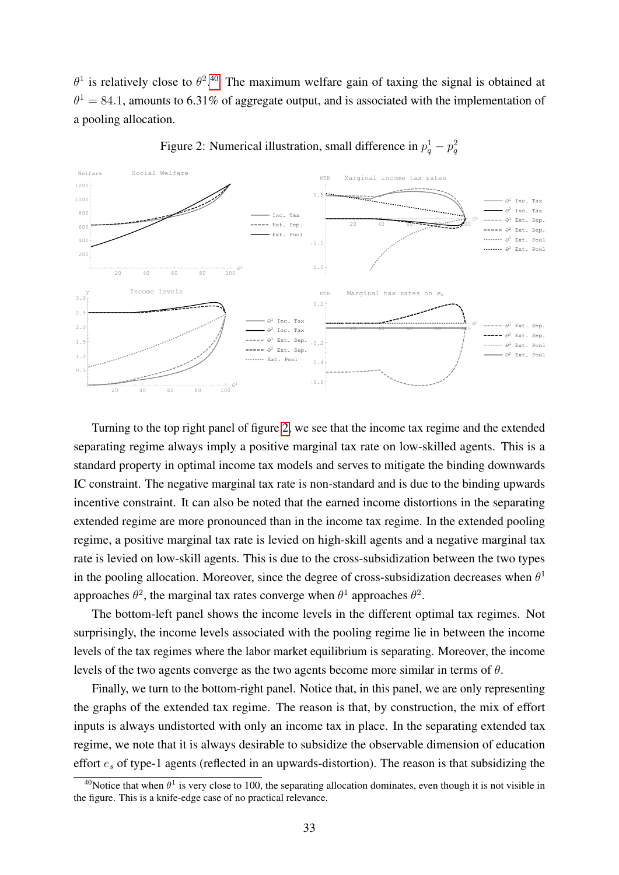$\theta^1$  is relatively close to  $\theta^{2,40}$  $\theta^{2,40}$  $\theta^{2,40}$  The maximum welfare gain of taxing the signal is obtained at  $\theta$ <sup>1</sup> = 84.1, amounts to 6.31% of aggregate output, and is associated with the implementation of a pooling allocation.

<span id="page-32-0"></span>



Turning to the top right panel of figure [2,](#page-32-0) we see that the income tax regime and the extended separating regime always imply a positive marginal tax rate on low-skilled agents. This is a standard property in optimal income tax models and serves to mitigate the binding downwards IC constraint. The negative marginal tax rate is non-standard and is due to the binding upwards incentive constraint. It can also be noted that the earned income distortions in the separating extended regime are more pronounced than in the income tax regime. In the extended pooling regime, a positive marginal tax rate is levied on high-skill agents and a negative marginal tax rate is levied on low-skill agents. This is due to the cross-subsidization between the two types in the pooling allocation. Moreover, since the degree of cross-subsidization decreases when  $\theta^1$ approaches  $\theta^2$ , the marginal tax rates converge when  $\theta^1$  approaches  $\theta^2$ .

The bottom-left panel shows the income levels in the different optimal tax regimes. Not surprisingly, the income levels associated with the pooling regime lie in between the income levels of the tax regimes where the labor market equilibrium is separating. Moreover, the income levels of the two agents converge as the two agents become more similar in terms of  $\theta$ .

Finally, we turn to the bottom-right panel. Notice that, in this panel, we are only representing the graphs of the extended tax regime. The reason is that, by construction, the mix of effort inputs is always undistorted with only an income tax in place. In the separating extended tax regime, we note that it is always desirable to subsidize the observable dimension of education effort  $e_s$  of type-1 agents (reflected in an upwards-distortion). The reason is that subsidizing the

<span id="page-32-1"></span><sup>&</sup>lt;sup>40</sup>Notice that when  $\theta^1$  is very close to 100, the separating allocation dominates, even though it is not visible in the figure. This is a knife-edge case of no practical relevance.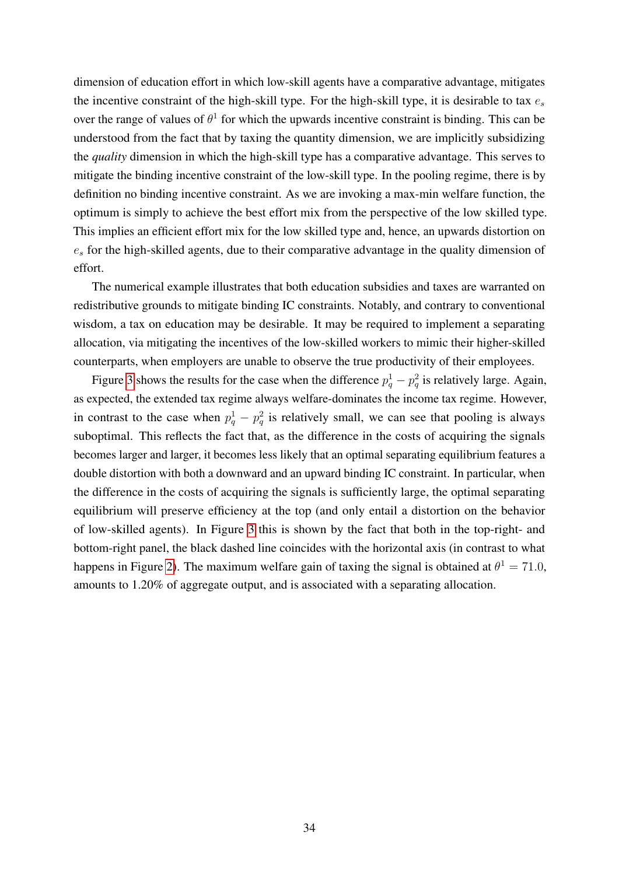dimension of education effort in which low-skill agents have a comparative advantage, mitigates the incentive constraint of the high-skill type. For the high-skill type, it is desirable to tax  $e_s$ over the range of values of  $\theta^1$  for which the upwards incentive constraint is binding. This can be understood from the fact that by taxing the quantity dimension, we are implicitly subsidizing the *quality* dimension in which the high-skill type has a comparative advantage. This serves to mitigate the binding incentive constraint of the low-skill type. In the pooling regime, there is by definition no binding incentive constraint. As we are invoking a max-min welfare function, the optimum is simply to achieve the best effort mix from the perspective of the low skilled type. This implies an efficient effort mix for the low skilled type and, hence, an upwards distortion on  $e_s$  for the high-skilled agents, due to their comparative advantage in the quality dimension of effort.

The numerical example illustrates that both education subsidies and taxes are warranted on redistributive grounds to mitigate binding IC constraints. Notably, and contrary to conventional wisdom, a tax on education may be desirable. It may be required to implement a separating allocation, via mitigating the incentives of the low-skilled workers to mimic their higher-skilled counterparts, when employers are unable to observe the true productivity of their employees.

Figure [3](#page-34-1) shows the results for the case when the difference  $p_q^1 - p_q^2$  is relatively large. Again, as expected, the extended tax regime always welfare-dominates the income tax regime. However, in contrast to the case when  $p_q^1 - p_q^2$  is relatively small, we can see that pooling is always suboptimal. This reflects the fact that, as the difference in the costs of acquiring the signals becomes larger and larger, it becomes less likely that an optimal separating equilibrium features a double distortion with both a downward and an upward binding IC constraint. In particular, when the difference in the costs of acquiring the signals is sufficiently large, the optimal separating equilibrium will preserve efficiency at the top (and only entail a distortion on the behavior of low-skilled agents). In Figure [3](#page-34-1) this is shown by the fact that both in the top-right- and bottom-right panel, the black dashed line coincides with the horizontal axis (in contrast to what happens in Figure [2\)](#page-32-0). The maximum welfare gain of taxing the signal is obtained at  $\theta^1 = 71.0$ , amounts to 1.20% of aggregate output, and is associated with a separating allocation.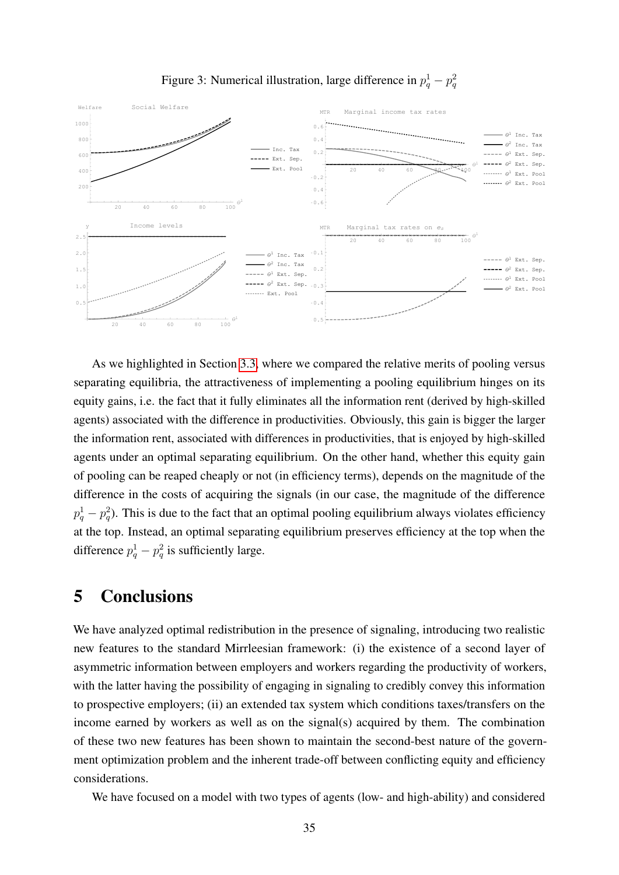<span id="page-34-1"></span>

Figure 3: Numerical illustration, large difference in  $p_q^1 - p_q^2$ 

As we highlighted in Section [3.3,](#page-24-3) where we compared the relative merits of pooling versus separating equilibria, the attractiveness of implementing a pooling equilibrium hinges on its equity gains, i.e. the fact that it fully eliminates all the information rent (derived by high-skilled agents) associated with the difference in productivities. Obviously, this gain is bigger the larger the information rent, associated with differences in productivities, that is enjoyed by high-skilled agents under an optimal separating equilibrium. On the other hand, whether this equity gain of pooling can be reaped cheaply or not (in efficiency terms), depends on the magnitude of the difference in the costs of acquiring the signals (in our case, the magnitude of the difference  $p_q^1 - p_q^2$ ). This is due to the fact that an optimal pooling equilibrium always violates efficiency at the top. Instead, an optimal separating equilibrium preserves efficiency at the top when the difference  $p_q^1 - p_q^2$  is sufficiently large.

## <span id="page-34-0"></span>5 Conclusions

We have analyzed optimal redistribution in the presence of signaling, introducing two realistic new features to the standard Mirrleesian framework: (i) the existence of a second layer of asymmetric information between employers and workers regarding the productivity of workers, with the latter having the possibility of engaging in signaling to credibly convey this information to prospective employers; (ii) an extended tax system which conditions taxes/transfers on the income earned by workers as well as on the signal(s) acquired by them. The combination of these two new features has been shown to maintain the second-best nature of the government optimization problem and the inherent trade-off between conflicting equity and efficiency considerations.

We have focused on a model with two types of agents (low- and high-ability) and considered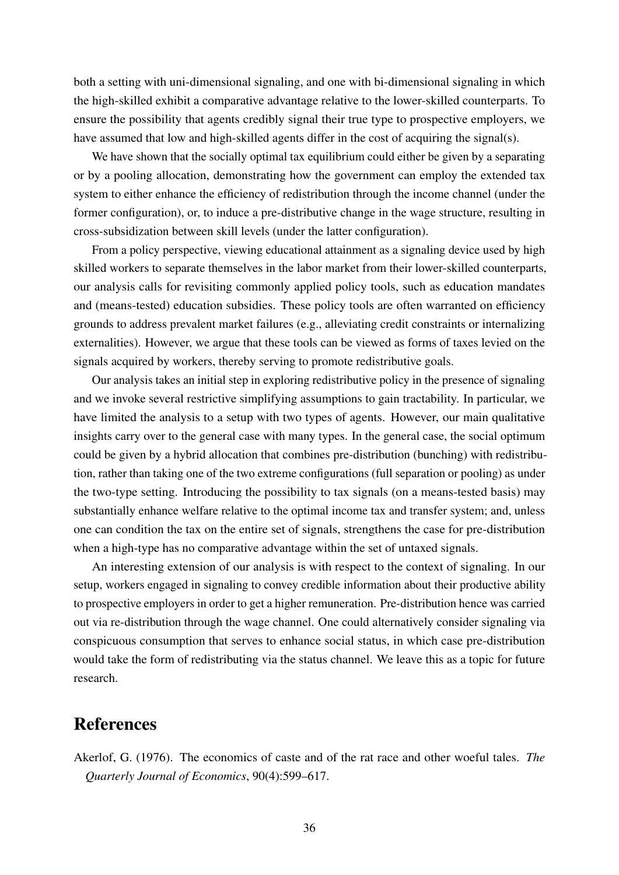both a setting with uni-dimensional signaling, and one with bi-dimensional signaling in which the high-skilled exhibit a comparative advantage relative to the lower-skilled counterparts. To ensure the possibility that agents credibly signal their true type to prospective employers, we have assumed that low and high-skilled agents differ in the cost of acquiring the signal(s).

We have shown that the socially optimal tax equilibrium could either be given by a separating or by a pooling allocation, demonstrating how the government can employ the extended tax system to either enhance the efficiency of redistribution through the income channel (under the former configuration), or, to induce a pre-distributive change in the wage structure, resulting in cross-subsidization between skill levels (under the latter configuration).

From a policy perspective, viewing educational attainment as a signaling device used by high skilled workers to separate themselves in the labor market from their lower-skilled counterparts, our analysis calls for revisiting commonly applied policy tools, such as education mandates and (means-tested) education subsidies. These policy tools are often warranted on efficiency grounds to address prevalent market failures (e.g., alleviating credit constraints or internalizing externalities). However, we argue that these tools can be viewed as forms of taxes levied on the signals acquired by workers, thereby serving to promote redistributive goals.

Our analysis takes an initial step in exploring redistributive policy in the presence of signaling and we invoke several restrictive simplifying assumptions to gain tractability. In particular, we have limited the analysis to a setup with two types of agents. However, our main qualitative insights carry over to the general case with many types. In the general case, the social optimum could be given by a hybrid allocation that combines pre-distribution (bunching) with redistribution, rather than taking one of the two extreme configurations (full separation or pooling) as under the two-type setting. Introducing the possibility to tax signals (on a means-tested basis) may substantially enhance welfare relative to the optimal income tax and transfer system; and, unless one can condition the tax on the entire set of signals, strengthens the case for pre-distribution when a high-type has no comparative advantage within the set of untaxed signals.

An interesting extension of our analysis is with respect to the context of signaling. In our setup, workers engaged in signaling to convey credible information about their productive ability to prospective employers in order to get a higher remuneration. Pre-distribution hence was carried out via re-distribution through the wage channel. One could alternatively consider signaling via conspicuous consumption that serves to enhance social status, in which case pre-distribution would take the form of redistributing via the status channel. We leave this as a topic for future research.

## References

<span id="page-35-0"></span>Akerlof, G. (1976). The economics of caste and of the rat race and other woeful tales. *The Quarterly Journal of Economics*, 90(4):599–617.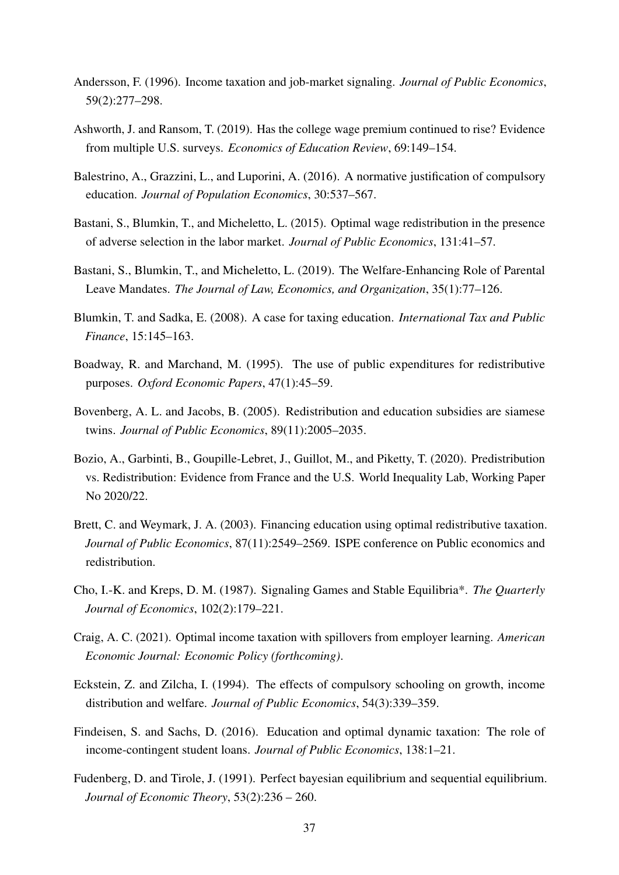- <span id="page-36-2"></span>Andersson, F. (1996). Income taxation and job-market signaling. *Journal of Public Economics*, 59(2):277–298.
- <span id="page-36-14"></span>Ashworth, J. and Ransom, T. (2019). Has the college wage premium continued to rise? Evidence from multiple U.S. surveys. *Economics of Education Review*, 69:149–154.
- <span id="page-36-13"></span>Balestrino, A., Grazzini, L., and Luporini, A. (2016). A normative justification of compulsory education. *Journal of Population Economics*, 30:537–567.
- <span id="page-36-0"></span>Bastani, S., Blumkin, T., and Micheletto, L. (2015). Optimal wage redistribution in the presence of adverse selection in the labor market. *Journal of Public Economics*, 131:41–57.
- <span id="page-36-9"></span>Bastani, S., Blumkin, T., and Micheletto, L. (2019). The Welfare-Enhancing Role of Parental Leave Mandates. *The Journal of Law, Economics, and Organization*, 35(1):77–126.
- <span id="page-36-7"></span>Blumkin, T. and Sadka, E. (2008). A case for taxing education. *International Tax and Public Finance*, 15:145–163.
- <span id="page-36-4"></span>Boadway, R. and Marchand, M. (1995). The use of public expenditures for redistributive purposes. *Oxford Economic Papers*, 47(1):45–59.
- <span id="page-36-6"></span>Bovenberg, A. L. and Jacobs, B. (2005). Redistribution and education subsidies are siamese twins. *Journal of Public Economics*, 89(11):2005–2035.
- <span id="page-36-3"></span>Bozio, A., Garbinti, B., Goupille-Lebret, J., Guillot, M., and Piketty, T. (2020). Predistribution vs. Redistribution: Evidence from France and the U.S. World Inequality Lab, Working Paper No 2020/22.
- <span id="page-36-5"></span>Brett, C. and Weymark, J. A. (2003). Financing education using optimal redistributive taxation. *Journal of Public Economics*, 87(11):2549–2569. ISPE conference on Public economics and redistribution.
- <span id="page-36-10"></span>Cho, I.-K. and Kreps, D. M. (1987). Signaling Games and Stable Equilibria\*. *The Quarterly Journal of Economics*, 102(2):179–221.
- <span id="page-36-1"></span>Craig, A. C. (2021). Optimal income taxation with spillovers from employer learning. *American Economic Journal: Economic Policy (forthcoming)*.
- <span id="page-36-12"></span>Eckstein, Z. and Zilcha, I. (1994). The effects of compulsory schooling on growth, income distribution and welfare. *Journal of Public Economics*, 54(3):339–359.
- <span id="page-36-8"></span>Findeisen, S. and Sachs, D. (2016). Education and optimal dynamic taxation: The role of income-contingent student loans. *Journal of Public Economics*, 138:1–21.
- <span id="page-36-11"></span>Fudenberg, D. and Tirole, J. (1991). Perfect bayesian equilibrium and sequential equilibrium. *Journal of Economic Theory*, 53(2):236 – 260.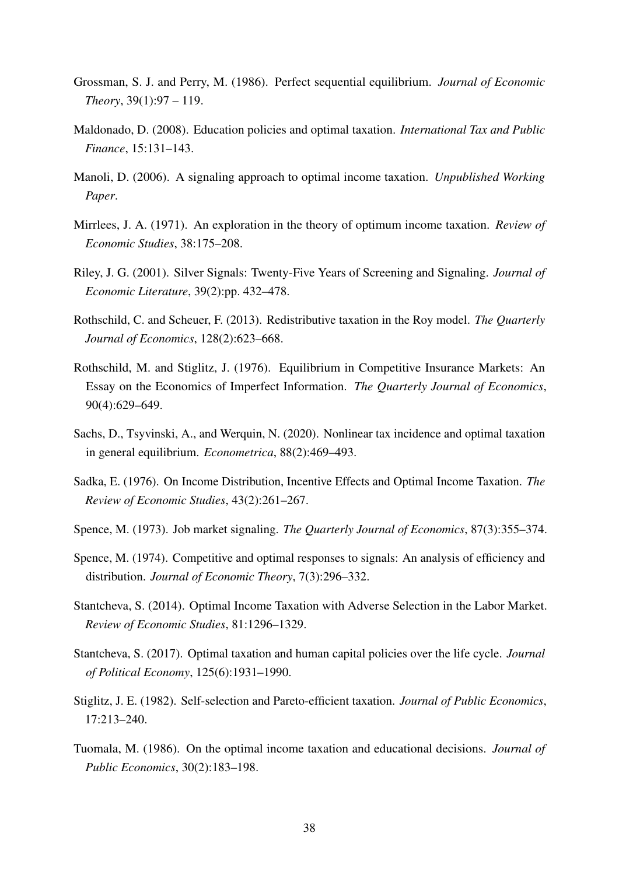- <span id="page-37-12"></span>Grossman, S. J. and Perry, M. (1986). Perfect sequential equilibrium. *Journal of Economic Theory*, 39(1):97 – 119.
- <span id="page-37-10"></span>Maldonado, D. (2008). Education policies and optimal taxation. *International Tax and Public Finance*, 15:131–143.
- <span id="page-37-7"></span>Manoli, D. (2006). A signaling approach to optimal income taxation. *Unpublished Working Paper*.
- <span id="page-37-0"></span>Mirrlees, J. A. (1971). An exploration in the theory of optimum income taxation. *Review of Economic Studies*, 38:175–208.
- <span id="page-37-11"></span>Riley, J. G. (2001). Silver Signals: Twenty-Five Years of Screening and Signaling. *Journal of Economic Literature*, 39(2):pp. 432–478.
- <span id="page-37-4"></span>Rothschild, C. and Scheuer, F. (2013). Redistributive taxation in the Roy model. *The Quarterly Journal of Economics*, 128(2):623–668.
- <span id="page-37-13"></span>Rothschild, M. and Stiglitz, J. (1976). Equilibrium in Competitive Insurance Markets: An Essay on the Economics of Imperfect Information. *The Quarterly Journal of Economics*, 90(4):629–649.
- <span id="page-37-5"></span>Sachs, D., Tsyvinski, A., and Werquin, N. (2020). Nonlinear tax incidence and optimal taxation in general equilibrium. *Econometrica*, 88(2):469–493.
- <span id="page-37-14"></span>Sadka, E. (1976). On Income Distribution, Incentive Effects and Optimal Income Taxation. *The Review of Economic Studies*, 43(2):261–267.
- <span id="page-37-1"></span>Spence, M. (1973). Job market signaling. *The Quarterly Journal of Economics*, 87(3):355–374.
- <span id="page-37-6"></span>Spence, M. (1974). Competitive and optimal responses to signals: An analysis of efficiency and distribution. *Journal of Economic Theory*, 7(3):296–332.
- <span id="page-37-2"></span>Stantcheva, S. (2014). Optimal Income Taxation with Adverse Selection in the Labor Market. *Review of Economic Studies*, 81:1296–1329.
- <span id="page-37-8"></span>Stantcheva, S. (2017). Optimal taxation and human capital policies over the life cycle. *Journal of Political Economy*, 125(6):1931–1990.
- <span id="page-37-3"></span>Stiglitz, J. E. (1982). Self-selection and Pareto-efficient taxation. *Journal of Public Economics*, 17:213–240.
- <span id="page-37-9"></span>Tuomala, M. (1986). On the optimal income taxation and educational decisions. *Journal of Public Economics*, 30(2):183–198.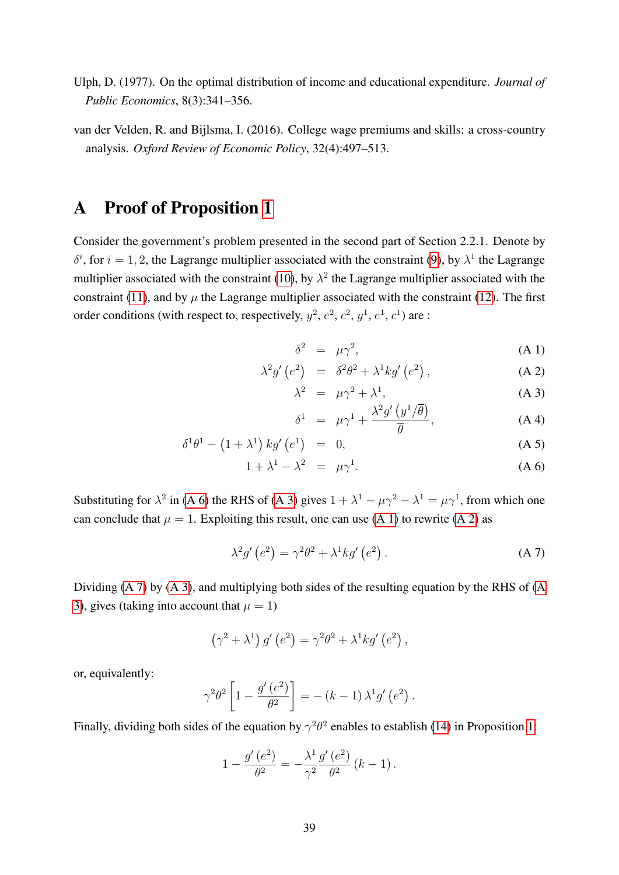- <span id="page-38-0"></span>Ulph, D. (1977). On the optimal distribution of income and educational expenditure. *Journal of Public Economics*, 8(3):341–356.
- <span id="page-38-2"></span>van der Velden, R. and Bijlsma, I. (2016). College wage premiums and skills: a cross-country analysis. *Oxford Review of Economic Policy*, 32(4):497–513.

## <span id="page-38-1"></span>A Proof of Proposition [1](#page-10-2)

Consider the government's problem presented in the second part of Section 2.2.1. Denote by  $\delta^i$ , for  $i = 1, 2$ , the Lagrange multiplier associated with the constraint [\(9\)](#page-9-3), by  $\lambda^1$  the Lagrange multiplier associated with the constraint [\(10\)](#page-9-1), by  $\lambda^2$  the Lagrange multiplier associated with the constraint [\(11\)](#page-9-0), and by  $\mu$  the Lagrange multiplier associated with the constraint [\(12\)](#page-9-2). The first order conditions (with respect to, respectively,  $y^2$ ,  $e^2$ ,  $c^2$ ,  $y^1$ ,  $e^1$ ,  $c^1$ ) are :

<span id="page-38-3"></span>
$$
\delta^2 = \mu \gamma^2, \tag{A.1}
$$

$$
\lambda^2 g' \left( e^2 \right) = \delta^2 \theta^2 + \lambda^1 k g' \left( e^2 \right), \tag{A.2}
$$

$$
\lambda^2 = \mu \gamma^2 + \lambda^1, \tag{A 3}
$$

$$
\delta^{1} = \mu \gamma^{1} + \frac{\lambda^{2} g^{\prime} (y^{1}/\overline{\theta})}{\overline{\theta}}, \qquad (A \ 4)
$$

$$
\delta^1 \theta^1 - \left(1 + \lambda^1\right) kg' \left(e^1\right) = 0, \tag{A 5}
$$

$$
1 + \lambda^1 - \lambda^2 = \mu \gamma^1. \tag{A 6}
$$

Substituting for  $\lambda^2$  in [\(A 6\)](#page-38-3) the RHS of [\(A 3\)](#page-38-3) gives  $1 + \lambda^1 - \mu \gamma^2 - \lambda^1 = \mu \gamma^1$ , from which one can conclude that  $\mu = 1$ . Exploiting this result, one can use [\(A 1\)](#page-38-3) to rewrite [\(A 2\)](#page-38-3) as

<span id="page-38-4"></span>
$$
\lambda^2 g' \left( e^2 \right) = \gamma^2 \theta^2 + \lambda^1 k g' \left( e^2 \right). \tag{A 7}
$$

Dividing [\(A 7\)](#page-38-4) by [\(A 3\)](#page-38-3), and multiplying both sides of the resulting equation by the RHS of [\(A](#page-38-3) [3\)](#page-38-3), gives (taking into account that  $\mu = 1$ )

$$
(\gamma^2 + \lambda^1) g'(e^2) = \gamma^2 \theta^2 + \lambda^1 k g'(e^2) ,
$$

or, equivalently:

$$
\gamma^2 \theta^2 \left[ 1 - \frac{g'(e^2)}{\theta^2} \right] = -(k-1) \lambda^1 g'(e^2).
$$

Finally, dividing both sides of the equation by  $\gamma^2\theta^2$  enables to establish [\(14\)](#page-11-1) in Proposition [1:](#page-10-2)

$$
1 - \frac{g'(e^2)}{\theta^2} = -\frac{\lambda^1}{\gamma^2} \frac{g'(e^2)}{\theta^2} (k-1).
$$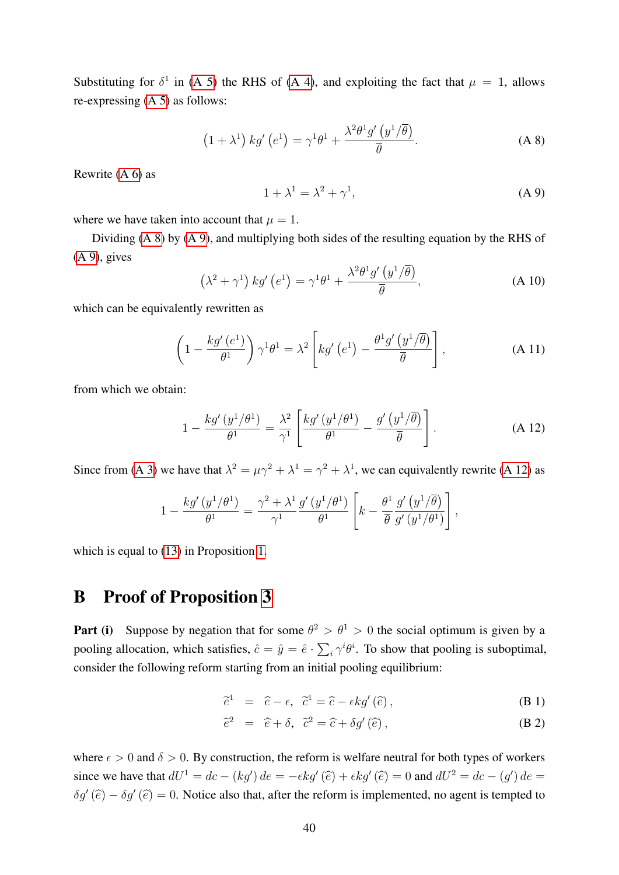Substituting for  $\delta^1$  in [\(A 5\)](#page-38-3) the RHS of [\(A 4\)](#page-38-3), and exploiting the fact that  $\mu = 1$ , allows re-expressing [\(A 5\)](#page-38-3) as follows:

<span id="page-39-0"></span>
$$
(1 + \lambda^1) k g' (e^1) = \gamma^1 \theta^1 + \frac{\lambda^2 \theta^1 g' (y^1/\overline{\theta})}{\overline{\theta}}.
$$
 (A 8)

Rewrite [\(A 6\)](#page-38-3) as

<span id="page-39-1"></span>
$$
1 + \lambda^1 = \lambda^2 + \gamma^1,\tag{A 9}
$$

where we have taken into account that  $\mu = 1$ .

Dividing [\(A 8\)](#page-39-0) by [\(A 9\)](#page-39-1), and multiplying both sides of the resulting equation by the RHS of  $(A 9)$ , gives

$$
\left(\lambda^2 + \gamma^1\right) kg'\left(e^1\right) = \gamma^1 \theta^1 + \frac{\lambda^2 \theta^1 g'\left(y^1/\overline{\theta}\right)}{\overline{\theta}},\tag{A.10}
$$

which can be equivalently rewritten as

$$
\left(1 - \frac{kg'(e^1)}{\theta^1}\right)\gamma^1\theta^1 = \lambda^2 \left[kg'(e^1) - \frac{\theta^1 g'(y^1/\overline{\theta})}{\overline{\theta}}\right],\tag{A.11}
$$

from which we obtain:

<span id="page-39-3"></span>
$$
1 - \frac{kg'(y^1/\theta^1)}{\theta^1} = \frac{\lambda^2}{\gamma^1} \left[ \frac{kg'(y^1/\theta^1)}{\theta^1} - \frac{g'(y^1/\overline{\theta})}{\overline{\theta}} \right].
$$
 (A 12)

Since from [\(A 3\)](#page-38-3) we have that  $\lambda^2 = \mu \gamma^2 + \lambda^1 = \gamma^2 + \lambda^1$ , we can equivalently rewrite [\(A 12\)](#page-39-3) as

$$
1 - \frac{kg'(y^1/\theta^1)}{\theta^1} = \frac{\gamma^2 + \lambda^1}{\gamma^1} \frac{g'(y^1/\theta^1)}{\theta^1} \left[ k - \frac{\theta^1}{\overline{\theta}} \frac{g'(y^1/\overline{\theta})}{g'(y^1/\theta^1)} \right],
$$

which is equal to  $(13)$  in Proposition [1.](#page-10-2)

## <span id="page-39-2"></span>B Proof of Proposition [3](#page-13-0)

**Part (i)** Suppose by negation that for some  $\theta^2 > \theta^1 > 0$  the social optimum is given by a pooling allocation, which satisfies,  $\hat{c} = \hat{y} = \hat{e} \cdot \sum_i \gamma^i \theta^i$ . To show that pooling is suboptimal, consider the following reform starting from an initial pooling equilibrium:

$$
\tilde{e}^1 = \hat{e} - \epsilon, \quad \tilde{c}^1 = \hat{c} - \epsilon k g'(\hat{e}), \tag{B.1}
$$

$$
\tilde{e}^2 = \hat{e} + \delta, \quad \tilde{c}^2 = \hat{c} + \delta g'(\hat{e}), \tag{B.2}
$$

where  $\epsilon > 0$  and  $\delta > 0$ . By construction, the reform is welfare neutral for both types of workers since we have that  $dU^1 = dc - (kg')de = -\epsilon kg'(\hat{e}) + \epsilon kg'(\hat{e}) = 0$  and  $dU^2 = dc - (g')de =$  $\delta g'(\hat{e}) - \delta g'(\hat{e}) = 0$ . Notice also that, after the reform is implemented, no agent is tempted to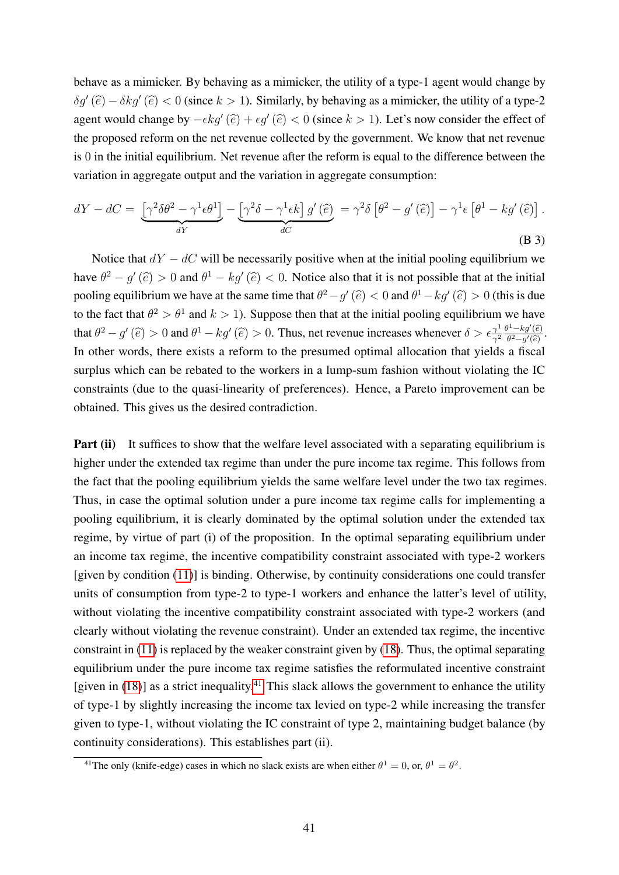behave as a mimicker. By behaving as a mimicker, the utility of a type-1 agent would change by  $\delta g'(\hat{e}) - \delta k g'(\hat{e}) < 0$  (since  $k > 1$ ). Similarly, by behaving as a mimicker, the utility of a type-2 agent would change by  $-\epsilon k g'(\hat{e}) + \epsilon g'(\hat{e}) < 0$  (since  $k > 1$ ). Let's now consider the effect of the proposed reform on the net revenue collected by the government. We know that net revenue is 0 in the initial equilibrium. Net revenue after the reform is equal to the difference between the variation in aggregate output and the variation in aggregate consumption:

$$
dY - dC = \underbrace{\left[\gamma^2 \delta\theta^2 - \gamma^1 \epsilon\theta^1\right]}_{dY} - \underbrace{\left[\gamma^2 \delta - \gamma^1 \epsilon k\right] g'(\hat{e})}_{dC} = \gamma^2 \delta \left[\theta^2 - g'(\hat{e})\right] - \gamma^1 \epsilon \left[\theta^1 - k g'(\hat{e})\right].
$$
\n(B 3)

Notice that  $dY - dC$  will be necessarily positive when at the initial pooling equilibrium we have  $\theta^2 - g'(\hat{e}) > 0$  and  $\theta^1 - kg'(\hat{e}) < 0$ . Notice also that it is not possible that at the initial pooling equilibrium we have at the same time that  $\theta^2 - g'(\hat{e}) < 0$  and  $\theta^1 - k g'(\hat{e}) > 0$  (this is due to the fact that  $\theta^2 > \theta^1$  and  $k > 1$ ). Suppose then that at the initial pooling equilibrium we have that  $\theta^2 - g'(\hat{e}) > 0$  and  $\theta^1 - kg'(\hat{e}) > 0$ . Thus, net revenue increases whenever  $\delta > \epsilon \frac{\gamma^1}{\gamma^2}$  $\frac{\gamma^1}{\gamma^2} \frac{\theta^1 - k g'(\widehat{e})}{\theta^2 - g'(\widehat{e})}.$ In other words, there exists a reform to the presumed optimal allocation that yields a fiscal surplus which can be rebated to the workers in a lump-sum fashion without violating the IC constraints (due to the quasi-linearity of preferences). Hence, a Pareto improvement can be obtained. This gives us the desired contradiction.

**Part (ii)** It suffices to show that the welfare level associated with a separating equilibrium is higher under the extended tax regime than under the pure income tax regime. This follows from the fact that the pooling equilibrium yields the same welfare level under the two tax regimes. Thus, in case the optimal solution under a pure income tax regime calls for implementing a pooling equilibrium, it is clearly dominated by the optimal solution under the extended tax regime, by virtue of part (i) of the proposition. In the optimal separating equilibrium under an income tax regime, the incentive compatibility constraint associated with type-2 workers [given by condition [\(11\)](#page-9-0)] is binding. Otherwise, by continuity considerations one could transfer units of consumption from type-2 to type-1 workers and enhance the latter's level of utility, without violating the incentive compatibility constraint associated with type-2 workers (and clearly without violating the revenue constraint). Under an extended tax regime, the incentive constraint in [\(11\)](#page-9-0) is replaced by the weaker constraint given by [\(18\)](#page-13-3). Thus, the optimal separating equilibrium under the pure income tax regime satisfies the reformulated incentive constraint [given in [\(18\)](#page-13-3)] as a strict inequality.<sup>[41](#page-40-0)</sup> This slack allows the government to enhance the utility of type-1 by slightly increasing the income tax levied on type-2 while increasing the transfer given to type-1, without violating the IC constraint of type 2, maintaining budget balance (by continuity considerations). This establishes part (ii).

<span id="page-40-0"></span><sup>&</sup>lt;sup>41</sup>The only (knife-edge) cases in which no slack exists are when either  $\theta^1 = 0$ , or,  $\theta^1 = \theta^2$ .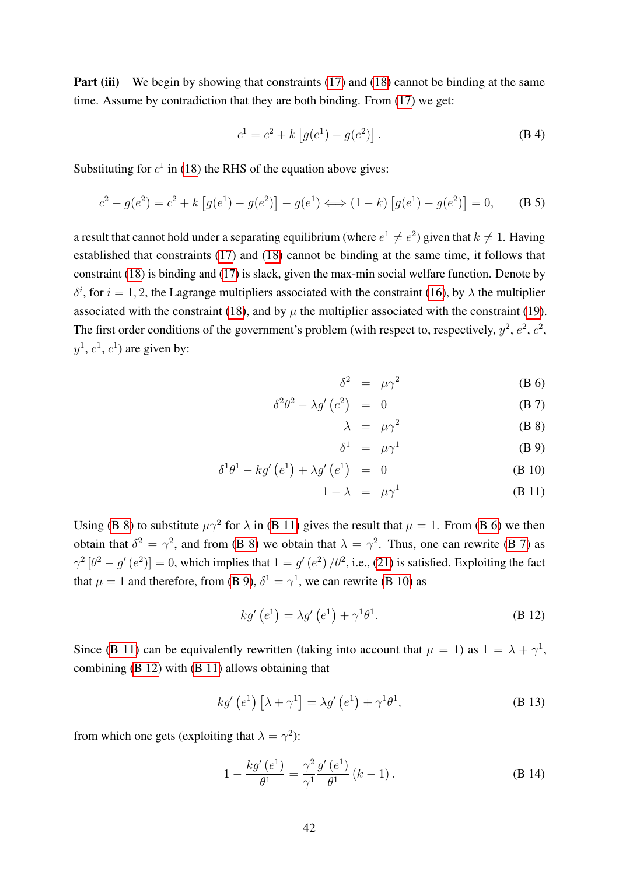**Part (iii)** We begin by showing that constraints [\(17\)](#page-13-4) and [\(18\)](#page-13-3) cannot be binding at the same time. Assume by contradiction that they are both binding. From [\(17\)](#page-13-4) we get:

$$
c^{1} = c^{2} + k \left[ g(e^{1}) - g(e^{2}) \right].
$$
 (B 4)

Substituting for  $c^1$  in [\(18\)](#page-13-3) the RHS of the equation above gives:

$$
c^{2} - g(e^{2}) = c^{2} + k \left[ g(e^{1}) - g(e^{2}) \right] - g(e^{1}) \Longleftrightarrow (1 - k) \left[ g(e^{1}) - g(e^{2}) \right] = 0, \quad \text{(B 5)}
$$

a result that cannot hold under a separating equilibrium (where  $e^1 \neq e^2$ ) given that  $k \neq 1$ . Having established that constraints [\(17\)](#page-13-4) and [\(18\)](#page-13-3) cannot be binding at the same time, it follows that constraint [\(18\)](#page-13-3) is binding and [\(17\)](#page-13-4) is slack, given the max-min social welfare function. Denote by  $\delta^i$ , for  $i = 1, 2$ , the Lagrange multipliers associated with the constraint [\(16\)](#page-13-1), by  $\lambda$  the multiplier associated with the constraint [\(18\)](#page-13-3), and by  $\mu$  the multiplier associated with the constraint [\(19\)](#page-13-2). The first order conditions of the government's problem (with respect to, respectively,  $y^2$ ,  $e^2$ ,  $c^2$ ,  $y^1$ ,  $e^1$ ,  $c^1$ ) are given by:

<span id="page-41-0"></span>
$$
\delta^2 = \mu \gamma^2 \tag{B 6}
$$

$$
\delta^2 \theta^2 - \lambda g' \left( e^2 \right) = 0 \tag{B 7}
$$

$$
\lambda = \mu \gamma^2 \tag{B 8}
$$

$$
\delta^1 = \mu \gamma^1 \tag{B 9}
$$

$$
\delta^1 \theta^1 - k g' \left( e^1 \right) + \lambda g' \left( e^1 \right) = 0 \tag{B 10}
$$

$$
1 - \lambda = \mu \gamma^1 \tag{B 11}
$$

Using [\(B 8\)](#page-41-0) to substitute  $\mu \gamma^2$  for  $\lambda$  in [\(B 11\)](#page-41-0) gives the result that  $\mu = 1$ . From [\(B 6\)](#page-41-0) we then obtain that  $\delta^2 = \gamma^2$ , and from [\(B 8\)](#page-41-0) we obtain that  $\lambda = \gamma^2$ . Thus, one can rewrite [\(B 7\)](#page-41-0) as  $\gamma^2 [\theta^2 - g' (e^2)] = 0$ , which implies that  $1 = g' (e^2) / \theta^2$ , i.e., [\(21\)](#page-14-4) is satisfied. Exploiting the fact that  $\mu = 1$  and therefore, from [\(B 9\)](#page-41-0),  $\delta^1 = \gamma^1$ , we can rewrite [\(B 10\)](#page-41-0) as

<span id="page-41-1"></span>
$$
kg'\left(e^{1}\right) = \lambda g'\left(e^{1}\right) + \gamma^{1}\theta^{1}.\tag{B 12}
$$

Since [\(B 11\)](#page-41-0) can be equivalently rewritten (taking into account that  $\mu = 1$ ) as  $1 = \lambda + \gamma^1$ , combining [\(B 12\)](#page-41-1) with [\(B 11\)](#page-41-0) allows obtaining that

$$
kg'\left(e^{1}\right)\left[\lambda+\gamma^{1}\right] = \lambda g'\left(e^{1}\right)+\gamma^{1}\theta^{1},
$$
\n(B 13)

from which one gets (exploiting that  $\lambda = \gamma^2$ ):

<span id="page-41-2"></span>
$$
1 - \frac{kg'(e^1)}{\theta^1} = \frac{\gamma^2}{\gamma^1} \frac{g'(e^1)}{\theta^1} (k - 1).
$$
 (B 14)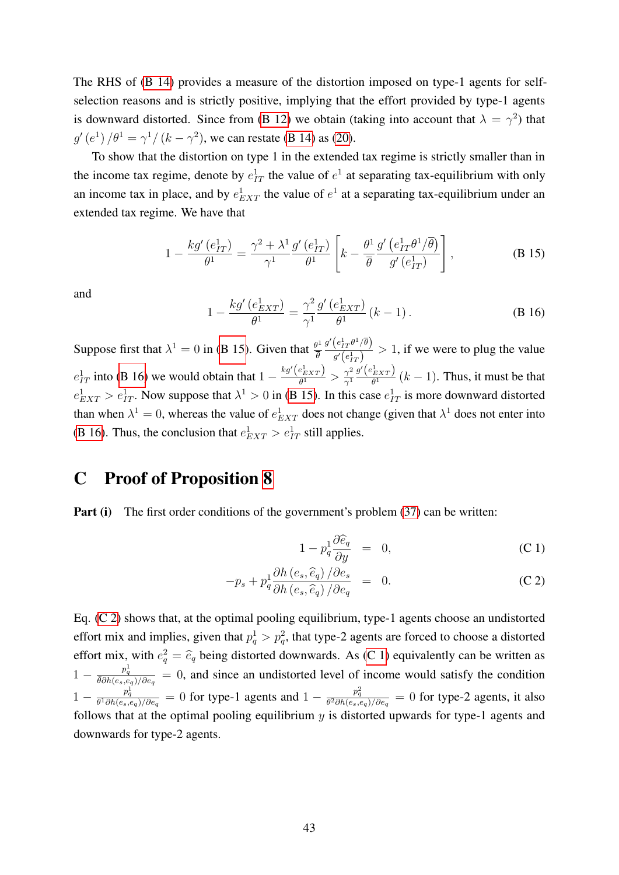The RHS of [\(B 14\)](#page-41-2) provides a measure of the distortion imposed on type-1 agents for selfselection reasons and is strictly positive, implying that the effort provided by type-1 agents is downward distorted. Since from [\(B 12\)](#page-41-1) we obtain (taking into account that  $\lambda = \gamma^2$ ) that  $g'(e^1)/\theta^1 = \gamma^1/(k-\gamma^2)$ , we can restate [\(B 14\)](#page-41-2) as [\(20\)](#page-14-3).

To show that the distortion on type 1 in the extended tax regime is strictly smaller than in the income tax regime, denote by  $e_{IT}^1$  the value of  $e^1$  at separating tax-equilibrium with only an income tax in place, and by  $e_{EXT}^1$  the value of  $e^1$  at a separating tax-equilibrium under an extended tax regime. We have that

<span id="page-42-1"></span>
$$
1 - \frac{kg'(e_{IT}^1)}{\theta^1} = \frac{\gamma^2 + \lambda^1}{\gamma^1} \frac{g'(e_{IT}^1)}{\theta^1} \left[ k - \frac{\theta^1}{\overline{\theta}} \frac{g'(e_{IT}^1 \theta^1 / \overline{\theta})}{g'(e_{IT}^1)} \right],
$$
(B 15)

and

<span id="page-42-2"></span>
$$
1 - \frac{kg'(e_{EXT}^1)}{\theta^1} = \frac{\gamma^2}{\gamma^1} \frac{g'(e_{EXT}^1)}{\theta^1} (k - 1).
$$
 (B 16)

Suppose first that  $\lambda^1 = 0$  in [\(B 15\)](#page-42-1). Given that  $\frac{\theta^1}{\overline{a}}$ θ  $g'\!\left(e_{IT}^1\theta^1/\overline{\theta}\right)$  $\frac{(c_{IT}v/\nu)}{g'(e_{IT}^1)} > 1$ , if we were to plug the value  $e_{IT}^1$  into [\(B 16\)](#page-42-2) we would obtain that  $1 - \frac{kg'(e_{EXT})}{\theta^1}$  $\frac{e^1_{EXT}}{\theta^1} > \frac{\gamma^2}{\gamma^1}$  $\overline{\gamma^1}$  $g'\!\left(e_{EXT}^1\right)$  $\frac{f(EXT)}{\theta^1}$   $(k-1)$ . Thus, it must be that  $e_{EXT}^1 > e_{IT}^1$ . Now suppose that  $\lambda^1 > 0$  in [\(B 15\)](#page-42-1). In this case  $e_{IT}^1$  is more downward distorted than when  $\lambda^1 = 0$ , whereas the value of  $e_{EXT}^1$  does not change (given that  $\lambda^1$  does not enter into [\(B 16\)](#page-42-2). Thus, the conclusion that  $e_{EXT}^1 > e_{IT}^1$  still applies.

## <span id="page-42-0"></span>C Proof of Proposition [8](#page-26-3)

Part (i) The first order conditions of the government's problem [\(37\)](#page-24-2) can be written:

<span id="page-42-3"></span>
$$
1 - p_q^1 \frac{\partial \widehat{e}_q}{\partial y} = 0, \tag{C.1}
$$

$$
-p_s + p_q^1 \frac{\partial h\left(e_s, \hat{e}_q\right)/\partial e_s}{\partial h\left(e_s, \hat{e}_q\right)/\partial e_q} = 0.
$$
 (C 2)

Eq. [\(C 2\)](#page-42-3) shows that, at the optimal pooling equilibrium, type-1 agents choose an undistorted effort mix and implies, given that  $p_q^1 > p_q^2$ , that type-2 agents are forced to choose a distorted effort mix, with  $e_q^2 = \hat{e}_q$  being distorted downwards. As [\(C 1\)](#page-42-3) equivalently can be written as  $1 - \frac{p_q^1}{\theta \partial h(e_s, e_q)/\partial e_q} = 0$ , and since an undistorted level of income would satisfy the condition  $1 - \frac{p_q^1}{\theta^1 \partial h(e_s, e_q)/\partial e_q} = 0$  for type-1 agents and  $1 - \frac{p_q^2}{\theta^2 \partial h(e_s, e_q)/\partial e_q} = 0$  for type-2 agents, it also follows that at the optimal pooling equilibrium  $y$  is distorted upwards for type-1 agents and downwards for type-2 agents.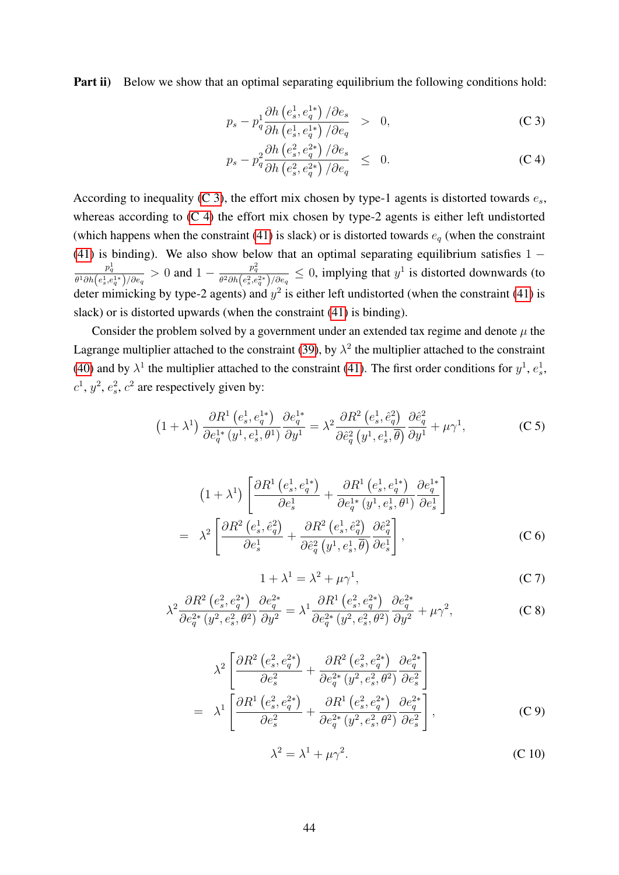Part ii) Below we show that an optimal separating equilibrium the following conditions hold:

<span id="page-43-0"></span>
$$
p_s - p_q^1 \frac{\partial h\left(e_s^1, e_q^{1*}\right)/\partial e_s}{\partial h\left(e_s^1, e_q^{1*}\right)/\partial e_q} > 0,
$$
\n(C 3)

$$
p_s - p_q^2 \frac{\partial h\left(e_s^2, e_q^{2*}\right)/\partial e_s}{\partial h\left(e_s^2, e_q^{2*}\right)/\partial e_q} \leq 0. \tag{C.4}
$$

According to inequality [\(C 3\)](#page-43-0), the effort mix chosen by type-1 agents is distorted towards  $e_s$ , whereas according to  $(C 4)$  the effort mix chosen by type-2 agents is either left undistorted (which happens when the constraint [\(41\)](#page-25-2) is slack) or is distorted towards  $e_q$  (when the constraint [\(41\)](#page-25-2) is binding). We also show below that an optimal separating equilibrium satisfies  $1$  $p_q^1$  $\frac{p_q^1}{\theta^1\partial h\left(e_s^1,e_q^{1*}\right)/\partial e_q}>0$  and  $1-\frac{p_q^2}{\theta^2\partial h\left(e_s^2,e_q^{1*}\right)}$  $\frac{p_q^2}{\theta^2 \partial h(e_s^2, e_q^{2*})/\partial e_q} \leq 0$ , implying that  $y^1$  is distorted downwards (to deter mimicking by type-2 agents) and  $y^2$  is either left undistorted (when the constraint [\(41\)](#page-25-2) is slack) or is distorted upwards (when the constraint [\(41\)](#page-25-2) is binding).

Consider the problem solved by a government under an extended tax regime and denote  $\mu$  the Lagrange multiplier attached to the constraint [\(39\)](#page-25-4), by  $\lambda^2$  the multiplier attached to the constraint [\(40\)](#page-25-0) and by  $\lambda^1$  the multiplier attached to the constraint [\(41\)](#page-25-2). The first order conditions for  $y^1$ ,  $e_s^1$ ,  $c^1$ ,  $y^2$ ,  $e_s^2$ ,  $c^2$  are respectively given by:

<span id="page-43-5"></span>
$$
(1+\lambda^1)\frac{\partial R^1\left(e_s^1, e_q^{1*}\right)}{\partial e_q^{1*}\left(y^1, e_s^1, \theta^1\right)}\frac{\partial e_q^{1*}}{\partial y^1} = \lambda^2 \frac{\partial R^2\left(e_s^1, \hat{e}_q^2\right)}{\partial \hat{e}_q^2\left(y^1, e_s^1, \overline{\theta}\right)}\frac{\partial \hat{e}_q^2}{\partial y^1} + \mu \gamma^1,\tag{C.5}
$$

<span id="page-43-1"></span>
$$
(1+\lambda^1)\left[\frac{\partial R^1\left(e_s^1, e_q^{1*}\right)}{\partial e_s^1} + \frac{\partial R^1\left(e_s^1, e_q^{1*}\right)}{\partial e_q^{1*}\left(y^1, e_s^1, \theta^1\right)} \frac{\partial e_q^{1*}}{\partial e_s^1}\right]
$$

$$
= \lambda^2 \left[\frac{\partial R^2\left(e_s^1, \hat{e}_q^2\right)}{\partial e_s^1} + \frac{\partial R^2\left(e_s^1, \hat{e}_q^2\right)}{\partial \hat{e}_q^2\left(y^1, e_s^1, \theta\right)} \frac{\partial \hat{e}_q^2}{\partial e_s^1}\right],\tag{C.6}
$$

<span id="page-43-2"></span>
$$
1 + \lambda^1 = \lambda^2 + \mu \gamma^1,\tag{C 7}
$$

<span id="page-43-6"></span>
$$
\lambda^{2} \frac{\partial R^{2} (e_{s}^{2}, e_{q}^{2*})}{\partial e_{q}^{2*} (y^{2}, e_{s}^{2}, \theta^{2})} \frac{\partial e_{q}^{2*}}{\partial y^{2}} = \lambda^{1} \frac{\partial R^{1} (e_{s}^{2}, e_{q}^{2*})}{\partial e_{q}^{2*} (y^{2}, e_{s}^{2}, \theta^{2})} \frac{\partial e_{q}^{2*}}{\partial y^{2}} + \mu \gamma^{2}, \tag{C 8}
$$

<span id="page-43-3"></span>
$$
\lambda^{2} \left[ \frac{\partial R^{2} (e_{s}^{2}, e_{q}^{2*})}{\partial e_{s}^{2}} + \frac{\partial R^{2} (e_{s}^{2}, e_{q}^{2*})}{\partial e_{q}^{2*} (y^{2}, e_{s}^{2}, \theta^{2})} \frac{\partial e_{q}^{2*}}{\partial e_{s}^{2}} \right]
$$
  
= 
$$
\lambda^{1} \left[ \frac{\partial R^{1} (e_{s}^{2}, e_{q}^{2*})}{\partial e_{s}^{2}} + \frac{\partial R^{1} (e_{s}^{2}, e_{q}^{2*})}{\partial e_{q}^{2*} (y^{2}, e_{s}^{2}, \theta^{2})} \frac{\partial e_{q}^{2*}}{\partial e_{s}^{2}} \right],
$$
 (C 9)

<span id="page-43-4"></span>
$$
\lambda^2 = \lambda^1 + \mu \gamma^2. \tag{C.10}
$$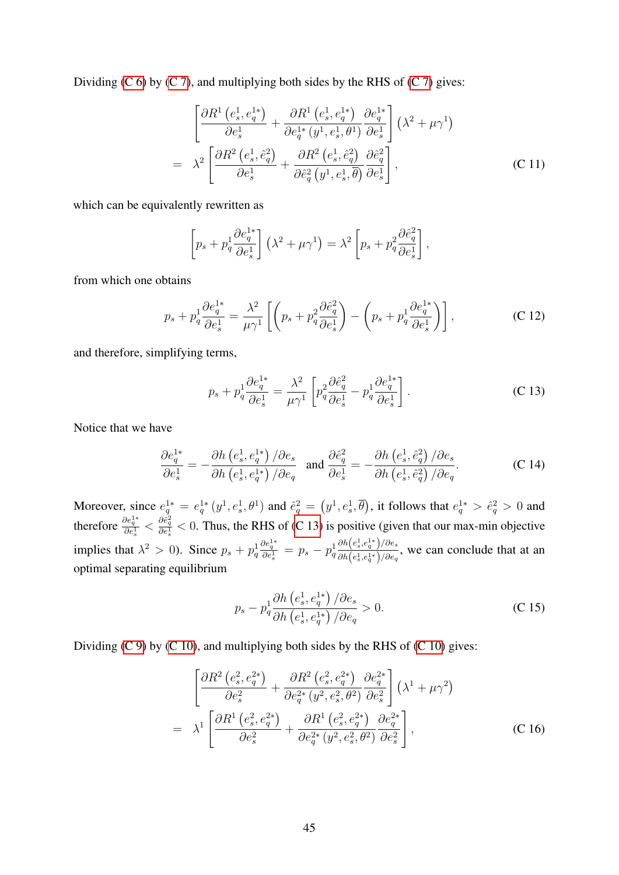Dividing  $(C 6)$  by  $(C 7)$ , and multiplying both sides by the RHS of  $(C 7)$  gives:

$$
\begin{split}\n&= \left[\frac{\partial R^1\left(e_s^1, e_q^{1*}\right)}{\partial e_s^1} + \frac{\partial R^1\left(e_s^1, e_q^{1*}\right)}{\partial e_q^{1*}\left(y^1, e_s^1, \theta^1\right)} \frac{\partial e_q^{1*}}{\partial e_s^1}\right] \left(\lambda^2 + \mu\gamma^1\right) \\
&= \lambda^2 \left[\frac{\partial R^2\left(e_s^1, \hat{e}_q^2\right)}{\partial e_s^1} + \frac{\partial R^2\left(e_s^1, \hat{e}_q^2\right)}{\partial \hat{e}_q^2\left(y^1, e_s^1, \theta\right)} \frac{\partial \hat{e}_q^2}{\partial e_s^1}\right],\n\end{split} \tag{C.11}
$$

which can be equivalently rewritten as

$$
\left[p_s + p_q^1 \frac{\partial e_q^{1*}}{\partial e_s^1}\right] \left(\lambda^2 + \mu \gamma^1\right) = \lambda^2 \left[p_s + p_q^2 \frac{\partial \hat{e}_q^2}{\partial e_s^1}\right],
$$

from which one obtains

$$
p_s + p_q^1 \frac{\partial e_q^{1*}}{\partial e_s^1} = \frac{\lambda^2}{\mu \gamma^1} \left[ \left( p_s + p_q^2 \frac{\partial \hat{e}_q^2}{\partial e_s^1} \right) - \left( p_s + p_q^1 \frac{\partial e_q^{1*}}{\partial e_s^1} \right) \right],
$$
 (C 12)

and therefore, simplifying terms,

<span id="page-44-0"></span>
$$
p_s + p_q^1 \frac{\partial e_q^{1*}}{\partial e_s^1} = \frac{\lambda^2}{\mu \gamma^1} \left[ p_q^2 \frac{\partial \hat{e}_q^2}{\partial e_s^1} - p_q^1 \frac{\partial e_q^{1*}}{\partial e_s^1} \right].
$$
 (C 13)

Notice that we have

$$
\frac{\partial e_q^{1*}}{\partial e_s^1} = -\frac{\partial h\left(e_s^1, e_q^{1*}\right)/\partial e_s}{\partial h\left(e_s^1, e_q^{1*}\right)/\partial e_q} \quad \text{and} \quad \frac{\partial \hat{e}_q^2}{\partial e_s^1} = -\frac{\partial h\left(e_s^1, \hat{e}_q^2\right)/\partial e_s}{\partial h\left(e_s^1, \hat{e}_q^2\right)/\partial e_q}.\tag{C.14}
$$

Moreover, since  $e_q^{1*} = e_q^{1*}(y^1, e_s^1, \theta^1)$  and  $\hat{e}_q^2 = (y^1, e_s^1, \overline{\theta})$ , it follows that  $e_q^{1*} > \hat{e}_q^2 > 0$  and therefore  $\frac{\partial e_q^{1*}}{\partial e_s^1} < \frac{\partial \hat{e}_q^2}{\partial e_s^1} < 0$ . Thus, the RHS of [\(C 13\)](#page-44-0) is positive (given that our max-min objective implies that  $\lambda^2 > 0$ ). Since  $p_s + p_q^1$  $\frac{\partial e_q^{1*}}{\partial e_s^1} = p_s - p_q^1$  $\partial h\!\left(e_s^1, e_q^{1*}\right)\!/\partial e_s$  $\frac{\partial h(e_s, e_q)}{\partial h(e_s^1, e_q^{1*})/\partial e_q}$ , we can conclude that at an optimal separating equilibrium

$$
p_s - p_q^1 \frac{\partial h\left(e_s^1, e_q^{1*}\right)/\partial e_s}{\partial h\left(e_s^1, e_q^{1*}\right)/\partial e_q} > 0.
$$
 (C 15)

Dividing  $(C 9)$  by  $(C 10)$ , and multiplying both sides by the RHS of  $(C 10)$  gives:

$$
\begin{bmatrix}\n\frac{\partial R^2 \left(e_s^2, e_q^{2*}\right)}{\partial e_s^2} + \frac{\partial R^2 \left(e_s^2, e_q^{2*}\right)}{\partial e_q^{2*} \left(y^2, e_s^2, \theta^2\right)} \frac{\partial e_q^{2*}}{\partial e_s^2}\n\end{bmatrix}\n\begin{bmatrix}\n\lambda^1 + \mu \gamma^2\n\end{bmatrix}\n= \lambda^1 \left[ \frac{\partial R^1 \left(e_s^2, e_q^{2*}\right)}{\partial e_s^2} + \frac{\partial R^1 \left(e_s^2, e_q^{2*}\right)}{\partial e_q^{2*} \left(y^2, e_s^2, \theta^2\right)} \frac{\partial e_q^{2*}}{\partial e_s^2}\n\right],
$$
\n(C 16)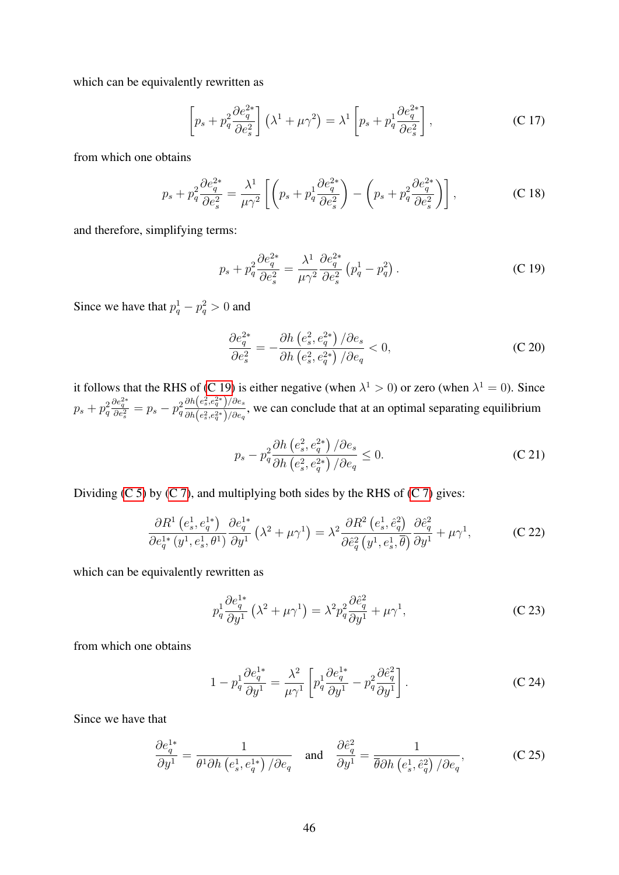which can be equivalently rewritten as

$$
\left[p_s + p_q^2 \frac{\partial e_q^{2*}}{\partial e_s^2}\right] \left(\lambda^1 + \mu \gamma^2\right) = \lambda^1 \left[p_s + p_q^1 \frac{\partial e_q^{2*}}{\partial e_s^2}\right],\tag{C.17}
$$

from which one obtains

$$
p_s + p_q^2 \frac{\partial e_q^{2*}}{\partial e_s^2} = \frac{\lambda^1}{\mu \gamma^2} \left[ \left( p_s + p_q^1 \frac{\partial e_q^{2*}}{\partial e_s^2} \right) - \left( p_s + p_q^2 \frac{\partial e_q^{2*}}{\partial e_s^2} \right) \right],
$$
 (C 18)

and therefore, simplifying terms:

<span id="page-45-0"></span>
$$
p_s + p_q^2 \frac{\partial e_q^{2*}}{\partial e_s^2} = \frac{\lambda^1}{\mu \gamma^2} \frac{\partial e_q^{2*}}{\partial e_s^2} \left( p_q^1 - p_q^2 \right). \tag{C.19}
$$

Since we have that  $p_q^1 - p_q^2 > 0$  and

$$
\frac{\partial e_q^{2*}}{\partial e_s^2} = -\frac{\partial h\left(e_s^2, e_q^{2*}\right)/\partial e_s}{\partial h\left(e_s^2, e_q^{2*}\right)/\partial e_q} < 0,\tag{C.20}
$$

it follows that the RHS of [\(C 19\)](#page-45-0) is either negative (when  $\lambda^1 > 0$ ) or zero (when  $\lambda^1 = 0$ ). Since  $p_s+p_q^2$  $\frac{\partial e_q^{2*}}{\partial e_s^2} = p_s - p_q^2$  $\partial h \! \left( e_s^2,e_q^{2*} \right) \! / \partial e_s$  $\frac{\partial h(c_s,c_q)}{\partial h(e_s^2,e_q^{2*})/\partial e_q}$ , we can conclude that at an optimal separating equilibrium

$$
p_s - p_q^2 \frac{\partial h\left(e_s^2, e_q^{2*}\right)/\partial e_s}{\partial h\left(e_s^2, e_q^{2*}\right)/\partial e_q} \le 0.
$$
 (C 21)

Dividing  $(C 5)$  by  $(C 7)$ , and multiplying both sides by the RHS of  $(C 7)$  gives:

$$
\frac{\partial R^1\left(e_s^1, e_q^{1*}\right)}{\partial e_q^{1*}\left(y^1, e_s^1, \theta^1\right)} \frac{\partial e_q^{1*}}{\partial y^1}\left(\lambda^2 + \mu\gamma^1\right) = \lambda^2 \frac{\partial R^2\left(e_s^1, \hat{e}_q^2\right)}{\partial \hat{e}_q^2\left(y^1, e_s^1, \overline{\theta}\right)} \frac{\partial \hat{e}_q^2}{\partial y^1} + \mu\gamma^1,\tag{C.22}
$$

which can be equivalently rewritten as

$$
p_q^1 \frac{\partial e_q^{1*}}{\partial y^1} \left( \lambda^2 + \mu \gamma^1 \right) = \lambda^2 p_q^2 \frac{\partial \hat{e}_q^2}{\partial y^1} + \mu \gamma^1, \tag{C.23}
$$

from which one obtains

<span id="page-45-1"></span>
$$
1 - p_q^1 \frac{\partial e_q^{1*}}{\partial y^1} = \frac{\lambda^2}{\mu \gamma^1} \left[ p_q^1 \frac{\partial e_q^{1*}}{\partial y^1} - p_q^2 \frac{\partial \hat{e}_q^2}{\partial y^1} \right].
$$
 (C.24)

Since we have that

$$
\frac{\partial e_q^{1*}}{\partial y^1} = \frac{1}{\theta^1 \partial h \left(e_s^1, e_q^{1*}\right) / \partial e_q} \quad \text{and} \quad \frac{\partial \hat{e}_q^2}{\partial y^1} = \frac{1}{\overline{\theta} \partial h \left(e_s^1, \hat{e}_q^2\right) / \partial e_q},\tag{C.25}
$$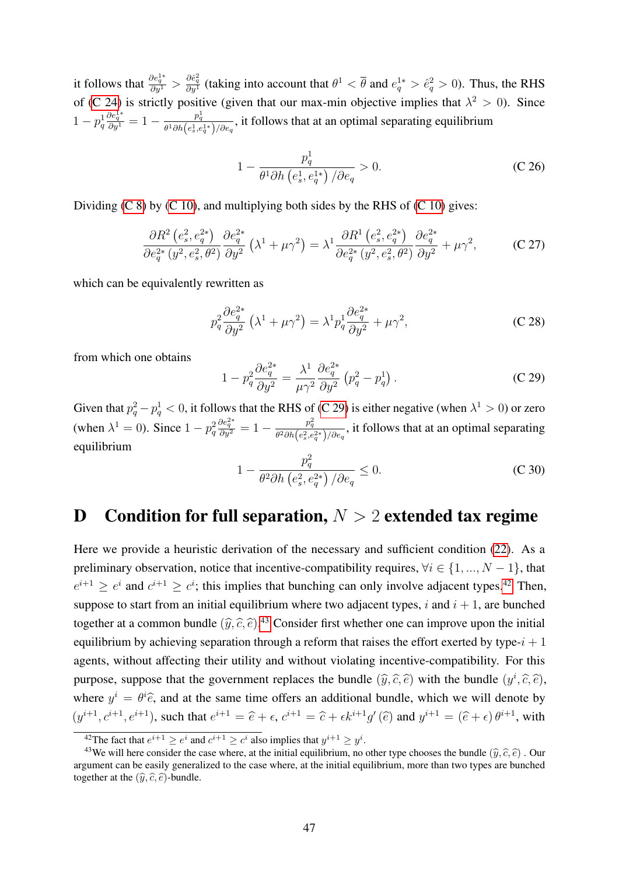it follows that  $\frac{\partial e_q^{1*}}{\partial y^1} > \frac{\partial \hat{e}_q^2}{\partial y^1}$  (taking into account that  $\theta^1 < \overline{\theta}$  and  $e_q^{1*} > \hat{e}_q^2 > 0$ ). Thus, the RHS of [\(C 24\)](#page-45-1) is strictly positive (given that our max-min objective implies that  $\lambda^2 > 0$ ). Since  $1 - p_q^1$  $\frac{\partial e_q^{1*}}{\partial y^1} = 1 - \frac{p_q^1}{\theta^1 \partial h(e_s^1,e_s^2)}$  $\frac{p_q}{\theta^1 \partial h(e_s^1, e_q^{1*})/\partial e_q}$ , it follows that at an optimal separating equilibrium

$$
1 - \frac{p_q^1}{\theta^1 \partial h \left(e_s^1, e_q^{1*}\right) / \partial e_q} > 0. \tag{C.26}
$$

Dividing  $(C 8)$  by  $(C 10)$ , and multiplying both sides by the RHS of  $(C 10)$  gives:

$$
\frac{\partial R^2 \left(e_s^2, e_q^{2*}\right)}{\partial e_q^{2*} \left(y^2, e_s^2, \theta^2\right)} \frac{\partial e_q^{2*}}{\partial y^2} \left(\lambda^1 + \mu \gamma^2\right) = \lambda^1 \frac{\partial R^1 \left(e_s^2, e_q^{2*}\right)}{\partial e_q^{2*} \left(y^2, e_s^2, \theta^2\right)} \frac{\partial e_q^{2*}}{\partial y^2} + \mu \gamma^2,\tag{C.27}
$$

which can be equivalently rewritten as

$$
p_q^2 \frac{\partial e_q^{2*}}{\partial y^2} \left(\lambda^1 + \mu \gamma^2\right) = \lambda^1 p_q^1 \frac{\partial e_q^{2*}}{\partial y^2} + \mu \gamma^2,\tag{C.28}
$$

from which one obtains

<span id="page-46-1"></span>
$$
1 - p_q^2 \frac{\partial e_q^{2*}}{\partial y^2} = \frac{\lambda^1}{\mu \gamma^2} \frac{\partial e_q^{2*}}{\partial y^2} \left( p_q^2 - p_q^1 \right). \tag{C.29}
$$

Given that  $p_q^2 - p_q^1 < 0$ , it follows that the RHS of [\(C 29\)](#page-46-1) is either negative (when  $\lambda^1 > 0$ ) or zero (when  $\lambda^1 = 0$ ). Since  $1 - p_q^2$  $\frac{\partial e_q^{2*}}{\partial y^2} = 1 - \frac{p_q^2}{\theta^2 \partial h(e_s^2,e_s^2)}$  $\frac{p_q}{\theta^2 \partial h\left(e_s^2, e_q^{2*}\right)/\partial e_q}$ , it follows that at an optimal separating equilibrium

$$
1 - \frac{p_q^2}{\theta^2 \partial h \left(e_s^2, e_q^{2*}\right) / \partial e_q} \le 0. \tag{C.30}
$$

## <span id="page-46-0"></span>D Condition for full separation,  $N > 2$  extended tax regime

Here we provide a heuristic derivation of the necessary and sufficient condition [\(22\)](#page-15-2). As a preliminary observation, notice that incentive-compatibility requires,  $\forall i \in \{1, ..., N-1\}$ , that  $e^{i+1} \geq e^i$  and  $e^{i+1} \geq e^i$ ; this implies that bunching can only involve adjacent types.<sup>[42](#page-46-2)</sup> Then, suppose to start from an initial equilibrium where two adjacent types, i and  $i + 1$ , are bunched together at a common bundle  $(\hat{y}, \hat{c}, \hat{e})$ .<sup>[43](#page-46-3)</sup> Consider first whether one can improve upon the initial equilibrium by achieving separation through a reform that raises the effort exerted by type- $i + 1$ agents, without affecting their utility and without violating incentive-compatibility. For this purpose, suppose that the government replaces the bundle  $(\hat{y}, \hat{c}, \hat{e})$  with the bundle  $(y^i, \hat{c}, \hat{e})$ , where  $y^i = \theta^i \hat{e}$ , and at the same time offers an additional bundle, which we will denote by  $(y^{i+1}, c^{i+1}, e^{i+1})$ , such that  $e^{i+1} = \hat{e} + \epsilon$ ,  $c^{i+1} = \hat{e} + \epsilon k^{i+1} g'(\hat{e})$  and  $y^{i+1} = (\hat{e} + \epsilon) \theta^{i+1}$ , with

<span id="page-46-3"></span><span id="page-46-2"></span><sup>&</sup>lt;sup>42</sup>The fact that  $e^{i+1} \ge e^i$  and  $c^{i+1} \ge c^i$  also implies that  $y^{i+1} \ge y^i$ .

<sup>&</sup>lt;sup>43</sup>We will here consider the case where, at the initial equilibrium, no other type chooses the bundle  $(\hat{y}, \hat{c}, \hat{e})$ . Our argument can be easily generalized to the case where, at the initial equilibrium, more than two types are bunched together at the  $(\hat{y}, \hat{c}, \hat{e})$ -bundle.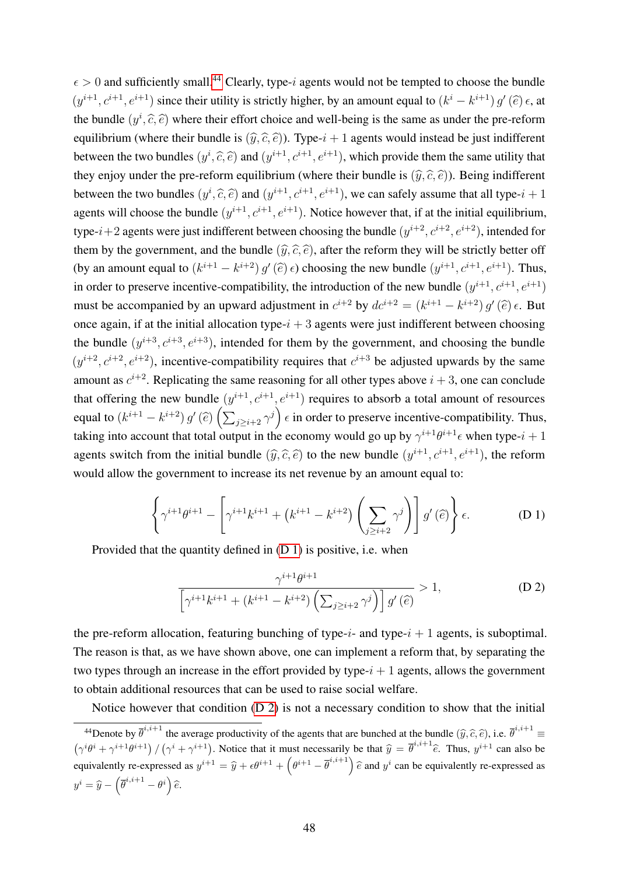$\epsilon > 0$  and sufficiently small.<sup>[44](#page-47-0)</sup> Clearly, type-*i* agents would not be tempted to choose the bundle  $(y^{i+1}, c^{i+1}, e^{i+1})$  since their utility is strictly higher, by an amount equal to  $(k^i - k^{i+1}) g'(\hat{e}) \epsilon$ , at the bundle  $(y^i, \hat{c}, \hat{e})$  where their effort choice and well-being is the same as under the pre-reform equilibrium (where their bundle is  $(\hat{y}, \hat{c}, \hat{e})$ ). Type- $i + 1$  agents would instead be just indifferent between the two bundles  $(y^i, \hat{c}, \hat{e})$  and  $(y^{i+1}, c^{i+1}, e^{i+1})$ , which provide them the same utility that they enjoy under the pre-reform equilibrium (where their bundle is  $(\hat{y}, \hat{c}, \hat{e})$ ). Being indifferent between the two bundles  $(y^i, \hat{c}, \hat{e})$  and  $(y^{i+1}, c^{i+1}, e^{i+1})$ , we can safely assume that all type- $i + 1$ agents will choose the bundle  $(y^{i+1}, c^{i+1}, e^{i+1})$ . Notice however that, if at the initial equilibrium, type- $i+2$  agents were just indifferent between choosing the bundle  $(y^{i+2}, c^{i+2}, e^{i+2})$ , intended for them by the government, and the bundle  $(\widehat{y}, \widehat{c}, \widehat{e})$ , after the reform they will be strictly better off (by an amount equal to  $(k^{i+1} - k^{i+2}) g'(\hat{e}) \epsilon$ ) choosing the new bundle  $(y^{i+1}, c^{i+1}, e^{i+1})$ . Thus, in order to preserve incentive-compatibility, the introduction of the new bundle  $(y^{i+1}, c^{i+1}, e^{i+1})$ must be accompanied by an upward adjustment in  $c^{i+2}$  by  $dc^{i+2} = (k^{i+1} - k^{i+2}) g'(\hat{e}) \epsilon$ . But once again, if at the initial allocation type- $i + 3$  agents were just indifferent between choosing the bundle  $(y^{i+3}, c^{i+3}, e^{i+3})$ , intended for them by the government, and choosing the bundle  $(y^{i+2}, c^{i+2}, e^{i+2})$ , incentive-compatibility requires that  $c^{i+3}$  be adjusted upwards by the same amount as  $c^{i+2}$ . Replicating the same reasoning for all other types above  $i + 3$ , one can conclude that offering the new bundle  $(y^{i+1}, c^{i+1}, e^{i+1})$  requires to absorb a total amount of resources equal to  $(k^{i+1} - k^{i+2}) g'(\hat{e}) \left( \sum_{j \geq i+2} \gamma^j \right) \epsilon$  in order to preserve incentive-compatibility. Thus, taking into account that total output in the economy would go up by  $\gamma^{i+1}\theta^{i+1}\epsilon$  when type- $i+1$ agents switch from the initial bundle  $(\hat{y}, \hat{c}, \hat{e})$  to the new bundle  $(y^{i+1}, c^{i+1}, e^{i+1})$ , the reform would allow the government to increase its net revenue by an amount equal to:

<span id="page-47-1"></span>
$$
\left\{\gamma^{i+1}\theta^{i+1} - \left[\gamma^{i+1}k^{i+1} + \left(k^{i+1} - k^{i+2}\right)\left(\sum_{j\geq i+2}\gamma^j\right)\right]g'\left(\widehat{e}\right)\right\}\epsilon.
$$
 (D 1)

Provided that the quantity defined in [\(D 1\)](#page-47-1) is positive, i.e. when

<span id="page-47-2"></span>
$$
\frac{\gamma^{i+1}\theta^{i+1}}{\left[\gamma^{i+1}k^{i+1} + (k^{i+1} - k^{i+2})\left(\sum_{j\geq i+2}\gamma^j\right)\right]g'(\widehat{e})} > 1,
$$
\n(D 2)

the pre-reform allocation, featuring bunching of type- $i$ - and type- $i + 1$  agents, is suboptimal. The reason is that, as we have shown above, one can implement a reform that, by separating the two types through an increase in the effort provided by type- $i + 1$  agents, allows the government to obtain additional resources that can be used to raise social welfare.

Notice however that condition [\(D 2\)](#page-47-2) is not a necessary condition to show that the initial

<span id="page-47-0"></span><sup>&</sup>lt;sup>44</sup>Denote by  $\overline{\theta}^{i,i+1}$  the average productivity of the agents that are bunched at the bundle  $(\widehat{y}, \widehat{c}, \widehat{e})$ , i.e.  $\overline{\theta}^{i,i+1} \equiv$  $(\gamma^{i}\theta^{i} + \gamma^{i+1}\theta^{i+1}) / (\gamma^{i} + \gamma^{i+1})$ . Notice that it must necessarily be that  $\hat{y} = \overline{\theta}^{i,i+1}\hat{e}$ . Thus,  $y^{i+1}$  can also be equivalently re-expressed as  $y^{i+1} = \hat{y} + \epsilon \theta^{i+1} + \left(\theta^{i+1} - \overline{\theta}^{i,i+1}\right) \hat{e}$  and  $y^i$  can be equivalently re-expressed as  $y^i = \widehat{y} - (\overline{\theta}^{i,i+1} - \theta^i) \widehat{e}.$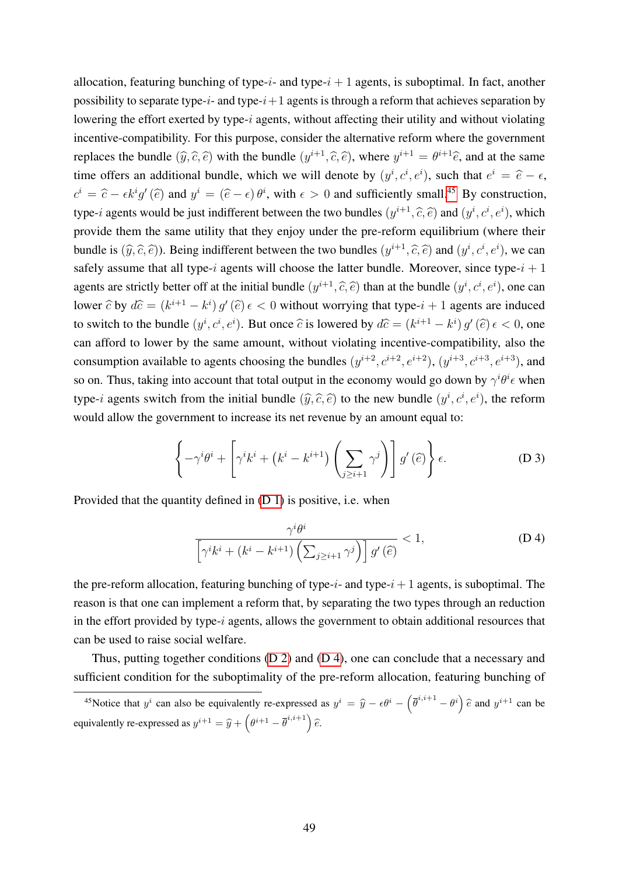allocation, featuring bunching of type- $i$ - and type- $i + 1$  agents, is suboptimal. In fact, another possibility to separate type- $i$ - and type- $i+1$  agents is through a reform that achieves separation by lowering the effort exerted by type-i agents, without affecting their utility and without violating incentive-compatibility. For this purpose, consider the alternative reform where the government replaces the bundle  $(\hat{y}, \hat{c}, \hat{e})$  with the bundle  $(y^{i+1}, \hat{c}, \hat{e})$ , where  $y^{i+1} = \theta^{i+1}\hat{e}$ , and at the same time offers an additional bundle, which we will denote by  $(y^i, c^i, e^i)$ , such that  $e^i = \hat{e} - \epsilon$ ,  $c^i = \hat{c} - \epsilon k^i g'(\hat{e})$  and  $y^i = (\hat{e} - \epsilon) \theta^i$ , with  $\epsilon > 0$  and sufficiently small.<sup>[45](#page-48-0)</sup> By construction, type-*i* agents would be just indifferent between the two bundles  $(y^{i+1}, \hat{c}, \hat{e})$  and  $(y^i, c^i, e^i)$ , which provide them the same utility that they enjoy under the pre-reform equilibrium (where their bundle is  $(\hat{y}, \hat{c}, \hat{e})$ ). Being indifferent between the two bundles  $(y^{i+1}, \hat{c}, \hat{e})$  and  $(y^i, c^i, e^i)$ , we can safely assume that all type-i agents will choose the latter bundle. Moreover, since type- $i + 1$ agents are strictly better off at the initial bundle  $(y^{i+1}, \hat{c}, \hat{e})$  than at the bundle  $(y^i, c^i, e^i)$ , one can lower  $\hat{c}$  by  $d\hat{c} = (k^{i+1} - k^i) g'(\hat{e}) \epsilon < 0$  without worrying that type- $i + 1$  agents are induced to switch to the bundle  $(y^i, c^i, e^i)$ . But once  $\hat{c}$  is lowered by  $d\hat{c} = (k^{i+1} - k^i) g'(\hat{e}) \epsilon < 0$ , one can afford to lower by the same amount, without violating incentive-compatibility, also the consumption available to agents choosing the bundles  $(y^{i+2}, c^{i+2}, e^{i+2})$ ,  $(y^{i+3}, c^{i+3}, e^{i+3})$ , and so on. Thus, taking into account that total output in the economy would go down by  $\gamma^{i} \theta^{i} \epsilon$  when type-*i* agents switch from the initial bundle  $(\hat{y}, \hat{c}, \hat{e})$  to the new bundle  $(y^i, c^i, e^i)$ , the reform would allow the government to increase its net revenue by an amount equal to:

$$
\left\{-\gamma^{i}\theta^{i} + \left[\gamma^{i}k^{i} + \left(k^{i} - k^{i+1}\right)\left(\sum_{j\geq i+1}\gamma^{j}\right)\right]g'\left(\widehat{e}\right)\right\}\epsilon.
$$
 (D 3)

Provided that the quantity defined in [\(D 1\)](#page-47-1) is positive, i.e. when

<span id="page-48-1"></span>
$$
\frac{\gamma^i \theta^i}{\left[\gamma^i k^i + (k^i - k^{i+1}) \left(\sum_{j \ge i+1} \gamma^j\right)\right] g'(\hat{e})} < 1,\tag{D 4}
$$

the pre-reform allocation, featuring bunching of type-i- and type- $i+1$  agents, is suboptimal. The reason is that one can implement a reform that, by separating the two types through an reduction in the effort provided by type- $i$  agents, allows the government to obtain additional resources that can be used to raise social welfare.

Thus, putting together conditions [\(D 2\)](#page-47-2) and [\(D 4\)](#page-48-1), one can conclude that a necessary and sufficient condition for the suboptimality of the pre-reform allocation, featuring bunching of

<span id="page-48-0"></span><sup>&</sup>lt;sup>45</sup>Notice that  $y^i$  can also be equivalently re-expressed as  $y^i = \hat{y} - \epsilon \theta^i - (\bar{\theta}^{i,i+1} - \theta^i) \hat{\epsilon}$  and  $y^{i+1}$  can be equivalently re-expressed as  $y^{i+1} = \hat{y} + \left(\theta^{i+1} - \overline{\theta}^{i,i+1}\right)\hat{e}$ .